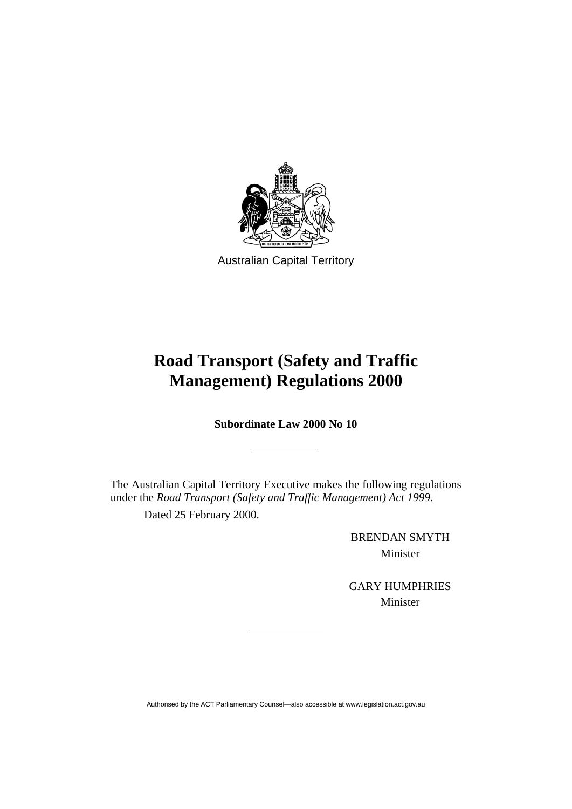

Australian Capital Territory

# **Road Transport (Safety and Traffic Management) Regulations 2000**

**Subordinate Law 2000 No 10** 

The Australian Capital Territory Executive makes the following regulations under the *Road Transport (Safety and Traffic Management) Act 1999*.

Dated 25 February 2000.

BRENDAN SMYTH Minister

GARY HUMPHRIES Minister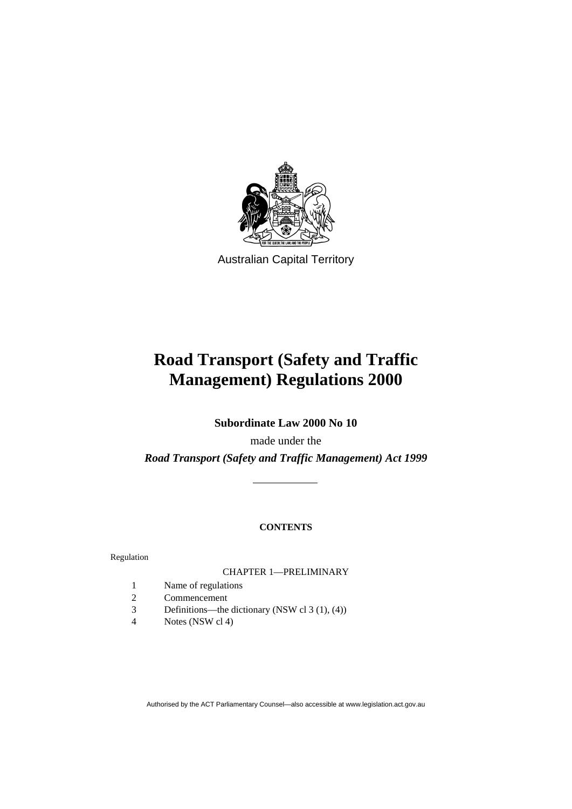

Australian Capital Territory

# **Road Transport (Safety and Traffic Management) Regulations 2000**

**Subordinate Law 2000 No 10** 

made under the *Road Transport (Safety and Traffic Management) Act 1999*

# **CONTENTS**

Regulation

#### CHAPTER 1—PRELIMINARY

- 1 Name of regulations
- 2 Commencement
- 3 Definitions—the dictionary (NSW cl 3 (1), (4))
- 4 Notes (NSW cl 4)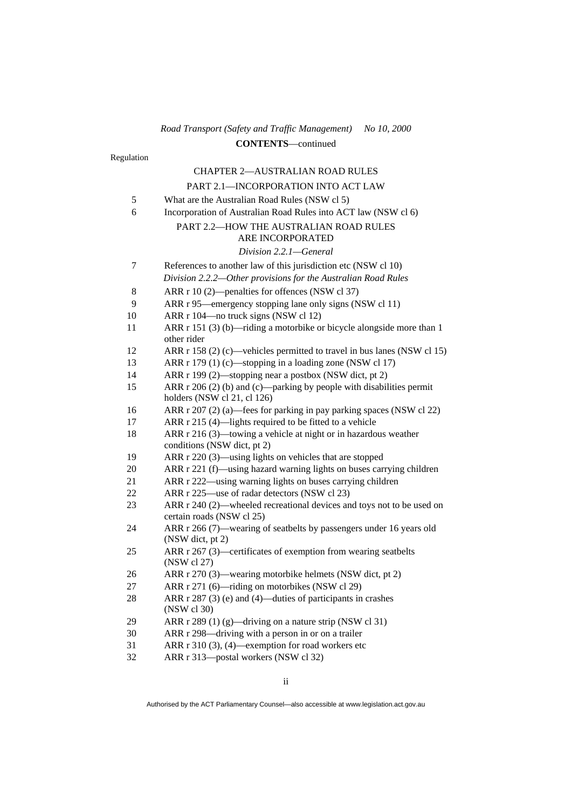Regulation CHAPTER 2—AUSTRALIAN ROAD RULES PART 2.1—INCORPORATION INTO ACT LAW 5 What are the Australian Road Rules (NSW cl 5) 6 Incorporation of Australian Road Rules into ACT law (NSW cl 6) PART 2.2—HOW THE AUSTRALIAN ROAD RULES ARE INCORPORATED *Division 2.2.1—General*  7 References to another law of this jurisdiction etc (NSW cl 10) *Division 2.2.2—Other provisions for the Australian Road Rules*  8 ARR r 10 (2)—penalties for offences (NSW cl 37) 9 ARR r 95—emergency stopping lane only signs (NSW cl 11) 10 ARR r 104—no truck signs (NSW cl 12) 11 ARR r 151 (3) (b)—riding a motorbike or bicycle alongside more than 1 other rider 12 ARR r 158 (2) (c)—vehicles permitted to travel in bus lanes (NSW cl 15) 13 ARR r 179 (1) (c)—stopping in a loading zone (NSW cl 17) 14 ARR r 199 (2)—stopping near a postbox (NSW dict, pt 2) 15 ARR r 206 (2) (b) and (c)—parking by people with disabilities permit holders (NSW cl 21, cl 126) 16 ARR r 207 (2) (a)—fees for parking in pay parking spaces (NSW cl 22) 17 ARR r 215 (4)—lights required to be fitted to a vehicle 18 ARR r 216 (3)—towing a vehicle at night or in hazardous weather conditions (NSW dict, pt 2) 19 ARR r 220 (3)—using lights on vehicles that are stopped 20 ARR r 221 (f)—using hazard warning lights on buses carrying children 21 ARR r 222—using warning lights on buses carrying children 22 ARR r 225—use of radar detectors (NSW cl 23) 23 ARR r 240 (2)—wheeled recreational devices and toys not to be used on certain roads (NSW cl 25) 24 ARR r 266 (7)—wearing of seatbelts by passengers under 16 years old (NSW dict, pt 2) 25 ARR r 267 (3)—certificates of exemption from wearing seatbelts (NSW cl 27) 26 ARR r 270 (3)—wearing motorbike helmets (NSW dict, pt 2) 27 ARR r 271 (6)—riding on motorbikes (NSW cl 29) 28 ARR r 287 (3) (e) and (4)—duties of participants in crashes (NSW cl 30) 29 ARR r 289 (1) (g)—driving on a nature strip (NSW cl 31) 30 ARR r 298—driving with a person in or on a trailer 31 ARR r 310 (3), (4)—exemption for road workers etc 32 ARR r 313—postal workers (NSW cl 32)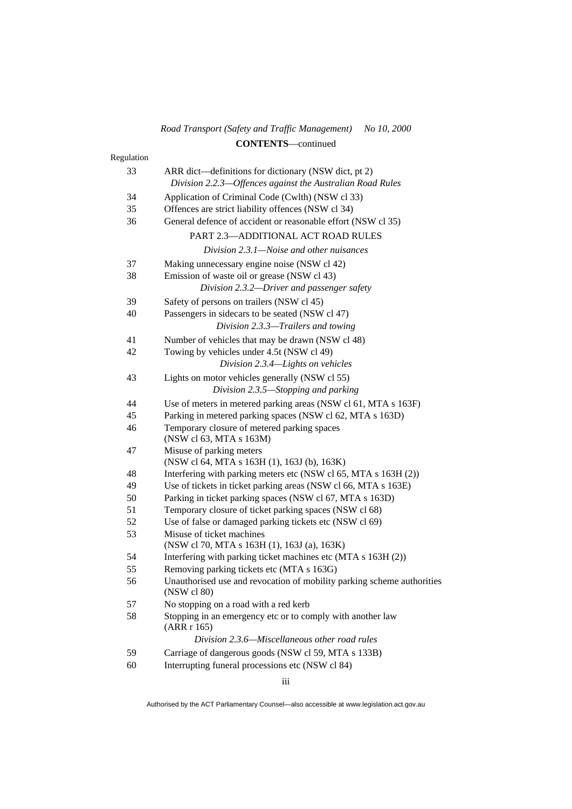| Road Transport (Safety and Traffic Management) No 10, 2000 |  |
|------------------------------------------------------------|--|
| <b>CONTENTS</b> —continued                                 |  |

| Regulation |                                                                                       |
|------------|---------------------------------------------------------------------------------------|
| 33         | ARR dict—definitions for dictionary (NSW dict, pt 2)                                  |
|            | Division 2.2.3-Offences against the Australian Road Rules                             |
| 34         | Application of Criminal Code (Cwlth) (NSW cl 33)                                      |
| 35         | Offences are strict liability offences (NSW cl 34)                                    |
| 36         | General defence of accident or reasonable effort (NSW cl 35)                          |
|            | PART 2.3-ADDITIONAL ACT ROAD RULES                                                    |
|            | Division 2.3.1—Noise and other nuisances                                              |
| 37         | Making unnecessary engine noise (NSW cl 42)                                           |
| 38         | Emission of waste oil or grease (NSW cl 43)                                           |
|            | Division 2.3.2-Driver and passenger safety                                            |
| 39         | Safety of persons on trailers (NSW cl 45)                                             |
| 40         | Passengers in sidecars to be seated (NSW cl 47)                                       |
|            | Division 2.3.3-Trailers and towing                                                    |
| 41         | Number of vehicles that may be drawn (NSW cl 48)                                      |
| 42         | Towing by vehicles under 4.5t (NSW cl 49)                                             |
|            | Division 2.3.4-Lights on vehicles                                                     |
| 43         | Lights on motor vehicles generally (NSW cl 55)                                        |
|            | Division 2.3.5—Stopping and parking                                                   |
|            |                                                                                       |
| 44         | Use of meters in metered parking areas (NSW cl 61, MTA s 163F)                        |
| 45         | Parking in metered parking spaces (NSW cl 62, MTA s 163D)                             |
| 46         | Temporary closure of metered parking spaces<br>(NSW cl 63, MTA s 163M)                |
| 47         | Misuse of parking meters                                                              |
|            | (NSW cl 64, MTA s 163H (1), 163J (b), 163K)                                           |
| 48         | Interfering with parking meters etc (NSW cl 65, MTA s 163H (2))                       |
| 49         | Use of tickets in ticket parking areas (NSW cl 66, MTA s 163E)                        |
| 50         | Parking in ticket parking spaces (NSW cl 67, MTA s 163D)                              |
| 51         | Temporary closure of ticket parking spaces (NSW cl 68)                                |
| 52         | Use of false or damaged parking tickets etc (NSW cl 69)                               |
| 53         | Misuse of ticket machines<br>(NSW cl 70, MTA s 163H (1), 163J (a), 163K)              |
| 54         | Interfering with parking ticket machines etc (MTA s 163H (2))                         |
| 55         | Removing parking tickets etc (MTA s 163G)                                             |
| 56         | Unauthorised use and revocation of mobility parking scheme authorities<br>(NSW cl 80) |
| 57         | No stopping on a road with a red kerb                                                 |
| 58         | Stopping in an emergency etc or to comply with another law<br>(ARR r 165)             |
|            | Division 2.3.6—Miscellaneous other road rules                                         |
| 59         | Carriage of dangerous goods (NSW cl 59, MTA s 133B)                                   |
| 60         | Interrupting funeral processions etc (NSW cl 84)                                      |

iii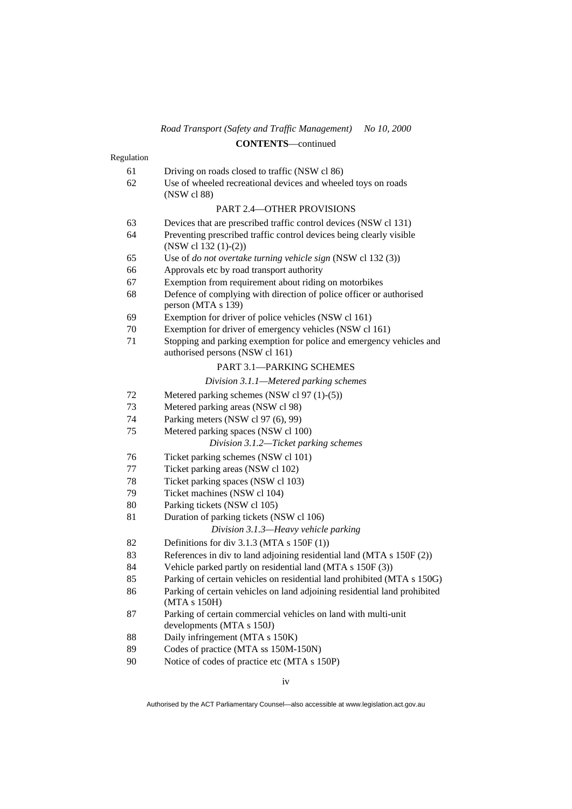# 61 Driving on roads closed to traffic (NSW cl 86) 62 Use of wheeled recreational devices and wheeled toys on roads (NSW cl 88) PART 2.4—OTHER PROVISIONS 63 Devices that are prescribed traffic control devices (NSW cl 131) 64 Preventing prescribed traffic control devices being clearly visible (NSW cl 132 (1)-(2)) 65 Use of *do not overtake turning vehicle sign* (NSW cl 132 (3)) 66 Approvals etc by road transport authority 67 Exemption from requirement about riding on motorbikes 68 Defence of complying with direction of police officer or authorised person (MTA s 139) 69 Exemption for driver of police vehicles (NSW cl 161) 70 Exemption for driver of emergency vehicles (NSW cl 161) 71 Stopping and parking exemption for police and emergency vehicles and authorised persons (NSW cl 161) PART 3.1—PARKING SCHEMES *Division 3.1.1—Metered parking schemes*  72 Metered parking schemes (NSW cl 97 (1)-(5)) 73 Metered parking areas (NSW cl 98) 74 Parking meters (NSW cl 97 (6), 99)

Regulation

- 
- 75 Metered parking spaces (NSW cl 100)

# *Division 3.1.2—Ticket parking schemes*

- 76 Ticket parking schemes (NSW cl 101)
- 77 Ticket parking areas (NSW cl 102)
- 78 Ticket parking spaces (NSW cl 103)
- 79 Ticket machines (NSW cl 104)
- 80 Parking tickets (NSW cl 105)
- 81 Duration of parking tickets (NSW cl 106)

*Division 3.1.3—Heavy vehicle parking* 

- 82 Definitions for div 3.1.3 (MTA s 150F (1))
- 83 References in div to land adjoining residential land (MTA s 150F (2))
- 84 Vehicle parked partly on residential land (MTA s 150F (3))
- 85 Parking of certain vehicles on residential land prohibited (MTA s 150G)
- 86 Parking of certain vehicles on land adjoining residential land prohibited (MTA s 150H)
- 87 Parking of certain commercial vehicles on land with multi-unit developments (MTA s 150J)
- 88 Daily infringement (MTA s 150K)
- 89 Codes of practice (MTA ss 150M-150N)
- 90 Notice of codes of practice etc (MTA s 150P)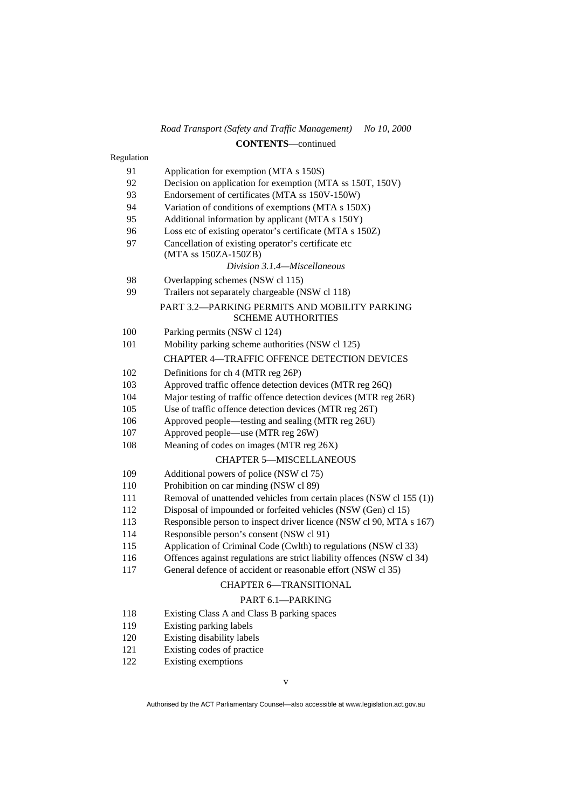| Regulation |                                                                             |
|------------|-----------------------------------------------------------------------------|
| 91         | Application for exemption (MTA s 150S)                                      |
| 92         | Decision on application for exemption (MTA ss 150T, 150V)                   |
| 93         | Endorsement of certificates (MTA ss 150V-150W)                              |
| 94         | Variation of conditions of exemptions (MTA s 150X)                          |
| 95         | Additional information by applicant (MTA s 150Y)                            |
| 96         | Loss etc of existing operator's certificate (MTA s 150Z)                    |
| 97         | Cancellation of existing operator's certificate etc<br>(MTA ss 150ZA-150ZB) |
|            | Division 3.1.4—Miscellaneous                                                |
| 98         | Overlapping schemes (NSW cl 115)                                            |
| 99         | Trailers not separately chargeable (NSW cl 118)                             |
|            | PART 3.2-PARKING PERMITS AND MOBILITY PARKING<br><b>SCHEME AUTHORITIES</b>  |
| 100        | Parking permits (NSW cl 124)                                                |
| 101        | Mobility parking scheme authorities (NSW cl 125)                            |
|            | <b>CHAPTER 4-TRAFFIC OFFENCE DETECTION DEVICES</b>                          |
| 102        | Definitions for ch 4 (MTR reg 26P)                                          |
| 103        | Approved traffic offence detection devices (MTR reg 26Q)                    |
| 104        | Major testing of traffic offence detection devices (MTR reg 26R)            |
| 105        | Use of traffic offence detection devices (MTR reg 26T)                      |
| 106        | Approved people—testing and sealing (MTR reg 26U)                           |
| 107        | Approved people—use (MTR reg 26W)                                           |
| 108        | Meaning of codes on images (MTR reg 26X)                                    |
|            | <b>CHAPTER 5-MISCELLANEOUS</b>                                              |
| 109        | Additional powers of police (NSW cl 75)                                     |
| 110        | Prohibition on car minding (NSW cl 89)                                      |
| 111        | Removal of unattended vehicles from certain places (NSW cl 155 (1))         |
| 112        | Disposal of impounded or forfeited vehicles (NSW (Gen) cl 15)               |
| 113        | Responsible person to inspect driver licence (NSW cl 90, MTA s 167)         |
| 114        | Responsible person's consent (NSW cl 91)                                    |
| 115        | Application of Criminal Code (Cwlth) to regulations (NSW cl 33)             |
| 116        | Offences against regulations are strict liability offences (NSW cl 34)      |
| 117        | General defence of accident or reasonable effort (NSW cl 35)                |
|            | <b>CHAPTER 6-TRANSITIONAL</b>                                               |
|            | PART 6.1-PARKING                                                            |
| 118        | Existing Class A and Class B parking spaces                                 |
| 119        | Existing parking labels                                                     |
| 120        | Existing disability labels                                                  |
| 121        | Existing codes of practice                                                  |
| 122        | Existing exemptions                                                         |
|            |                                                                             |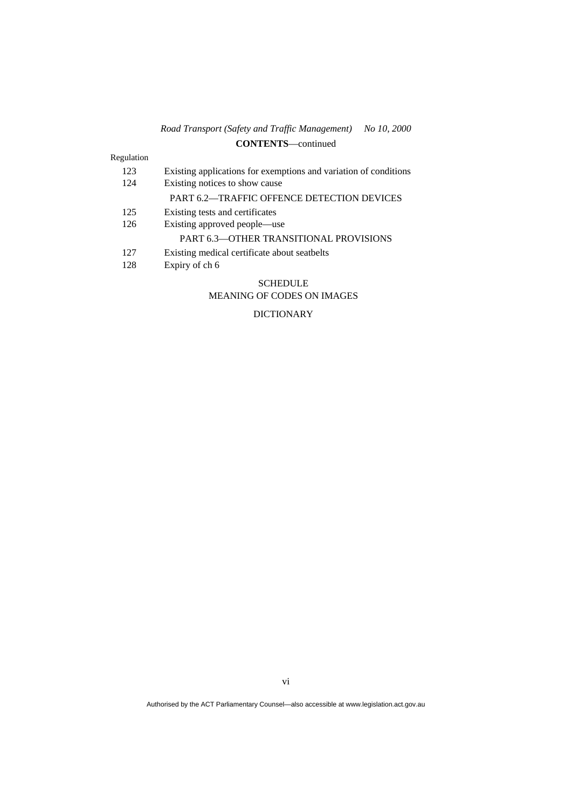# Regulation

| 123 | Existing applications for exemptions and variation of conditions |
|-----|------------------------------------------------------------------|
| 124 | Existing notices to show cause                                   |
|     | <b>PART 6.2—TRAFFIC OFFENCE DETECTION DEVICES</b>                |
| 125 | Existing tests and certificates                                  |
| 126 | Existing approved people—use                                     |
|     | <b>PART 6.3—OTHER TRANSITIONAL PROVISIONS</b>                    |
| 127 | Existing medical certificate about seatbelts                     |
| 128 | Expiry of ch 6                                                   |
|     |                                                                  |

#### SCHEDULE MEANING OF CODES ON IMAGES

# DICTIONARY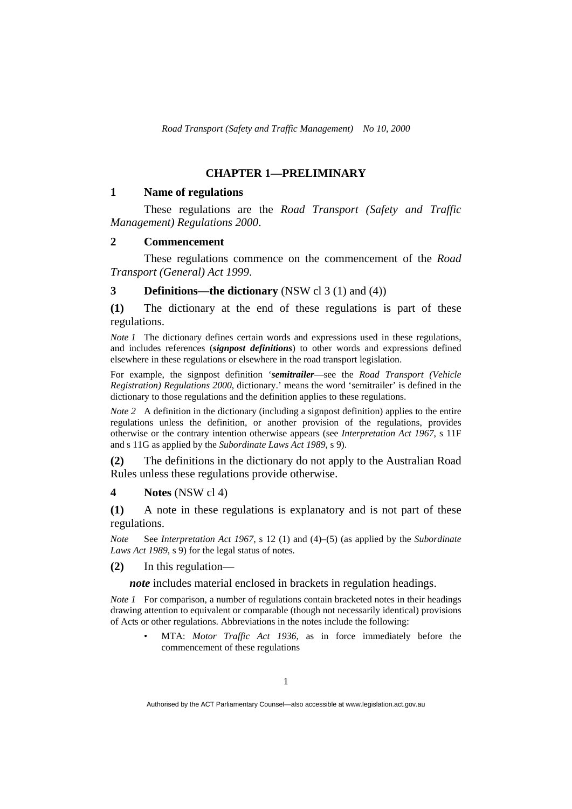# **CHAPTER 1—PRELIMINARY**

#### **1 Name of regulations**

 These regulations are the *Road Transport (Safety and Traffic Management) Regulations 2000*.

#### **2 Commencement**

 These regulations commence on the commencement of the *Road Transport (General) Act 1999*.

**3 Definitions—the dictionary** (NSW cl 3 (1) and (4))

**(1)** The dictionary at the end of these regulations is part of these regulations.

*Note 1* The dictionary defines certain words and expressions used in these regulations, and includes references (*signpost definitions*) to other words and expressions defined elsewhere in these regulations or elsewhere in the road transport legislation.

For example, the signpost definition '*semitrailer*—see the *Road Transport (Vehicle Registration) Regulations 2000*, dictionary.' means the word 'semitrailer' is defined in the dictionary to those regulations and the definition applies to these regulations.

*Note* 2 A definition in the dictionary (including a signpost definition) applies to the entire regulations unless the definition, or another provision of the regulations, provides otherwise or the contrary intention otherwise appears (see *Interpretation Act 1967*, s 11F and s 11G as applied by the *Subordinate Laws Act 1989*, s 9).

**(2)** The definitions in the dictionary do not apply to the Australian Road Rules unless these regulations provide otherwise.

# **4 Notes** (NSW cl 4)

**(1)** A note in these regulations is explanatory and is not part of these regulations.

*Note* See *Interpretation Act 1967*, s 12 (1) and (4)–(5) (as applied by the *Subordinate Laws Act 1989*, s 9) for the legal status of notes*.*

**(2)** In this regulation—

*note* includes material enclosed in brackets in regulation headings.

*Note 1* For comparison, a number of regulations contain bracketed notes in their headings drawing attention to equivalent or comparable (though not necessarily identical) provisions of Acts or other regulations. Abbreviations in the notes include the following:

> • MTA: *Motor Traffic Act 1936*, as in force immediately before the commencement of these regulations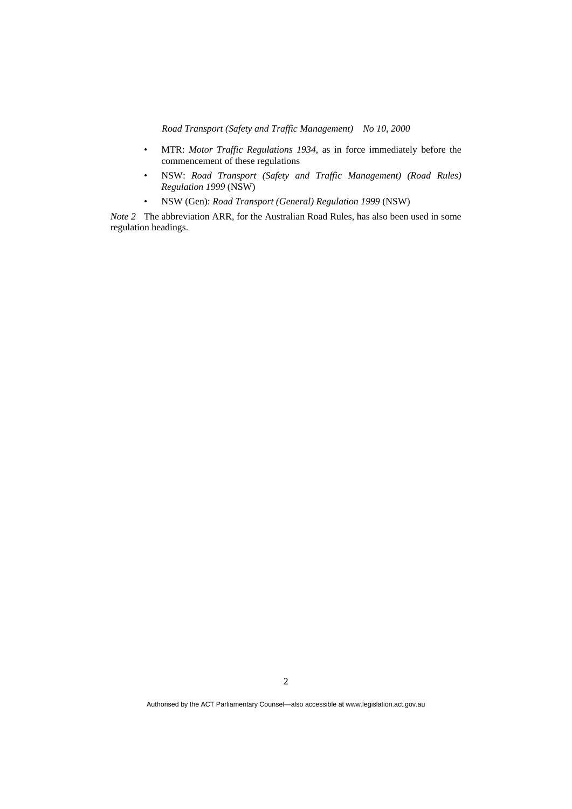- MTR: *Motor Traffic Regulations 1934*, as in force immediately before the commencement of these regulations
- NSW: *Road Transport (Safety and Traffic Management) (Road Rules) Regulation 1999* (NSW)
- NSW (Gen): *Road Transport (General) Regulation 1999* (NSW)

*Note 2* The abbreviation ARR, for the Australian Road Rules, has also been used in some regulation headings.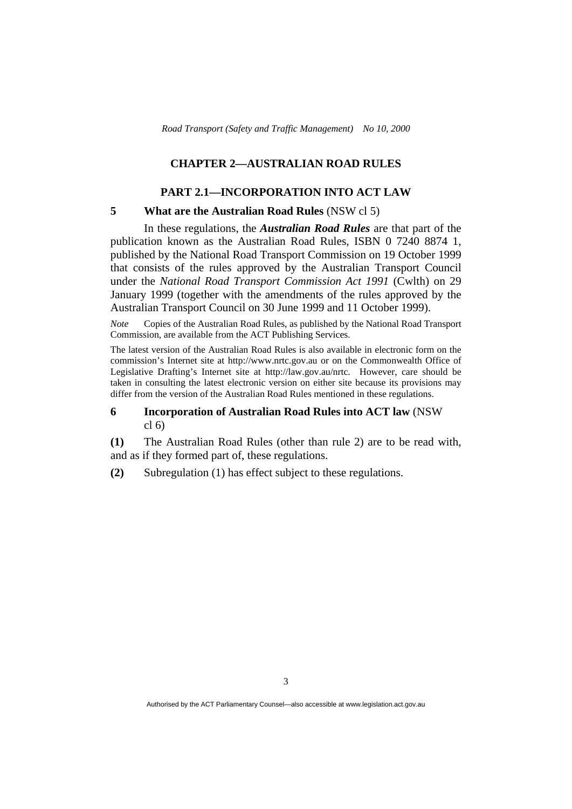# **CHAPTER 2—AUSTRALIAN ROAD RULES**

### **PART 2.1—INCORPORATION INTO ACT LAW**

#### **5 What are the Australian Road Rules** (NSW cl 5)

 In these regulations, the *Australian Road Rules* are that part of the publication known as the Australian Road Rules, ISBN 0 7240 8874 1, published by the National Road Transport Commission on 19 October 1999 that consists of the rules approved by the Australian Transport Council under the *National Road Transport Commission Act 1991* (Cwlth) on 29 January 1999 (together with the amendments of the rules approved by the Australian Transport Council on 30 June 1999 and 11 October 1999).

*Note* Copies of the Australian Road Rules, as published by the National Road Transport Commission, are available from the ACT Publishing Services.

The latest version of the Australian Road Rules is also available in electronic form on the commission's Internet site at http://www.nrtc.gov.au or on the Commonwealth Office of Legislative Drafting's Internet site at http://law.gov.au/nrtc. However, care should be taken in consulting the latest electronic version on either site because its provisions may differ from the version of the Australian Road Rules mentioned in these regulations.

#### **6 Incorporation of Australian Road Rules into ACT law** (NSW cl 6)

**(1)** The Australian Road Rules (other than rule 2) are to be read with, and as if they formed part of, these regulations.

**(2)** Subregulation (1) has effect subject to these regulations.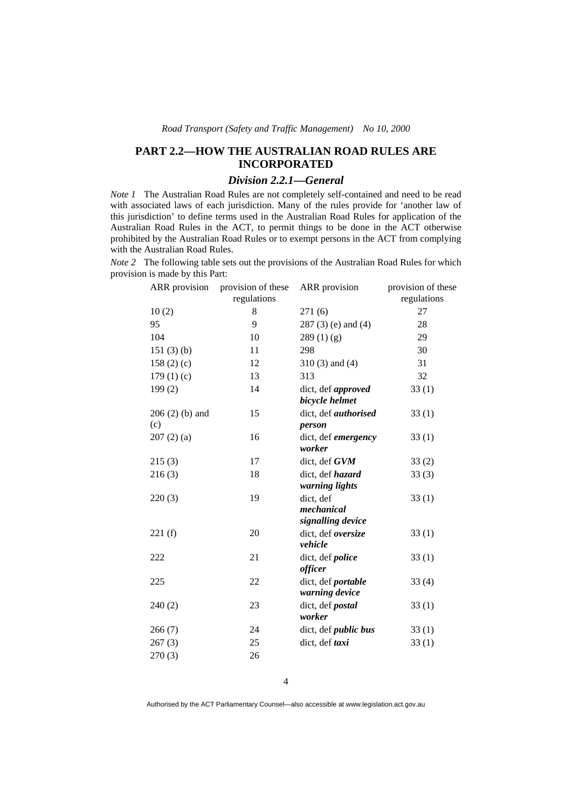# **PART 2.2—HOW THE AUSTRALIAN ROAD RULES ARE INCORPORATED**

# *Division 2.2.1—General*

*Note 1* The Australian Road Rules are not completely self-contained and need to be read with associated laws of each jurisdiction. Many of the rules provide for 'another law of this jurisdiction' to define terms used in the Australian Road Rules for application of the Australian Road Rules in the ACT, to permit things to be done in the ACT otherwise prohibited by the Australian Road Rules or to exempt persons in the ACT from complying with the Australian Road Rules.

*Note 2* The following table sets out the provisions of the Australian Road Rules for which provision is made by this Part:

| <b>ARR</b> provision    | provision of these | ARR provision                                | provision of these |
|-------------------------|--------------------|----------------------------------------------|--------------------|
|                         | regulations        |                                              | regulations        |
| 10(2)                   | 8                  | 271(6)                                       | 27                 |
| 95                      | 9                  | $287(3)$ (e) and (4)                         | 28                 |
| 104                     | 10                 | 289(1)(g)                                    | 29                 |
| 151(3)(b)               | 11                 | 298                                          | 30                 |
| 158(2)(c)               | 12                 | $310(3)$ and $(4)$                           | 31                 |
| 179(1)(c)               | 13                 | 313                                          | 32                 |
| 199(2)                  | 14                 | dict, def approved<br>bicycle helmet         | 33(1)              |
| $206(2)$ (b) and<br>(c) | 15                 | dict, def authorised<br>person               | 33(1)              |
| 207(2)(a)               | 16                 | dict, def emergency<br>worker                | 33(1)              |
| 215(3)                  | 17                 | dict, def GVM                                | 33(2)              |
| 216(3)                  | 18                 | dict, def hazard<br>warning lights           | 33(3)              |
| 220(3)                  | 19                 | dict, def<br>mechanical<br>signalling device | 33(1)              |
| 221(f)                  | 20                 | dict, def oversize<br>vehicle                | 33(1)              |
| 222                     | 21                 | dict, def police<br>officer                  | 33(1)              |
| 225                     | 22                 | dict, def portable<br>warning device         | 33(4)              |
| 240(2)                  | 23                 | dict, def postal<br>worker                   | 33(1)              |
| 266(7)                  | 24                 | dict, def <i>public</i> bus                  | 33(1)              |
| 267(3)                  | 25                 | dict, def taxi                               | 33(1)              |
| 270(3)                  | 26                 |                                              |                    |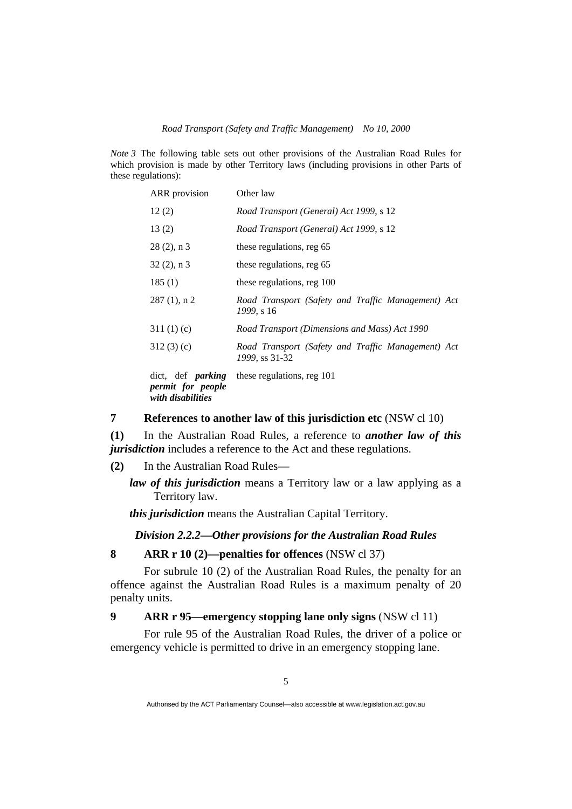*Note 3* The following table sets out other provisions of the Australian Road Rules for which provision is made by other Territory laws (including provisions in other Parts of these regulations):

| ARR provision                                                      | Other law                                                            |  |  |
|--------------------------------------------------------------------|----------------------------------------------------------------------|--|--|
| 12(2)                                                              | Road Transport (General) Act 1999, s 12                              |  |  |
| 13(2)                                                              | Road Transport (General) Act 1999, s 12                              |  |  |
| $28(2)$ , n 3                                                      | these regulations, reg 65                                            |  |  |
| $32(2)$ , n 3                                                      | these regulations, reg 65                                            |  |  |
| 185(1)                                                             | these regulations, reg 100                                           |  |  |
| $287(1)$ , n 2                                                     | Road Transport (Safety and Traffic Management) Act<br>1999, s 16     |  |  |
| 311(1)(c)                                                          | Road Transport (Dimensions and Mass) Act 1990                        |  |  |
| 312(3)(c)                                                          | Road Transport (Safety and Traffic Management) Act<br>1999, ss 31-32 |  |  |
| dict, def <i>parking</i><br>permit for people<br>with disabilities | these regulations, reg 101                                           |  |  |

## **7 References to another law of this jurisdiction etc** (NSW cl 10)

**(1)** In the Australian Road Rules, a reference to *another law of this jurisdiction* includes a reference to the Act and these regulations.

**(2)** In the Australian Road Rules—

*law of this jurisdiction* means a Territory law or a law applying as a Territory law.

*this jurisdiction* means the Australian Capital Territory.

*Division 2.2.2—Other provisions for the Australian Road Rules* 

# **8 ARR r 10 (2)—penalties for offences** (NSW cl 37)

 For subrule 10 (2) of the Australian Road Rules, the penalty for an offence against the Australian Road Rules is a maximum penalty of 20 penalty units.

# **9 ARR r 95—emergency stopping lane only signs** (NSW cl 11)

 For rule 95 of the Australian Road Rules, the driver of a police or emergency vehicle is permitted to drive in an emergency stopping lane.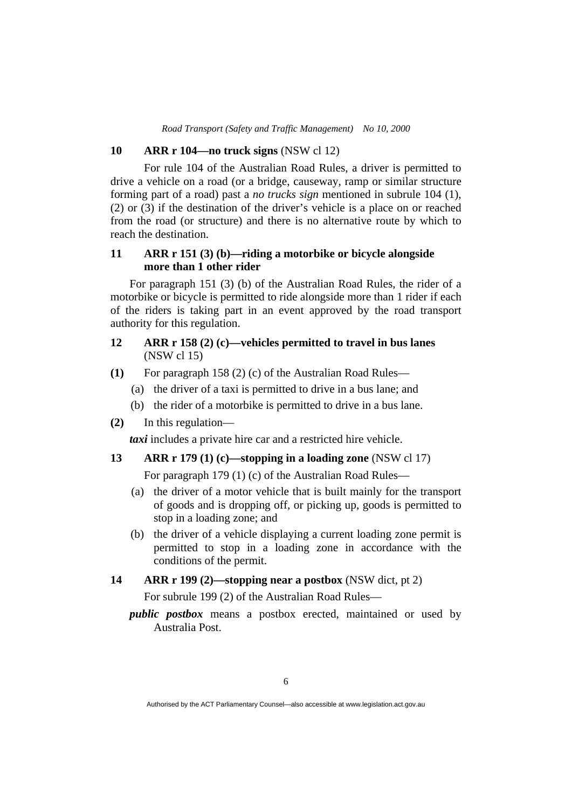## **10 ARR r 104—no truck signs** (NSW cl 12)

 For rule 104 of the Australian Road Rules, a driver is permitted to drive a vehicle on a road (or a bridge, causeway, ramp or similar structure forming part of a road) past a *no trucks sign* mentioned in subrule 104 (1), (2) or (3) if the destination of the driver's vehicle is a place on or reached from the road (or structure) and there is no alternative route by which to reach the destination.

# **11 ARR r 151 (3) (b)—riding a motorbike or bicycle alongside more than 1 other rider**

For paragraph 151 (3) (b) of the Australian Road Rules, the rider of a motorbike or bicycle is permitted to ride alongside more than 1 rider if each of the riders is taking part in an event approved by the road transport authority for this regulation.

# **12 ARR r 158 (2) (c)—vehicles permitted to travel in bus lanes**  (NSW cl 15)

- **(1)** For paragraph 158 (2) (c) of the Australian Road Rules—
	- (a) the driver of a taxi is permitted to drive in a bus lane; and
	- (b) the rider of a motorbike is permitted to drive in a bus lane.
- **(2)** In this regulation—

*taxi* includes a private hire car and a restricted hire vehicle.

# **13 ARR r 179 (1) (c)—stopping in a loading zone** (NSW cl 17)

For paragraph 179 (1) (c) of the Australian Road Rules—

- (a) the driver of a motor vehicle that is built mainly for the transport of goods and is dropping off, or picking up, goods is permitted to stop in a loading zone; and
- (b) the driver of a vehicle displaying a current loading zone permit is permitted to stop in a loading zone in accordance with the conditions of the permit.

# **14 ARR r 199 (2)—stopping near a postbox** (NSW dict, pt 2)

For subrule 199 (2) of the Australian Road Rules—

*public postbox* means a postbox erected, maintained or used by Australia Post.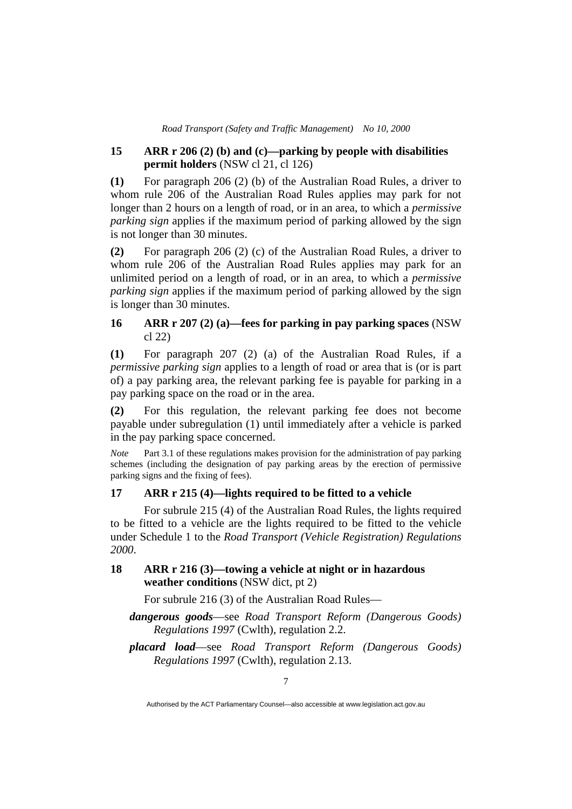## **15 ARR r 206 (2) (b) and (c)—parking by people with disabilities permit holders** (NSW cl 21, cl 126)

**(1)** For paragraph 206 (2) (b) of the Australian Road Rules, a driver to whom rule 206 of the Australian Road Rules applies may park for not longer than 2 hours on a length of road, or in an area, to which a *permissive parking sign* applies if the maximum period of parking allowed by the sign is not longer than 30 minutes.

**(2)** For paragraph 206 (2) (c) of the Australian Road Rules, a driver to whom rule 206 of the Australian Road Rules applies may park for an unlimited period on a length of road, or in an area, to which a *permissive parking sign* applies if the maximum period of parking allowed by the sign is longer than 30 minutes.

# **16 ARR r 207 (2) (a)—fees for parking in pay parking spaces** (NSW cl 22)

**(1)** For paragraph 207 (2) (a) of the Australian Road Rules, if a *permissive parking sign* applies to a length of road or area that is (or is part of) a pay parking area, the relevant parking fee is payable for parking in a pay parking space on the road or in the area.

**(2)** For this regulation, the relevant parking fee does not become payable under subregulation (1) until immediately after a vehicle is parked in the pay parking space concerned.

*Note* Part 3.1 of these regulations makes provision for the administration of pay parking schemes (including the designation of pay parking areas by the erection of permissive parking signs and the fixing of fees).

# **17 ARR r 215 (4)—lights required to be fitted to a vehicle**

 For subrule 215 (4) of the Australian Road Rules, the lights required to be fitted to a vehicle are the lights required to be fitted to the vehicle under Schedule 1 to the *Road Transport (Vehicle Registration) Regulations 2000*.

# **18 ARR r 216 (3)—towing a vehicle at night or in hazardous weather conditions** (NSW dict, pt 2)

For subrule 216 (3) of the Australian Road Rules—

*dangerous goods*—see *Road Transport Reform (Dangerous Goods) Regulations 1997* (Cwlth), regulation 2.2.

*placard load*—see *Road Transport Reform (Dangerous Goods) Regulations 1997* (Cwlth), regulation 2.13.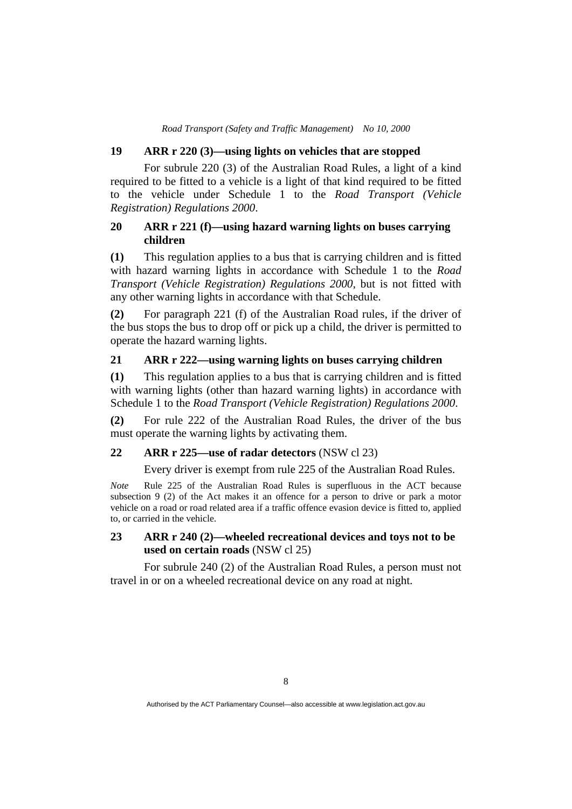# **19 ARR r 220 (3)—using lights on vehicles that are stopped**

 For subrule 220 (3) of the Australian Road Rules, a light of a kind required to be fitted to a vehicle is a light of that kind required to be fitted to the vehicle under Schedule 1 to the *Road Transport (Vehicle Registration) Regulations 2000*.

# **20 ARR r 221 (f)—using hazard warning lights on buses carrying children**

**(1)** This regulation applies to a bus that is carrying children and is fitted with hazard warning lights in accordance with Schedule 1 to the *Road Transport (Vehicle Registration) Regulations 2000*, but is not fitted with any other warning lights in accordance with that Schedule.

**(2)** For paragraph 221 (f) of the Australian Road rules, if the driver of the bus stops the bus to drop off or pick up a child, the driver is permitted to operate the hazard warning lights.

# **21 ARR r 222—using warning lights on buses carrying children**

**(1)** This regulation applies to a bus that is carrying children and is fitted with warning lights (other than hazard warning lights) in accordance with Schedule 1 to the *Road Transport (Vehicle Registration) Regulations 2000*.

**(2)** For rule 222 of the Australian Road Rules, the driver of the bus must operate the warning lights by activating them.

## **22 ARR r 225—use of radar detectors** (NSW cl 23)

Every driver is exempt from rule 225 of the Australian Road Rules.

*Note* Rule 225 of the Australian Road Rules is superfluous in the ACT because subsection 9 (2) of the Act makes it an offence for a person to drive or park a motor vehicle on a road or road related area if a traffic offence evasion device is fitted to, applied to, or carried in the vehicle.

# **23 ARR r 240 (2)—wheeled recreational devices and toys not to be used on certain roads** (NSW cl 25)

 For subrule 240 (2) of the Australian Road Rules, a person must not travel in or on a wheeled recreational device on any road at night.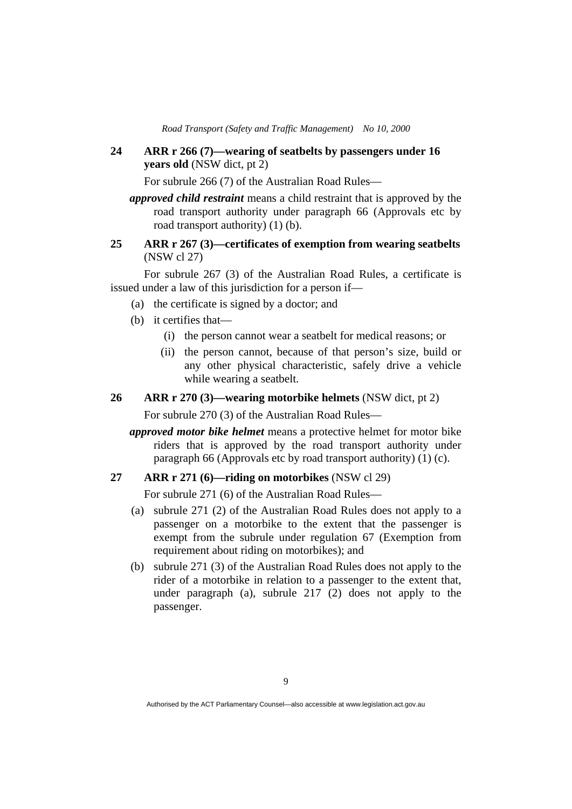**24 ARR r 266 (7)—wearing of seatbelts by passengers under 16 years old** (NSW dict, pt 2)

For subrule 266 (7) of the Australian Road Rules—

*approved child restraint* means a child restraint that is approved by the road transport authority under paragraph 66 (Approvals etc by road transport authority) (1) (b).

# **25 ARR r 267 (3)—certificates of exemption from wearing seatbelts**  (NSW cl 27)

 For subrule 267 (3) of the Australian Road Rules, a certificate is issued under a law of this jurisdiction for a person if—

- (a) the certificate is signed by a doctor; and
- (b) it certifies that—
	- (i) the person cannot wear a seatbelt for medical reasons; or
	- (ii) the person cannot, because of that person's size, build or any other physical characteristic, safely drive a vehicle while wearing a seatbelt.
- **26 ARR r 270 (3)—wearing motorbike helmets** (NSW dict, pt 2)

For subrule 270 (3) of the Australian Road Rules—

*approved motor bike helmet* means a protective helmet for motor bike riders that is approved by the road transport authority under paragraph 66 (Approvals etc by road transport authority) (1) (c).

#### **27 ARR r 271 (6)—riding on motorbikes** (NSW cl 29)

For subrule 271 (6) of the Australian Road Rules—

- (a) subrule 271 (2) of the Australian Road Rules does not apply to a passenger on a motorbike to the extent that the passenger is exempt from the subrule under regulation 67 (Exemption from requirement about riding on motorbikes); and
- (b) subrule 271 (3) of the Australian Road Rules does not apply to the rider of a motorbike in relation to a passenger to the extent that, under paragraph (a), subrule 217 (2) does not apply to the passenger.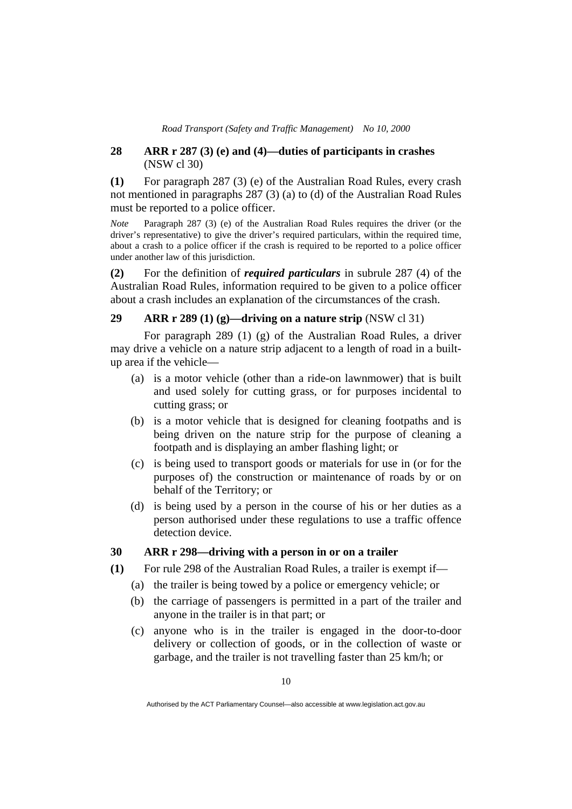## **28 ARR r 287 (3) (e) and (4)—duties of participants in crashes**  (NSW cl 30)

**(1)** For paragraph 287 (3) (e) of the Australian Road Rules, every crash not mentioned in paragraphs 287 (3) (a) to (d) of the Australian Road Rules must be reported to a police officer.

*Note* Paragraph 287 (3) (e) of the Australian Road Rules requires the driver (or the driver's representative) to give the driver's required particulars, within the required time, about a crash to a police officer if the crash is required to be reported to a police officer under another law of this jurisdiction.

**(2)** For the definition of *required particulars* in subrule 287 (4) of the Australian Road Rules, information required to be given to a police officer about a crash includes an explanation of the circumstances of the crash.

# **29 ARR r 289 (1) (g)—driving on a nature strip** (NSW cl 31)

 For paragraph 289 (1) (g) of the Australian Road Rules, a driver may drive a vehicle on a nature strip adjacent to a length of road in a builtup area if the vehicle—

- (a) is a motor vehicle (other than a ride-on lawnmower) that is built and used solely for cutting grass, or for purposes incidental to cutting grass; or
- (b) is a motor vehicle that is designed for cleaning footpaths and is being driven on the nature strip for the purpose of cleaning a footpath and is displaying an amber flashing light; or
- (c) is being used to transport goods or materials for use in (or for the purposes of) the construction or maintenance of roads by or on behalf of the Territory; or
- (d) is being used by a person in the course of his or her duties as a person authorised under these regulations to use a traffic offence detection device.

# **30 ARR r 298—driving with a person in or on a trailer**

- **(1)** For rule 298 of the Australian Road Rules, a trailer is exempt if—
	- (a) the trailer is being towed by a police or emergency vehicle; or
	- (b) the carriage of passengers is permitted in a part of the trailer and anyone in the trailer is in that part; or
	- (c) anyone who is in the trailer is engaged in the door-to-door delivery or collection of goods, or in the collection of waste or garbage, and the trailer is not travelling faster than 25 km/h; or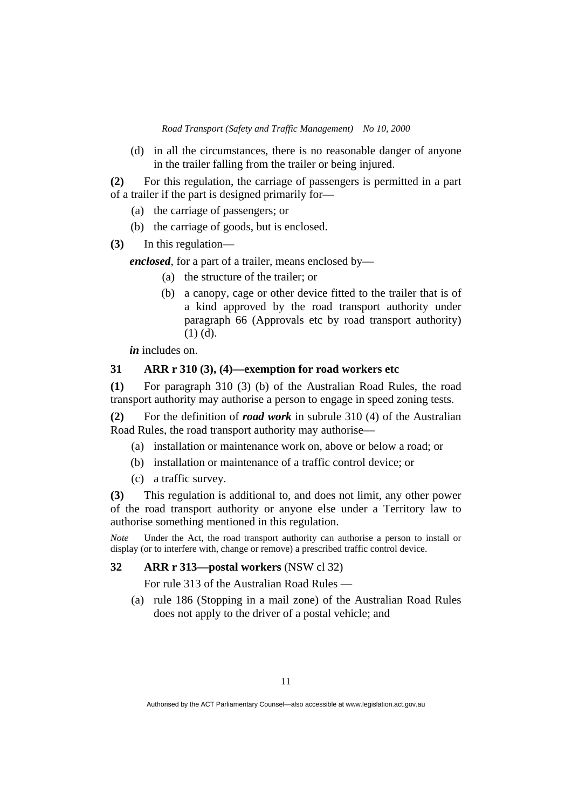(d) in all the circumstances, there is no reasonable danger of anyone in the trailer falling from the trailer or being injured.

**(2)** For this regulation, the carriage of passengers is permitted in a part of a trailer if the part is designed primarily for—

- (a) the carriage of passengers; or
- (b) the carriage of goods, but is enclosed.
- **(3)** In this regulation—

*enclosed*, for a part of a trailer, means enclosed by—

- (a) the structure of the trailer; or
- (b) a canopy, cage or other device fitted to the trailer that is of a kind approved by the road transport authority under paragraph 66 (Approvals etc by road transport authority) (1) (d).

*in* includes on.

# **31 ARR r 310 (3), (4)—exemption for road workers etc**

**(1)** For paragraph 310 (3) (b) of the Australian Road Rules, the road transport authority may authorise a person to engage in speed zoning tests.

**(2)** For the definition of *road work* in subrule 310 (4) of the Australian Road Rules, the road transport authority may authorise—

- (a) installation or maintenance work on, above or below a road; or
- (b) installation or maintenance of a traffic control device; or
- (c) a traffic survey.

**(3)** This regulation is additional to, and does not limit, any other power of the road transport authority or anyone else under a Territory law to authorise something mentioned in this regulation.

*Note* Under the Act, the road transport authority can authorise a person to install or display (or to interfere with, change or remove) a prescribed traffic control device.

# **32 ARR r 313—postal workers** (NSW cl 32)

For rule 313 of the Australian Road Rules —

 (a) rule 186 (Stopping in a mail zone) of the Australian Road Rules does not apply to the driver of a postal vehicle; and

Authorised by the ACT Parliamentary Counsel—also accessible at www.legislation.act.gov.au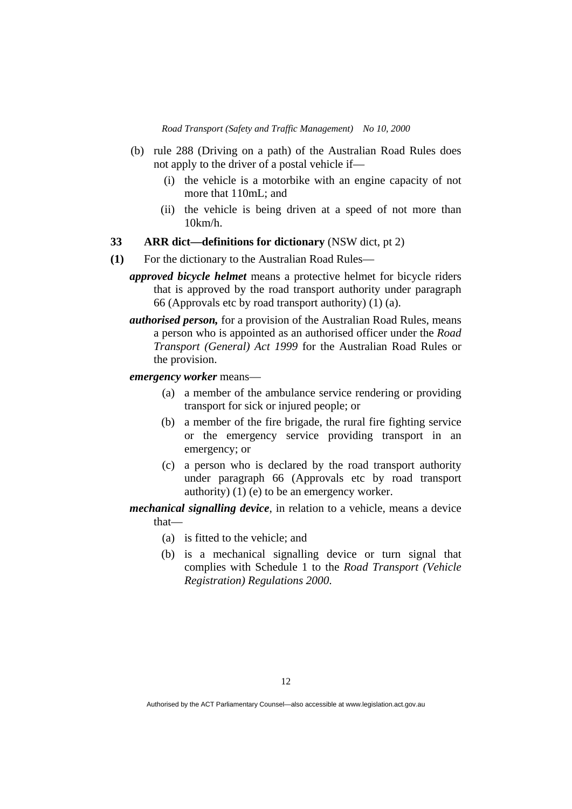- (b) rule 288 (Driving on a path) of the Australian Road Rules does not apply to the driver of a postal vehicle if—
	- (i) the vehicle is a motorbike with an engine capacity of not more that 110mL; and
	- (ii) the vehicle is being driven at a speed of not more than 10km/h.

**33 ARR dict—definitions for dictionary** (NSW dict, pt 2)

- **(1)** For the dictionary to the Australian Road Rules
	- *approved bicycle helmet* means a protective helmet for bicycle riders that is approved by the road transport authority under paragraph 66 (Approvals etc by road transport authority) (1) (a).
	- *authorised person,* for a provision of the Australian Road Rules, means a person who is appointed as an authorised officer under the *Road Transport (General) Act 1999* for the Australian Road Rules or the provision.

*emergency worker* means—

- (a) a member of the ambulance service rendering or providing transport for sick or injured people; or
- (b) a member of the fire brigade, the rural fire fighting service or the emergency service providing transport in an emergency; or
- (c) a person who is declared by the road transport authority under paragraph 66 (Approvals etc by road transport authority) (1) (e) to be an emergency worker.
- *mechanical signalling device*, in relation to a vehicle, means a device that—
	- (a) is fitted to the vehicle; and
	- (b) is a mechanical signalling device or turn signal that complies with Schedule 1 to the *Road Transport (Vehicle Registration) Regulations 2000*.

Authorised by the ACT Parliamentary Counsel—also accessible at www.legislation.act.gov.au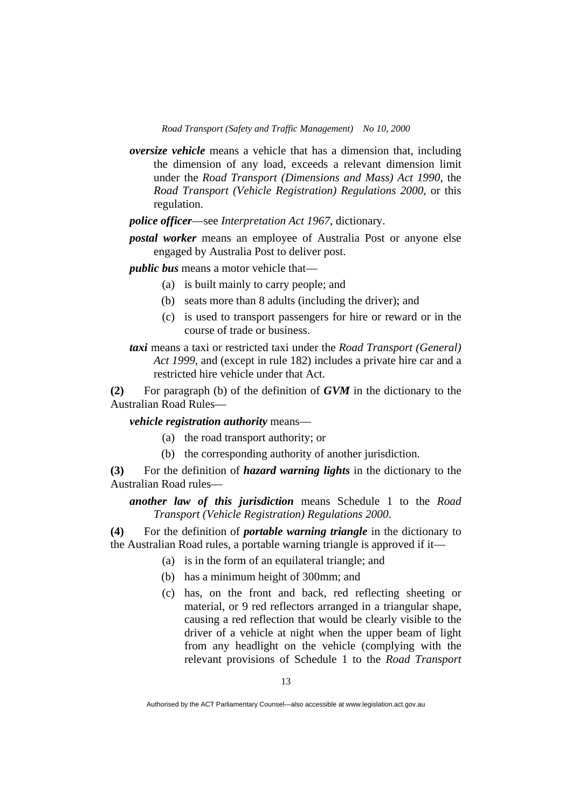*oversize vehicle* means a vehicle that has a dimension that, including the dimension of any load, exceeds a relevant dimension limit under the *Road Transport (Dimensions and Mass) Act 1990*, the *Road Transport (Vehicle Registration) Regulations 2000*, or this regulation.

*police officer*—see *Interpretation Act 1967*, dictionary.

*postal worker* means an employee of Australia Post or anyone else engaged by Australia Post to deliver post.

*public bus* means a motor vehicle that—

- (a) is built mainly to carry people; and
- (b) seats more than 8 adults (including the driver); and
- (c) is used to transport passengers for hire or reward or in the course of trade or business.

*taxi* means a taxi or restricted taxi under the *Road Transport (General) Act 1999*, and (except in rule 182) includes a private hire car and a restricted hire vehicle under that Act.

**(2)** For paragraph (b) of the definition of *GVM* in the dictionary to the Australian Road Rules—

*vehicle registration authority* means—

- (a) the road transport authority; or
- (b) the corresponding authority of another jurisdiction.

**(3)** For the definition of *hazard warning lights* in the dictionary to the Australian Road rules—

*another law of this jurisdiction* means Schedule 1 to the *Road Transport (Vehicle Registration) Regulations 2000*.

**(4)** For the definition of *portable warning triangle* in the dictionary to the Australian Road rules, a portable warning triangle is approved if it—

- (a) is in the form of an equilateral triangle; and
- (b) has a minimum height of 300mm; and
- (c) has, on the front and back, red reflecting sheeting or material, or 9 red reflectors arranged in a triangular shape, causing a red reflection that would be clearly visible to the driver of a vehicle at night when the upper beam of light from any headlight on the vehicle (complying with the relevant provisions of Schedule 1 to the *Road Transport*

Authorised by the ACT Parliamentary Counsel—also accessible at www.legislation.act.gov.au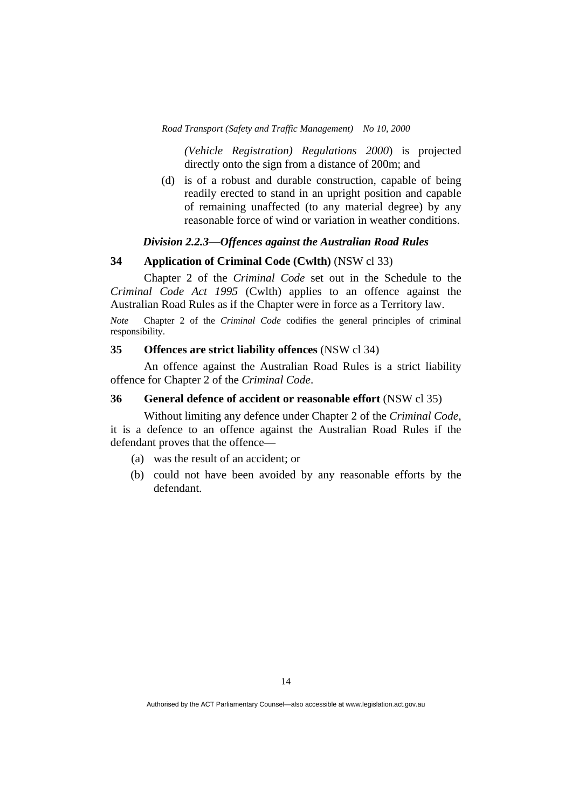*(Vehicle Registration) Regulations 2000*) is projected directly onto the sign from a distance of 200m; and

 (d) is of a robust and durable construction, capable of being readily erected to stand in an upright position and capable of remaining unaffected (to any material degree) by any reasonable force of wind or variation in weather conditions.

#### *Division 2.2.3—Offences against the Australian Road Rules*

# **34 Application of Criminal Code (Cwlth)** (NSW cl 33)

 Chapter 2 of the *Criminal Code* set out in the Schedule to the *Criminal Code Act 1995* (Cwlth) applies to an offence against the Australian Road Rules as if the Chapter were in force as a Territory law.

*Note* Chapter 2 of the *Criminal Code* codifies the general principles of criminal responsibility.

#### **35 Offences are strict liability offences** (NSW cl 34)

 An offence against the Australian Road Rules is a strict liability offence for Chapter 2 of the *Criminal Code*.

#### **36 General defence of accident or reasonable effort** (NSW cl 35)

 Without limiting any defence under Chapter 2 of the *Criminal Code*, it is a defence to an offence against the Australian Road Rules if the defendant proves that the offence—

- (a) was the result of an accident; or
- (b) could not have been avoided by any reasonable efforts by the defendant.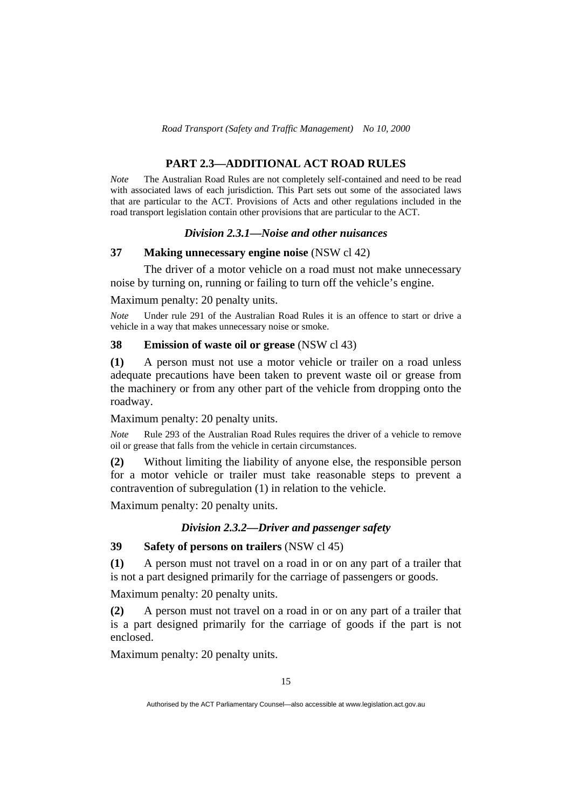# **PART 2.3—ADDITIONAL ACT ROAD RULES**

*Note* The Australian Road Rules are not completely self-contained and need to be read with associated laws of each jurisdiction. This Part sets out some of the associated laws that are particular to the ACT. Provisions of Acts and other regulations included in the road transport legislation contain other provisions that are particular to the ACT.

## *Division 2.3.1—Noise and other nuisances*

# **37 Making unnecessary engine noise** (NSW cl 42)

 The driver of a motor vehicle on a road must not make unnecessary noise by turning on, running or failing to turn off the vehicle's engine.

Maximum penalty: 20 penalty units.

*Note* Under rule 291 of the Australian Road Rules it is an offence to start or drive a vehicle in a way that makes unnecessary noise or smoke.

# **38 Emission of waste oil or grease** (NSW cl 43)

**(1)** A person must not use a motor vehicle or trailer on a road unless adequate precautions have been taken to prevent waste oil or grease from the machinery or from any other part of the vehicle from dropping onto the roadway.

Maximum penalty: 20 penalty units.

*Note* Rule 293 of the Australian Road Rules requires the driver of a vehicle to remove oil or grease that falls from the vehicle in certain circumstances.

**(2)** Without limiting the liability of anyone else, the responsible person for a motor vehicle or trailer must take reasonable steps to prevent a contravention of subregulation (1) in relation to the vehicle.

Maximum penalty: 20 penalty units.

# *Division 2.3.2—Driver and passenger safety*

# **39 Safety of persons on trailers** (NSW cl 45)

**(1)** A person must not travel on a road in or on any part of a trailer that is not a part designed primarily for the carriage of passengers or goods.

Maximum penalty: 20 penalty units.

**(2)** A person must not travel on a road in or on any part of a trailer that is a part designed primarily for the carriage of goods if the part is not enclosed.

Maximum penalty: 20 penalty units.

Authorised by the ACT Parliamentary Counsel—also accessible at www.legislation.act.gov.au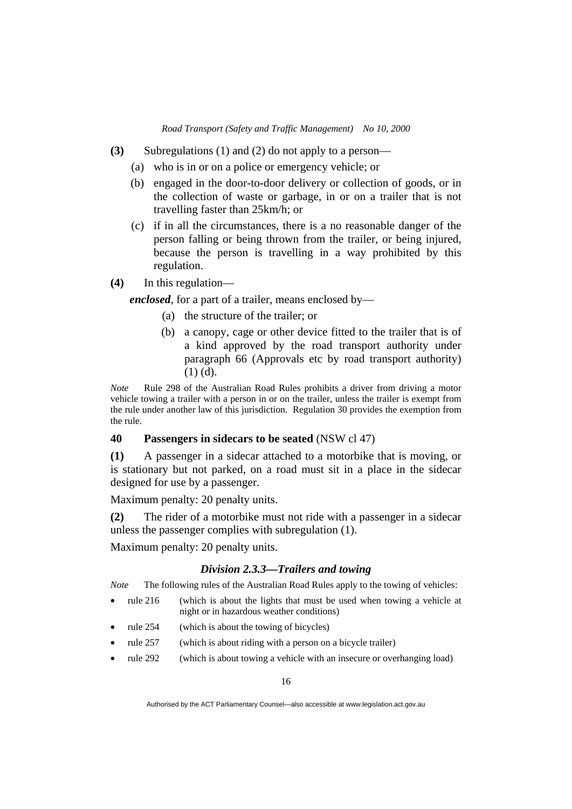- **(3)** Subregulations (1) and (2) do not apply to a person—
	- (a) who is in or on a police or emergency vehicle; or
	- (b) engaged in the door-to-door delivery or collection of goods, or in the collection of waste or garbage, in or on a trailer that is not travelling faster than 25km/h; or
	- (c) if in all the circumstances, there is a no reasonable danger of the person falling or being thrown from the trailer, or being injured, because the person is travelling in a way prohibited by this regulation.
- **(4)** In this regulation—

*enclosed*, for a part of a trailer, means enclosed by—

- (a) the structure of the trailer; or
- (b) a canopy, cage or other device fitted to the trailer that is of a kind approved by the road transport authority under paragraph 66 (Approvals etc by road transport authority) (1) (d).

*Note* Rule 298 of the Australian Road Rules prohibits a driver from driving a motor vehicle towing a trailer with a person in or on the trailer, unless the trailer is exempt from the rule under another law of this jurisdiction. Regulation 30 provides the exemption from the rule.

# **40 Passengers in sidecars to be seated** (NSW cl 47)

**(1)** A passenger in a sidecar attached to a motorbike that is moving, or is stationary but not parked, on a road must sit in a place in the sidecar designed for use by a passenger.

Maximum penalty: 20 penalty units.

**(2)** The rider of a motorbike must not ride with a passenger in a sidecar unless the passenger complies with subregulation (1).

Maximum penalty: 20 penalty units.

#### *Division 2.3.3—Trailers and towing*

*Note* The following rules of the Australian Road Rules apply to the towing of vehicles:

- rule 216 (which is about the lights that must be used when towing a vehicle at night or in hazardous weather conditions)
- rule 254 (which is about the towing of bicycles)
- rule 257 (which is about riding with a person on a bicycle trailer)
- rule 292 (which is about towing a vehicle with an insecure or overhanging load)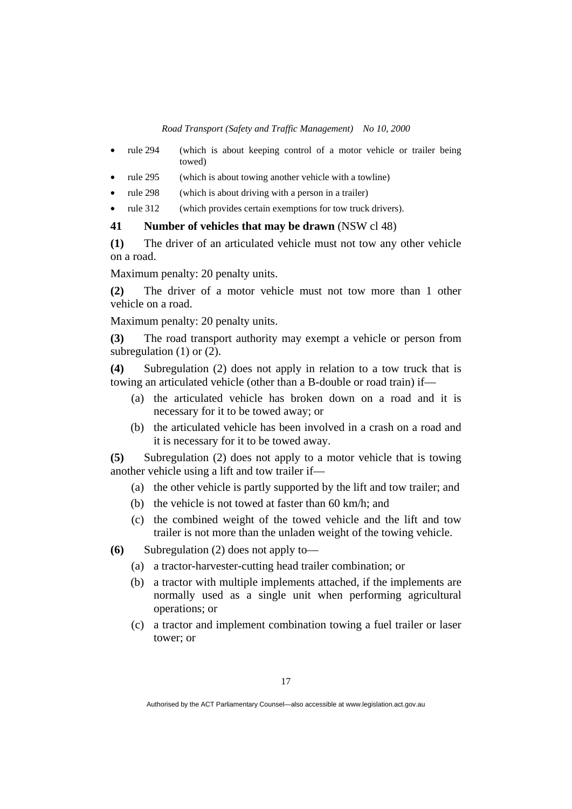- rule 294 (which is about keeping control of a motor vehicle or trailer being towed)
- rule 295 (which is about towing another vehicle with a towline)
- rule 298 (which is about driving with a person in a trailer)
- rule 312 (which provides certain exemptions for tow truck drivers).

#### **41 Number of vehicles that may be drawn** (NSW cl 48)

**(1)** The driver of an articulated vehicle must not tow any other vehicle on a road.

Maximum penalty: 20 penalty units.

**(2)** The driver of a motor vehicle must not tow more than 1 other vehicle on a road.

Maximum penalty: 20 penalty units.

**(3)** The road transport authority may exempt a vehicle or person from subregulation (1) or (2).

**(4)** Subregulation (2) does not apply in relation to a tow truck that is towing an articulated vehicle (other than a B-double or road train) if—

- (a) the articulated vehicle has broken down on a road and it is necessary for it to be towed away; or
- (b) the articulated vehicle has been involved in a crash on a road and it is necessary for it to be towed away.

**(5)** Subregulation (2) does not apply to a motor vehicle that is towing another vehicle using a lift and tow trailer if—

- (a) the other vehicle is partly supported by the lift and tow trailer; and
- (b) the vehicle is not towed at faster than 60 km/h; and
- (c) the combined weight of the towed vehicle and the lift and tow trailer is not more than the unladen weight of the towing vehicle.

**(6)** Subregulation (2) does not apply to—

- (a) a tractor-harvester-cutting head trailer combination; or
- (b) a tractor with multiple implements attached, if the implements are normally used as a single unit when performing agricultural operations; or
- (c) a tractor and implement combination towing a fuel trailer or laser tower; or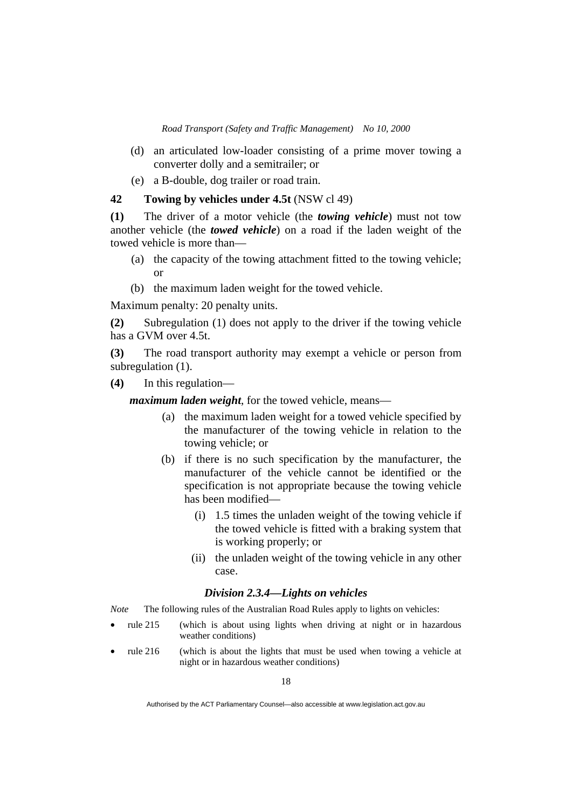- (d) an articulated low-loader consisting of a prime mover towing a converter dolly and a semitrailer; or
- (e) a B-double, dog trailer or road train.

# **42 Towing by vehicles under 4.5t** (NSW cl 49)

**(1)** The driver of a motor vehicle (the *towing vehicle*) must not tow another vehicle (the *towed vehicle*) on a road if the laden weight of the towed vehicle is more than—

- (a) the capacity of the towing attachment fitted to the towing vehicle; or
- (b) the maximum laden weight for the towed vehicle.

Maximum penalty: 20 penalty units.

**(2)** Subregulation (1) does not apply to the driver if the towing vehicle has a GVM over 4.5t.

**(3)** The road transport authority may exempt a vehicle or person from subregulation (1).

**(4)** In this regulation—

*maximum laden weight*, for the towed vehicle, means—

- (a) the maximum laden weight for a towed vehicle specified by the manufacturer of the towing vehicle in relation to the towing vehicle; or
- (b) if there is no such specification by the manufacturer, the manufacturer of the vehicle cannot be identified or the specification is not appropriate because the towing vehicle has been modified—
	- (i) 1.5 times the unladen weight of the towing vehicle if the towed vehicle is fitted with a braking system that is working properly; or
	- (ii) the unladen weight of the towing vehicle in any other case.

## *Division 2.3.4—Lights on vehicles*

*Note* The following rules of the Australian Road Rules apply to lights on vehicles:

- rule 215 (which is about using lights when driving at night or in hazardous weather conditions)
- rule 216 (which is about the lights that must be used when towing a vehicle at night or in hazardous weather conditions)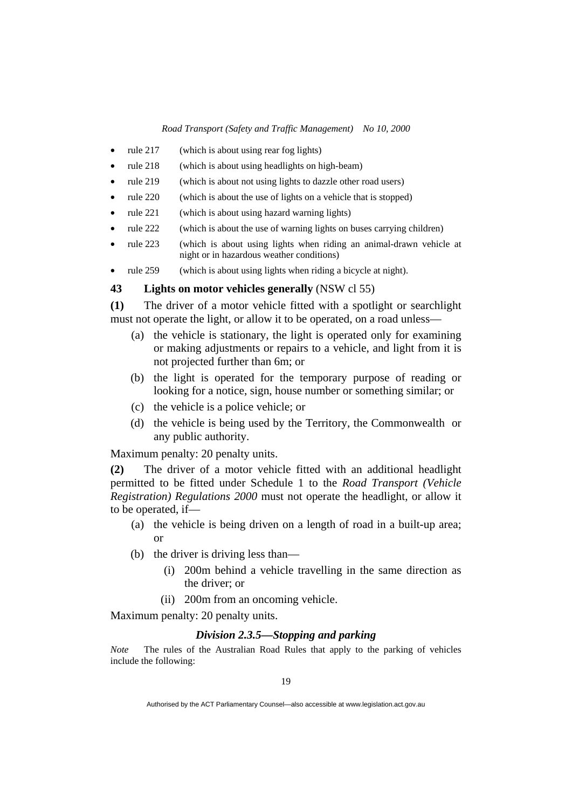- rule 217 (which is about using rear fog lights)
- rule 218 (which is about using headlights on high-beam)
- rule 219 (which is about not using lights to dazzle other road users)
- rule 220 (which is about the use of lights on a vehicle that is stopped)
- rule 221 (which is about using hazard warning lights)
- rule 222 (which is about the use of warning lights on buses carrying children)
- rule 223 (which is about using lights when riding an animal-drawn vehicle at night or in hazardous weather conditions)
- rule 259 (which is about using lights when riding a bicycle at night).

## **43 Lights on motor vehicles generally** (NSW cl 55)

**(1)** The driver of a motor vehicle fitted with a spotlight or searchlight must not operate the light, or allow it to be operated, on a road unless—

- (a) the vehicle is stationary, the light is operated only for examining or making adjustments or repairs to a vehicle, and light from it is not projected further than 6m; or
- (b) the light is operated for the temporary purpose of reading or looking for a notice, sign, house number or something similar; or
- (c) the vehicle is a police vehicle; or
- (d) the vehicle is being used by the Territory, the Commonwealth or any public authority.

Maximum penalty: 20 penalty units.

**(2)** The driver of a motor vehicle fitted with an additional headlight permitted to be fitted under Schedule 1 to the *Road Transport (Vehicle Registration) Regulations 2000* must not operate the headlight, or allow it to be operated, if—

- (a) the vehicle is being driven on a length of road in a built-up area; or
- (b) the driver is driving less than—
	- (i) 200m behind a vehicle travelling in the same direction as the driver; or
	- (ii) 200m from an oncoming vehicle.

Maximum penalty: 20 penalty units.

# *Division 2.3.5—Stopping and parking*

*Note* The rules of the Australian Road Rules that apply to the parking of vehicles include the following: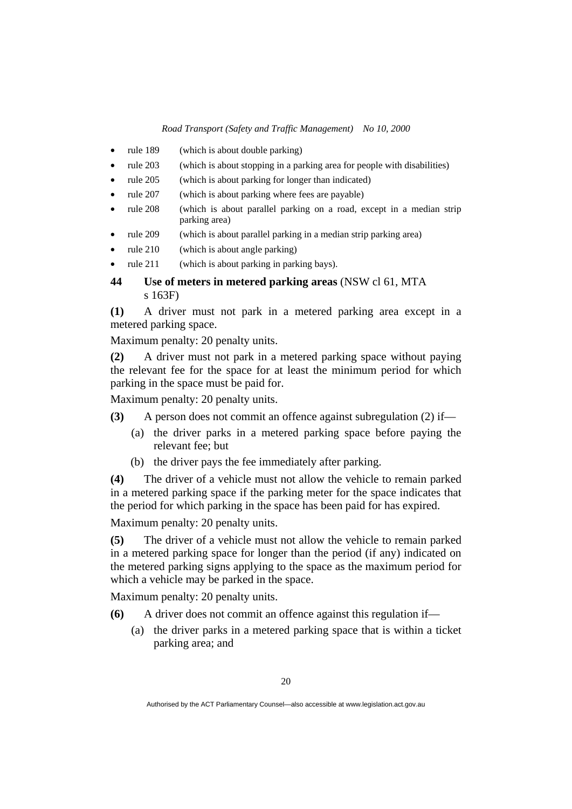- rule 189 (which is about double parking)
- rule 203 (which is about stopping in a parking area for people with disabilities)
- rule 205 (which is about parking for longer than indicated)
- rule 207 (which is about parking where fees are payable)
- rule 208 (which is about parallel parking on a road, except in a median strip parking area)
- rule 209 (which is about parallel parking in a median strip parking area)
- rule 210 (which is about angle parking)
- rule 211 (which is about parking in parking bays).

# **44 Use of meters in metered parking areas** (NSW cl 61, MTA s 163F)

**(1)** A driver must not park in a metered parking area except in a metered parking space.

Maximum penalty: 20 penalty units.

**(2)** A driver must not park in a metered parking space without paying the relevant fee for the space for at least the minimum period for which parking in the space must be paid for.

Maximum penalty: 20 penalty units.

- **(3)** A person does not commit an offence against subregulation (2) if—
	- (a) the driver parks in a metered parking space before paying the relevant fee; but
	- (b) the driver pays the fee immediately after parking.

**(4)** The driver of a vehicle must not allow the vehicle to remain parked in a metered parking space if the parking meter for the space indicates that the period for which parking in the space has been paid for has expired.

Maximum penalty: 20 penalty units.

**(5)** The driver of a vehicle must not allow the vehicle to remain parked in a metered parking space for longer than the period (if any) indicated on the metered parking signs applying to the space as the maximum period for which a vehicle may be parked in the space.

Maximum penalty: 20 penalty units.

- **(6)** A driver does not commit an offence against this regulation if—
	- (a) the driver parks in a metered parking space that is within a ticket parking area; and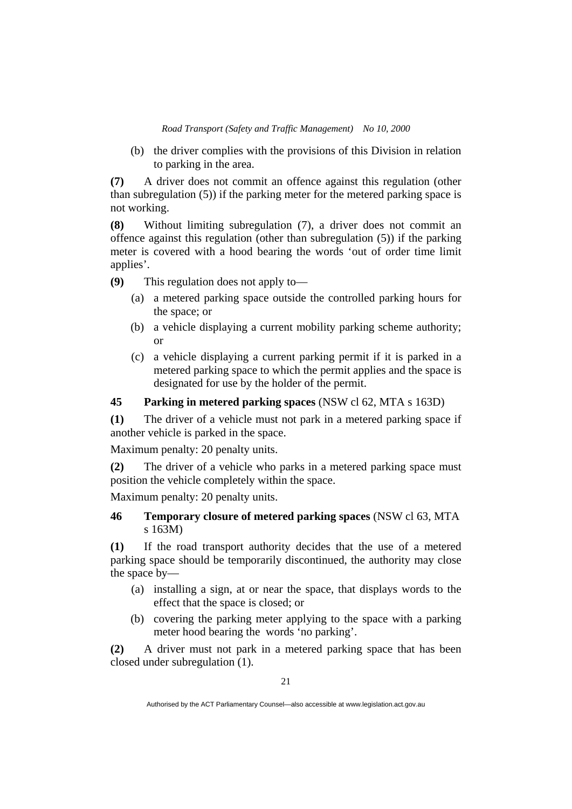(b) the driver complies with the provisions of this Division in relation to parking in the area.

**(7)** A driver does not commit an offence against this regulation (other than subregulation (5)) if the parking meter for the metered parking space is not working.

**(8)** Without limiting subregulation (7), a driver does not commit an offence against this regulation (other than subregulation (5)) if the parking meter is covered with a hood bearing the words 'out of order time limit applies'.

**(9)** This regulation does not apply to—

- (a) a metered parking space outside the controlled parking hours for the space; or
- (b) a vehicle displaying a current mobility parking scheme authority; or
- (c) a vehicle displaying a current parking permit if it is parked in a metered parking space to which the permit applies and the space is designated for use by the holder of the permit.

# **45 Parking in metered parking spaces** (NSW cl 62, MTA s 163D)

**(1)** The driver of a vehicle must not park in a metered parking space if another vehicle is parked in the space.

Maximum penalty: 20 penalty units.

**(2)** The driver of a vehicle who parks in a metered parking space must position the vehicle completely within the space.

Maximum penalty: 20 penalty units.

# **46 Temporary closure of metered parking spaces** (NSW cl 63, MTA s 163M)

**(1)** If the road transport authority decides that the use of a metered parking space should be temporarily discontinued, the authority may close the space by—

- (a) installing a sign, at or near the space, that displays words to the effect that the space is closed; or
- (b) covering the parking meter applying to the space with a parking meter hood bearing the words 'no parking'.

**(2)** A driver must not park in a metered parking space that has been closed under subregulation (1).

Authorised by the ACT Parliamentary Counsel—also accessible at www.legislation.act.gov.au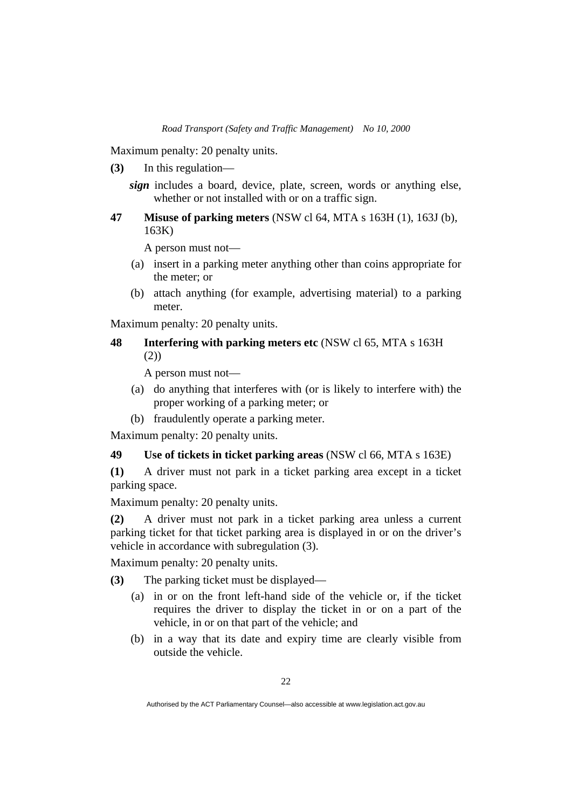Maximum penalty: 20 penalty units.

- **(3)** In this regulation
	- *sign* includes a board, device, plate, screen, words or anything else, whether or not installed with or on a traffic sign.
- **47 Misuse of parking meters** (NSW cl 64, MTA s 163H (1), 163J (b), 163K)

A person must not—

- (a) insert in a parking meter anything other than coins appropriate for the meter; or
- (b) attach anything (for example, advertising material) to a parking meter.

Maximum penalty: 20 penalty units.

# **48 Interfering with parking meters etc** (NSW cl 65, MTA s 163H (2))

A person must not—

- (a) do anything that interferes with (or is likely to interfere with) the proper working of a parking meter; or
- (b) fraudulently operate a parking meter.

Maximum penalty: 20 penalty units.

# **49 Use of tickets in ticket parking areas** (NSW cl 66, MTA s 163E)

**(1)** A driver must not park in a ticket parking area except in a ticket parking space.

Maximum penalty: 20 penalty units.

**(2)** A driver must not park in a ticket parking area unless a current parking ticket for that ticket parking area is displayed in or on the driver's vehicle in accordance with subregulation (3).

Maximum penalty: 20 penalty units.

- **(3)** The parking ticket must be displayed—
	- (a) in or on the front left-hand side of the vehicle or, if the ticket requires the driver to display the ticket in or on a part of the vehicle, in or on that part of the vehicle; and
	- (b) in a way that its date and expiry time are clearly visible from outside the vehicle.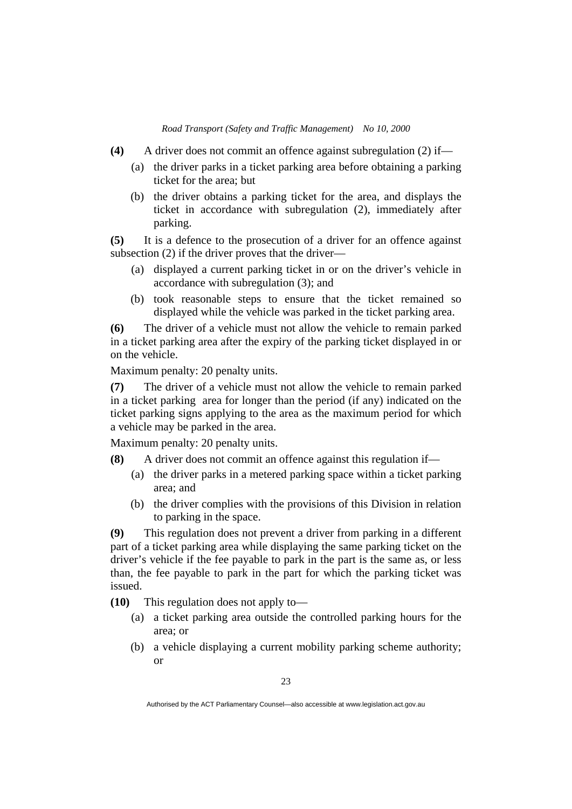- **(4)** A driver does not commit an offence against subregulation (2) if—
	- (a) the driver parks in a ticket parking area before obtaining a parking ticket for the area; but
	- (b) the driver obtains a parking ticket for the area, and displays the ticket in accordance with subregulation (2), immediately after parking.

**(5)** It is a defence to the prosecution of a driver for an offence against subsection (2) if the driver proves that the driver—

- (a) displayed a current parking ticket in or on the driver's vehicle in accordance with subregulation (3); and
- (b) took reasonable steps to ensure that the ticket remained so displayed while the vehicle was parked in the ticket parking area.

**(6)** The driver of a vehicle must not allow the vehicle to remain parked in a ticket parking area after the expiry of the parking ticket displayed in or on the vehicle.

Maximum penalty: 20 penalty units.

**(7)** The driver of a vehicle must not allow the vehicle to remain parked in a ticket parking area for longer than the period (if any) indicated on the ticket parking signs applying to the area as the maximum period for which a vehicle may be parked in the area.

Maximum penalty: 20 penalty units.

- **(8)** A driver does not commit an offence against this regulation if—
	- (a) the driver parks in a metered parking space within a ticket parking area; and
	- (b) the driver complies with the provisions of this Division in relation to parking in the space.

**(9)** This regulation does not prevent a driver from parking in a different part of a ticket parking area while displaying the same parking ticket on the driver's vehicle if the fee payable to park in the part is the same as, or less than, the fee payable to park in the part for which the parking ticket was issued.

**(10)** This regulation does not apply to—

- (a) a ticket parking area outside the controlled parking hours for the area; or
- (b) a vehicle displaying a current mobility parking scheme authority; or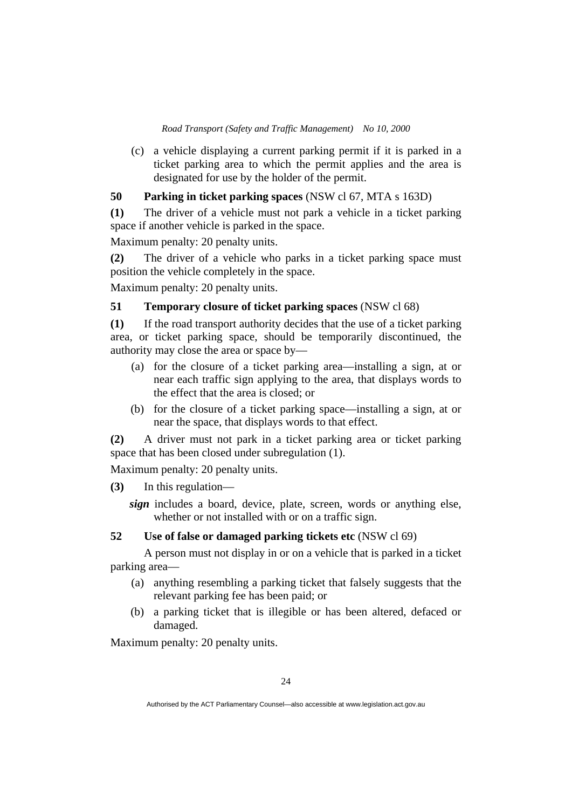(c) a vehicle displaying a current parking permit if it is parked in a ticket parking area to which the permit applies and the area is designated for use by the holder of the permit.

# **50 Parking in ticket parking spaces** (NSW cl 67, MTA s 163D)

**(1)** The driver of a vehicle must not park a vehicle in a ticket parking space if another vehicle is parked in the space.

Maximum penalty: 20 penalty units.

**(2)** The driver of a vehicle who parks in a ticket parking space must position the vehicle completely in the space.

Maximum penalty: 20 penalty units.

# **51 Temporary closure of ticket parking spaces** (NSW cl 68)

**(1)** If the road transport authority decides that the use of a ticket parking area, or ticket parking space, should be temporarily discontinued, the authority may close the area or space by—

- (a) for the closure of a ticket parking area—installing a sign, at or near each traffic sign applying to the area, that displays words to the effect that the area is closed; or
- (b) for the closure of a ticket parking space—installing a sign, at or near the space, that displays words to that effect.

**(2)** A driver must not park in a ticket parking area or ticket parking space that has been closed under subregulation (1).

Maximum penalty: 20 penalty units.

**(3)** In this regulation—

*sign* includes a board, device, plate, screen, words or anything else, whether or not installed with or on a traffic sign.

# **52 Use of false or damaged parking tickets etc** (NSW cl 69)

 A person must not display in or on a vehicle that is parked in a ticket parking area—

- (a) anything resembling a parking ticket that falsely suggests that the relevant parking fee has been paid; or
- (b) a parking ticket that is illegible or has been altered, defaced or damaged.

Maximum penalty: 20 penalty units.

Authorised by the ACT Parliamentary Counsel—also accessible at www.legislation.act.gov.au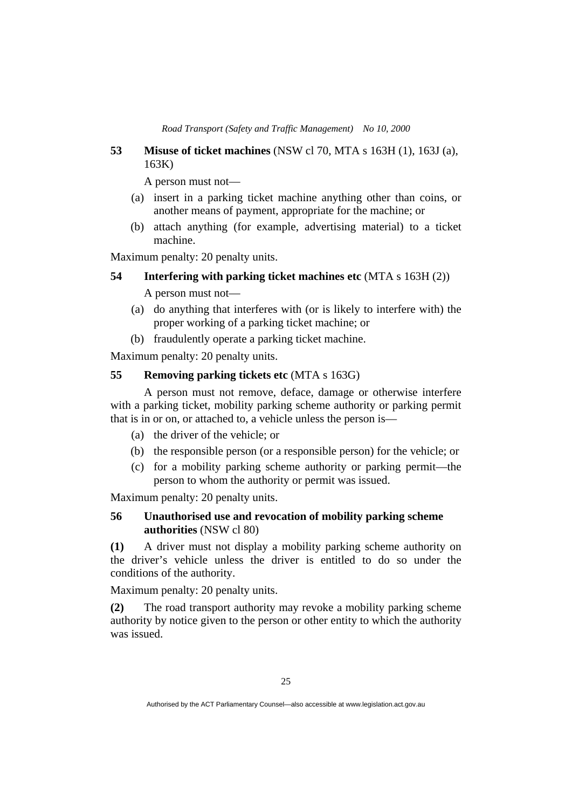# **53 Misuse of ticket machines** (NSW cl 70, MTA s 163H (1), 163J (a), 163K)

A person must not—

- (a) insert in a parking ticket machine anything other than coins, or another means of payment, appropriate for the machine; or
- (b) attach anything (for example, advertising material) to a ticket machine.

Maximum penalty: 20 penalty units.

# **54 Interfering with parking ticket machines etc** (MTA s 163H (2))

A person must not—

- (a) do anything that interferes with (or is likely to interfere with) the proper working of a parking ticket machine; or
- (b) fraudulently operate a parking ticket machine.

Maximum penalty: 20 penalty units.

# **55 Removing parking tickets etc** (MTA s 163G)

 A person must not remove, deface, damage or otherwise interfere with a parking ticket, mobility parking scheme authority or parking permit that is in or on, or attached to, a vehicle unless the person is—

- (a) the driver of the vehicle; or
- (b) the responsible person (or a responsible person) for the vehicle; or
- (c) for a mobility parking scheme authority or parking permit—the person to whom the authority or permit was issued.

Maximum penalty: 20 penalty units.

# **56 Unauthorised use and revocation of mobility parking scheme authorities** (NSW cl 80)

**(1)** A driver must not display a mobility parking scheme authority on the driver's vehicle unless the driver is entitled to do so under the conditions of the authority.

Maximum penalty: 20 penalty units.

**(2)** The road transport authority may revoke a mobility parking scheme authority by notice given to the person or other entity to which the authority was issued.

Authorised by the ACT Parliamentary Counsel—also accessible at www.legislation.act.gov.au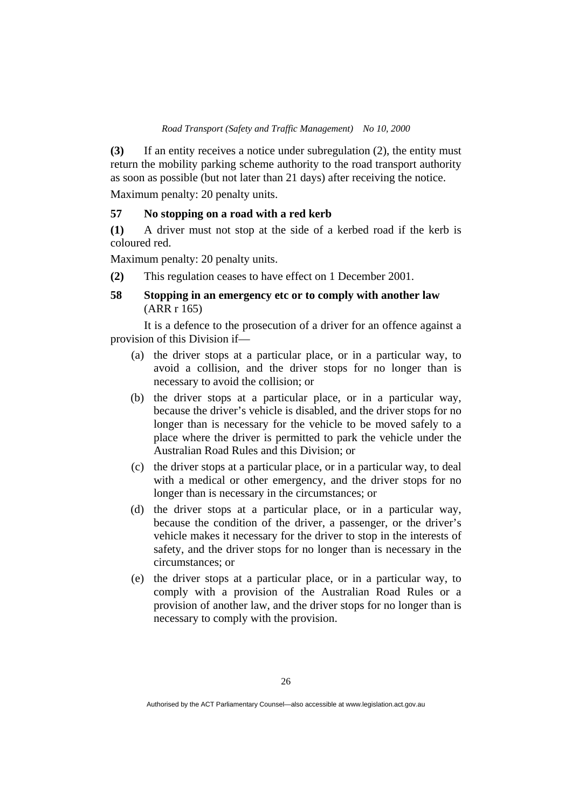**(3)** If an entity receives a notice under subregulation (2), the entity must return the mobility parking scheme authority to the road transport authority as soon as possible (but not later than 21 days) after receiving the notice.

Maximum penalty: 20 penalty units.

## **57 No stopping on a road with a red kerb**

**(1)** A driver must not stop at the side of a kerbed road if the kerb is coloured red.

Maximum penalty: 20 penalty units.

**(2)** This regulation ceases to have effect on 1 December 2001.

# **58 Stopping in an emergency etc or to comply with another law**  (ARR r 165)

 It is a defence to the prosecution of a driver for an offence against a provision of this Division if—

- (a) the driver stops at a particular place, or in a particular way, to avoid a collision, and the driver stops for no longer than is necessary to avoid the collision; or
- (b) the driver stops at a particular place, or in a particular way, because the driver's vehicle is disabled, and the driver stops for no longer than is necessary for the vehicle to be moved safely to a place where the driver is permitted to park the vehicle under the Australian Road Rules and this Division; or
- (c) the driver stops at a particular place, or in a particular way, to deal with a medical or other emergency, and the driver stops for no longer than is necessary in the circumstances; or
- (d) the driver stops at a particular place, or in a particular way, because the condition of the driver, a passenger, or the driver's vehicle makes it necessary for the driver to stop in the interests of safety, and the driver stops for no longer than is necessary in the circumstances; or
- (e) the driver stops at a particular place, or in a particular way, to comply with a provision of the Australian Road Rules or a provision of another law, and the driver stops for no longer than is necessary to comply with the provision.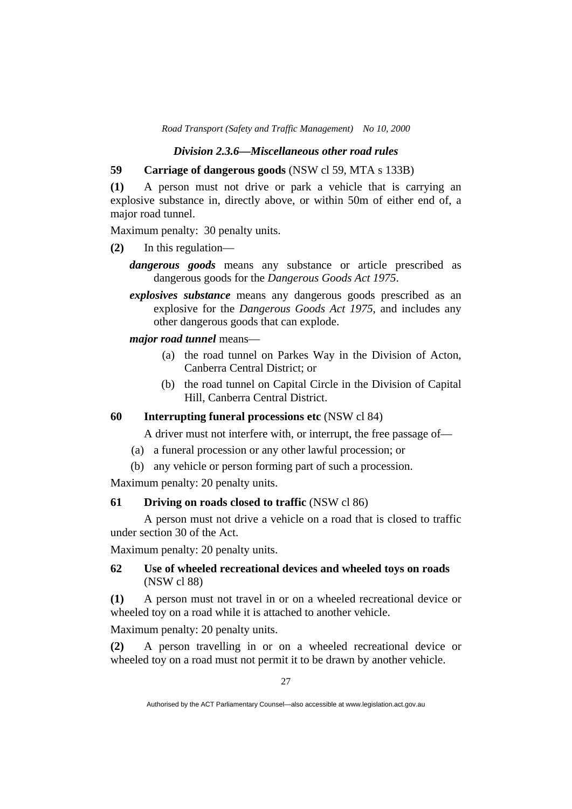## *Division 2.3.6—Miscellaneous other road rules*

# **59 Carriage of dangerous goods** (NSW cl 59, MTA s 133B)

**(1)** A person must not drive or park a vehicle that is carrying an explosive substance in, directly above, or within 50m of either end of, a major road tunnel.

Maximum penalty: 30 penalty units.

- **(2)** In this regulation
	- *dangerous goods* means any substance or article prescribed as dangerous goods for the *Dangerous Goods Act 1975*.
	- *explosives substance* means any dangerous goods prescribed as an explosive for the *Dangerous Goods Act 1975*, and includes any other dangerous goods that can explode.

## *major road tunnel* means—

- (a) the road tunnel on Parkes Way in the Division of Acton, Canberra Central District; or
- (b) the road tunnel on Capital Circle in the Division of Capital Hill, Canberra Central District.

# **60 Interrupting funeral processions etc** (NSW cl 84)

A driver must not interfere with, or interrupt, the free passage of—

- (a) a funeral procession or any other lawful procession; or
- (b) any vehicle or person forming part of such a procession.

Maximum penalty: 20 penalty units.

# **61 Driving on roads closed to traffic** (NSW cl 86)

 A person must not drive a vehicle on a road that is closed to traffic under section 30 of the Act.

Maximum penalty: 20 penalty units.

# **62 Use of wheeled recreational devices and wheeled toys on roads**  (NSW cl 88)

**(1)** A person must not travel in or on a wheeled recreational device or wheeled toy on a road while it is attached to another vehicle.

Maximum penalty: 20 penalty units.

**(2)** A person travelling in or on a wheeled recreational device or wheeled toy on a road must not permit it to be drawn by another vehicle.

Authorised by the ACT Parliamentary Counsel—also accessible at www.legislation.act.gov.au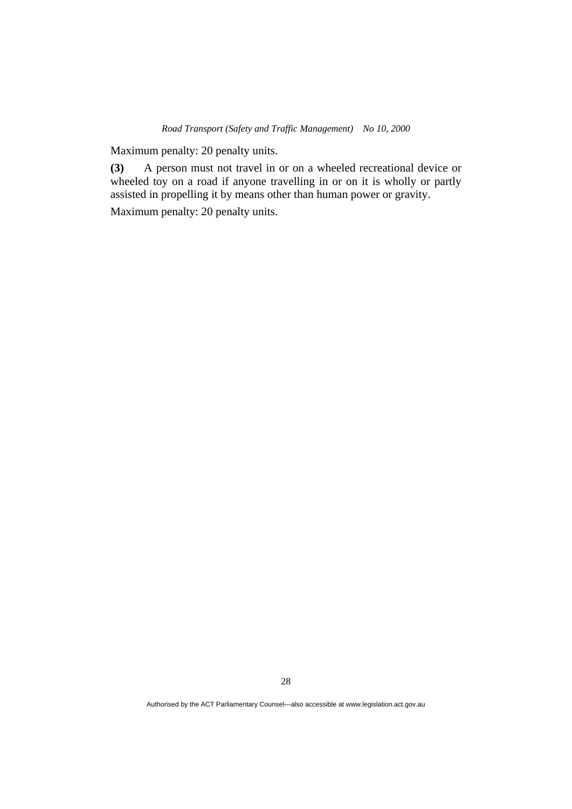Maximum penalty: 20 penalty units.

**(3)** A person must not travel in or on a wheeled recreational device or wheeled toy on a road if anyone travelling in or on it is wholly or partly assisted in propelling it by means other than human power or gravity.

Maximum penalty: 20 penalty units.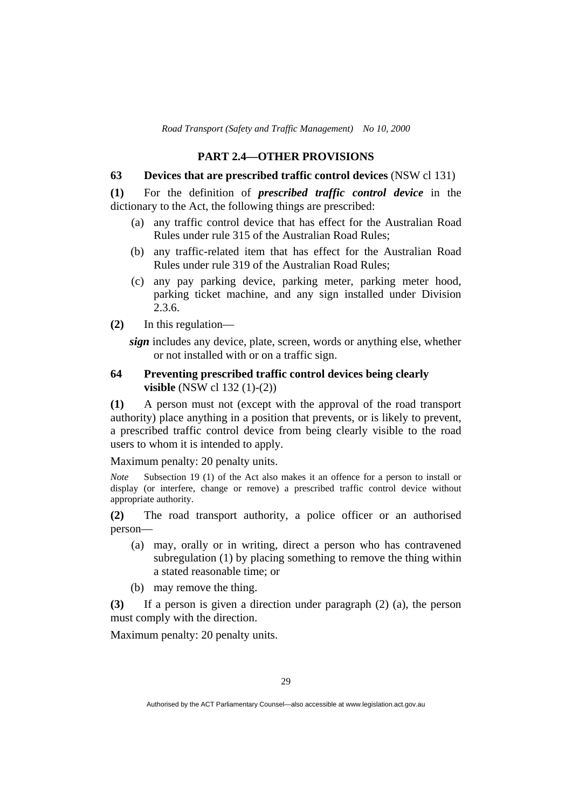# **PART 2.4—OTHER PROVISIONS**

## **63 Devices that are prescribed traffic control devices** (NSW cl 131)

**(1)** For the definition of *prescribed traffic control device* in the dictionary to the Act, the following things are prescribed:

- (a) any traffic control device that has effect for the Australian Road Rules under rule 315 of the Australian Road Rules;
- (b) any traffic-related item that has effect for the Australian Road Rules under rule 319 of the Australian Road Rules;
- (c) any pay parking device, parking meter, parking meter hood, parking ticket machine, and any sign installed under Division 2.3.6.
- **(2)** In this regulation—

*sign* includes any device, plate, screen, words or anything else, whether or not installed with or on a traffic sign.

# **64 Preventing prescribed traffic control devices being clearly visible** (NSW cl 132 (1)-(2))

**(1)** A person must not (except with the approval of the road transport authority) place anything in a position that prevents, or is likely to prevent, a prescribed traffic control device from being clearly visible to the road users to whom it is intended to apply.

Maximum penalty: 20 penalty units.

*Note* Subsection 19 (1) of the Act also makes it an offence for a person to install or display (or interfere, change or remove) a prescribed traffic control device without appropriate authority.

**(2)** The road transport authority, a police officer or an authorised person—

- (a) may, orally or in writing, direct a person who has contravened subregulation (1) by placing something to remove the thing within a stated reasonable time; or
- (b) may remove the thing.

**(3)** If a person is given a direction under paragraph (2) (a), the person must comply with the direction.

Maximum penalty: 20 penalty units.

Authorised by the ACT Parliamentary Counsel—also accessible at www.legislation.act.gov.au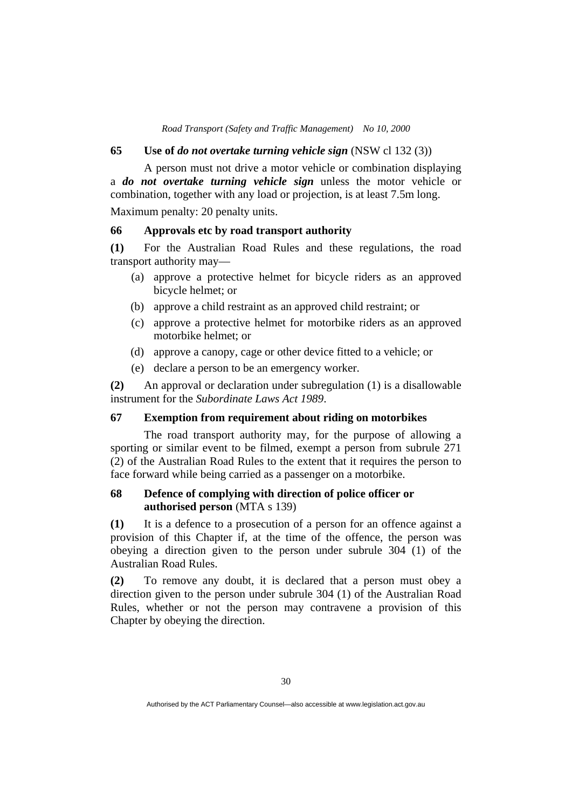#### **65 Use of** *do not overtake turning vehicle sign* (NSW cl 132 (3))

 A person must not drive a motor vehicle or combination displaying a *do not overtake turning vehicle sign* unless the motor vehicle or combination, together with any load or projection, is at least 7.5m long.

Maximum penalty: 20 penalty units.

### **66 Approvals etc by road transport authority**

**(1)** For the Australian Road Rules and these regulations, the road transport authority may—

- (a) approve a protective helmet for bicycle riders as an approved bicycle helmet; or
- (b) approve a child restraint as an approved child restraint; or
- (c) approve a protective helmet for motorbike riders as an approved motorbike helmet; or
- (d) approve a canopy, cage or other device fitted to a vehicle; or
- (e) declare a person to be an emergency worker.

**(2)** An approval or declaration under subregulation (1) is a disallowable instrument for the *Subordinate Laws Act 1989*.

### **67 Exemption from requirement about riding on motorbikes**

 The road transport authority may, for the purpose of allowing a sporting or similar event to be filmed, exempt a person from subrule 271 (2) of the Australian Road Rules to the extent that it requires the person to face forward while being carried as a passenger on a motorbike.

### **68 Defence of complying with direction of police officer or authorised person** (MTA s 139)

**(1)** It is a defence to a prosecution of a person for an offence against a provision of this Chapter if, at the time of the offence, the person was obeying a direction given to the person under subrule 304 (1) of the Australian Road Rules.

**(2)** To remove any doubt, it is declared that a person must obey a direction given to the person under subrule 304 (1) of the Australian Road Rules, whether or not the person may contravene a provision of this Chapter by obeying the direction.

Authorised by the ACT Parliamentary Counsel—also accessible at www.legislation.act.gov.au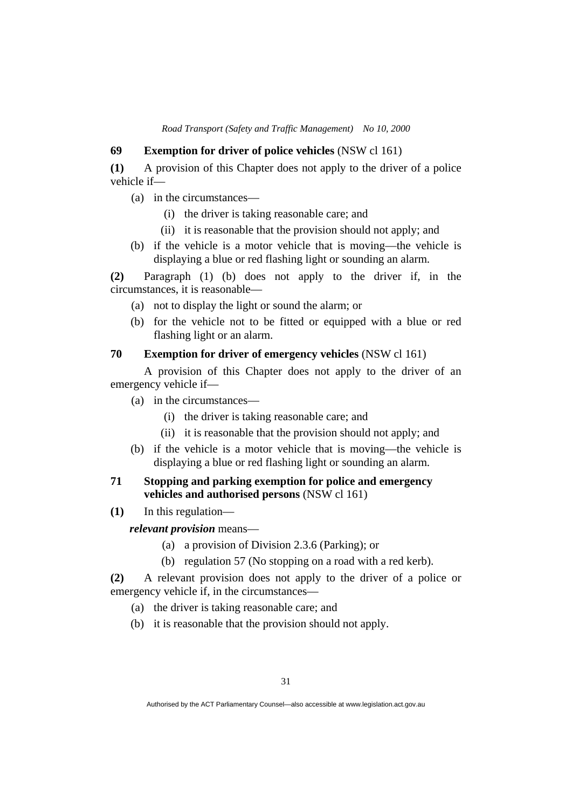## **69 Exemption for driver of police vehicles** (NSW cl 161)

**(1)** A provision of this Chapter does not apply to the driver of a police vehicle if—

- (a) in the circumstances—
	- (i) the driver is taking reasonable care; and
	- (ii) it is reasonable that the provision should not apply; and
- (b) if the vehicle is a motor vehicle that is moving—the vehicle is displaying a blue or red flashing light or sounding an alarm.

**(2)** Paragraph (1) (b) does not apply to the driver if, in the circumstances, it is reasonable—

- (a) not to display the light or sound the alarm; or
- (b) for the vehicle not to be fitted or equipped with a blue or red flashing light or an alarm.

### **70 Exemption for driver of emergency vehicles** (NSW cl 161)

 A provision of this Chapter does not apply to the driver of an emergency vehicle if—

- (a) in the circumstances—
	- (i) the driver is taking reasonable care; and
	- (ii) it is reasonable that the provision should not apply; and
- (b) if the vehicle is a motor vehicle that is moving—the vehicle is displaying a blue or red flashing light or sounding an alarm.

## **71 Stopping and parking exemption for police and emergency vehicles and authorised persons** (NSW cl 161)

**(1)** In this regulation—

*relevant provision* means—

- (a) a provision of Division 2.3.6 (Parking); or
- (b) regulation 57 (No stopping on a road with a red kerb).

**(2)** A relevant provision does not apply to the driver of a police or emergency vehicle if, in the circumstances—

- (a) the driver is taking reasonable care; and
- (b) it is reasonable that the provision should not apply.

Authorised by the ACT Parliamentary Counsel—also accessible at www.legislation.act.gov.au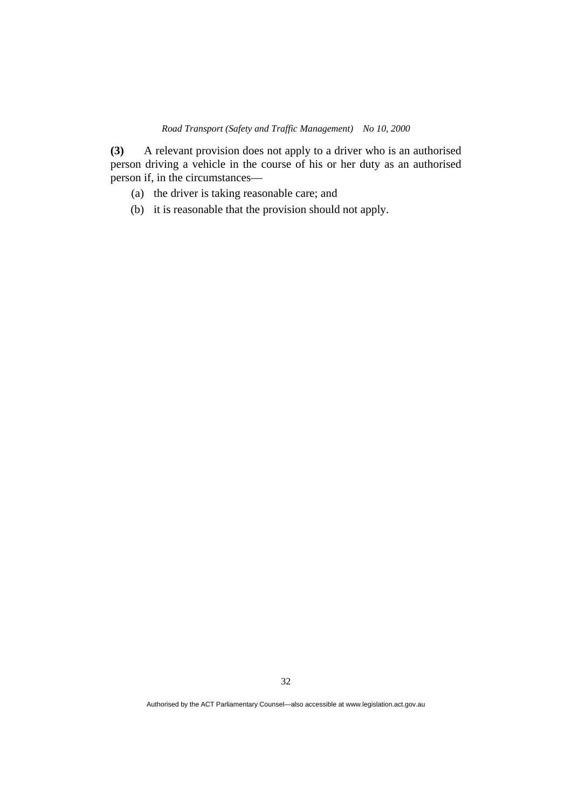**(3)** A relevant provision does not apply to a driver who is an authorised person driving a vehicle in the course of his or her duty as an authorised person if, in the circumstances—

- (a) the driver is taking reasonable care; and
- (b) it is reasonable that the provision should not apply.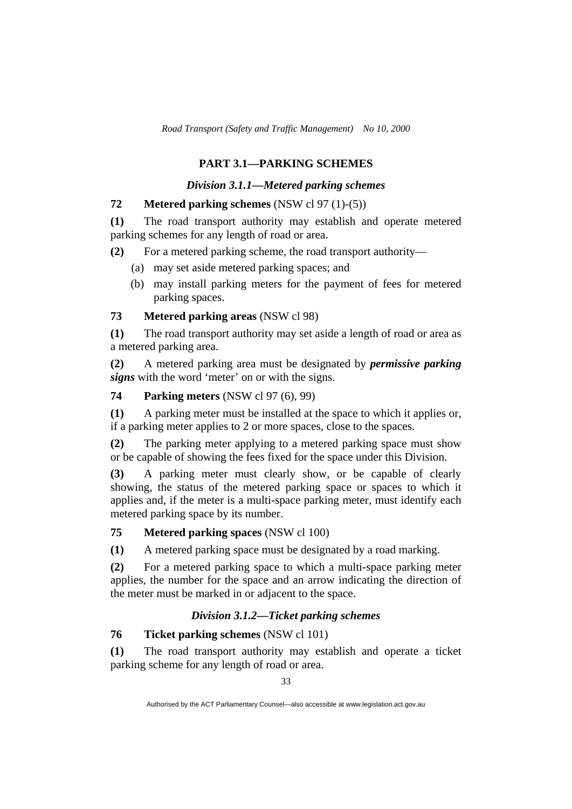## **PART 3.1—PARKING SCHEMES**

### *Division 3.1.1—Metered parking schemes*

## **72 Metered parking schemes** (NSW cl 97 (1)-(5))

**(1)** The road transport authority may establish and operate metered parking schemes for any length of road or area.

**(2)** For a metered parking scheme, the road transport authority—

- (a) may set aside metered parking spaces; and
- (b) may install parking meters for the payment of fees for metered parking spaces.

### **73 Metered parking areas** (NSW cl 98)

**(1)** The road transport authority may set aside a length of road or area as a metered parking area.

**(2)** A metered parking area must be designated by *permissive parking signs* with the word 'meter' on or with the signs.

**74 Parking meters** (NSW cl 97 (6), 99)

**(1)** A parking meter must be installed at the space to which it applies or, if a parking meter applies to 2 or more spaces, close to the spaces.

**(2)** The parking meter applying to a metered parking space must show or be capable of showing the fees fixed for the space under this Division.

**(3)** A parking meter must clearly show, or be capable of clearly showing, the status of the metered parking space or spaces to which it applies and, if the meter is a multi-space parking meter, must identify each metered parking space by its number.

## **75 Metered parking spaces** (NSW cl 100)

**(1)** A metered parking space must be designated by a road marking.

**(2)** For a metered parking space to which a multi-space parking meter applies, the number for the space and an arrow indicating the direction of the meter must be marked in or adjacent to the space.

## *Division 3.1.2—Ticket parking schemes*

## **76 Ticket parking schemes** (NSW cl 101)

**(1)** The road transport authority may establish and operate a ticket parking scheme for any length of road or area.

Authorised by the ACT Parliamentary Counsel—also accessible at www.legislation.act.gov.au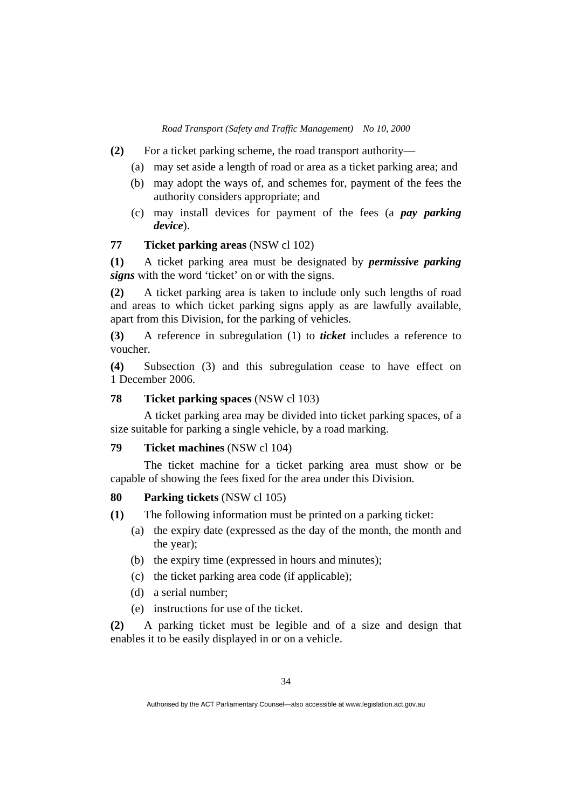- **(2)** For a ticket parking scheme, the road transport authority—
	- (a) may set aside a length of road or area as a ticket parking area; and
	- (b) may adopt the ways of, and schemes for, payment of the fees the authority considers appropriate; and
	- (c) may install devices for payment of the fees (a *pay parking device*).

#### **77 Ticket parking areas** (NSW cl 102)

**(1)** A ticket parking area must be designated by *permissive parking signs* with the word 'ticket' on or with the signs.

**(2)** A ticket parking area is taken to include only such lengths of road and areas to which ticket parking signs apply as are lawfully available, apart from this Division, for the parking of vehicles.

**(3)** A reference in subregulation (1) to *ticket* includes a reference to voucher.

**(4)** Subsection (3) and this subregulation cease to have effect on 1 December 2006.

## **78 Ticket parking spaces** (NSW cl 103)

 A ticket parking area may be divided into ticket parking spaces, of a size suitable for parking a single vehicle, by a road marking.

## **79 Ticket machines** (NSW cl 104)

 The ticket machine for a ticket parking area must show or be capable of showing the fees fixed for the area under this Division.

#### **80 Parking tickets** (NSW cl 105)

**(1)** The following information must be printed on a parking ticket:

- (a) the expiry date (expressed as the day of the month, the month and the year);
- (b) the expiry time (expressed in hours and minutes);
- (c) the ticket parking area code (if applicable);
- (d) a serial number;
- (e) instructions for use of the ticket.

**(2)** A parking ticket must be legible and of a size and design that enables it to be easily displayed in or on a vehicle.

Authorised by the ACT Parliamentary Counsel—also accessible at www.legislation.act.gov.au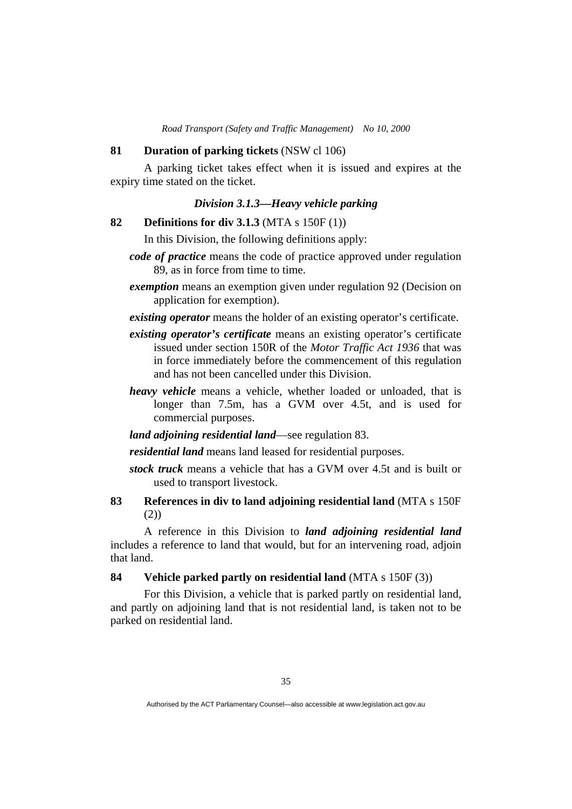#### **81 Duration of parking tickets** (NSW cl 106)

 A parking ticket takes effect when it is issued and expires at the expiry time stated on the ticket.

## *Division 3.1.3—Heavy vehicle parking*

**82 Definitions for div 3.1.3** (MTA s 150F (1))

In this Division, the following definitions apply:

*code of practice* means the code of practice approved under regulation 89, as in force from time to time.

*exemption* means an exemption given under regulation 92 (Decision on application for exemption).

*existing operator* means the holder of an existing operator's certificate.

- *existing operator's certificate* means an existing operator's certificate issued under section 150R of the *Motor Traffic Act 1936* that was in force immediately before the commencement of this regulation and has not been cancelled under this Division.
- *heavy vehicle* means a vehicle, whether loaded or unloaded, that is longer than 7.5m, has a GVM over 4.5t, and is used for commercial purposes.
- *land adjoining residential land*—see regulation 83.

*residential land* means land leased for residential purposes.

- *stock truck* means a vehicle that has a GVM over 4.5t and is built or used to transport livestock.
- **83 References in div to land adjoining residential land** (MTA s 150F (2))

 A reference in this Division to *land adjoining residential land* includes a reference to land that would, but for an intervening road, adjoin that land.

**84 Vehicle parked partly on residential land** (MTA s 150F (3))

 For this Division, a vehicle that is parked partly on residential land, and partly on adjoining land that is not residential land, is taken not to be parked on residential land.

Authorised by the ACT Parliamentary Counsel—also accessible at www.legislation.act.gov.au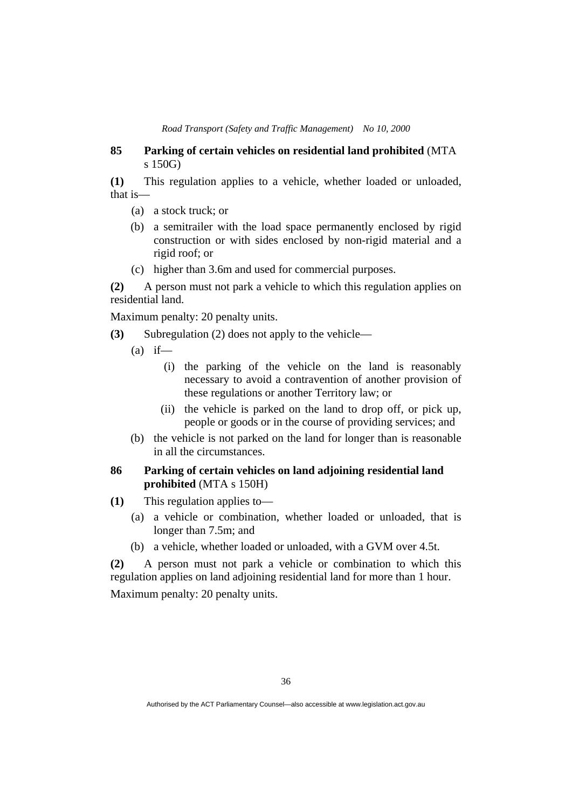### **85 Parking of certain vehicles on residential land prohibited** (MTA s 150G)

**(1)** This regulation applies to a vehicle, whether loaded or unloaded, that is—

- (a) a stock truck; or
- (b) a semitrailer with the load space permanently enclosed by rigid construction or with sides enclosed by non-rigid material and a rigid roof; or
- (c) higher than 3.6m and used for commercial purposes.

**(2)** A person must not park a vehicle to which this regulation applies on residential land.

Maximum penalty: 20 penalty units.

**(3)** Subregulation (2) does not apply to the vehicle—

- $(a)$  if—
	- (i) the parking of the vehicle on the land is reasonably necessary to avoid a contravention of another provision of these regulations or another Territory law; or
	- (ii) the vehicle is parked on the land to drop off, or pick up, people or goods or in the course of providing services; and
- (b) the vehicle is not parked on the land for longer than is reasonable in all the circumstances.

## **86 Parking of certain vehicles on land adjoining residential land prohibited** (MTA s 150H)

- **(1)** This regulation applies to—
	- (a) a vehicle or combination, whether loaded or unloaded, that is longer than 7.5m; and
	- (b) a vehicle, whether loaded or unloaded, with a GVM over 4.5t.

**(2)** A person must not park a vehicle or combination to which this regulation applies on land adjoining residential land for more than 1 hour. Maximum penalty: 20 penalty units.

Authorised by the ACT Parliamentary Counsel—also accessible at www.legislation.act.gov.au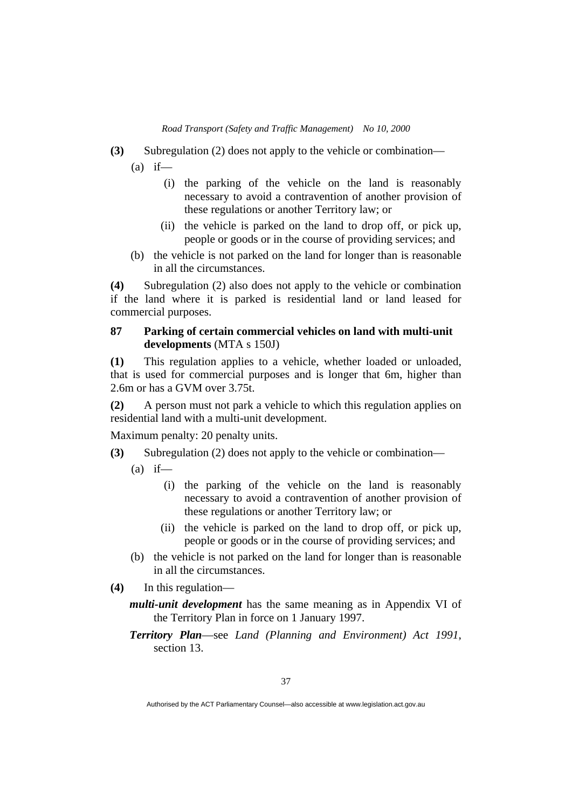- **(3)** Subregulation (2) does not apply to the vehicle or combination—
	- $(a)$  if—
		- (i) the parking of the vehicle on the land is reasonably necessary to avoid a contravention of another provision of these regulations or another Territory law; or
		- (ii) the vehicle is parked on the land to drop off, or pick up, people or goods or in the course of providing services; and
	- (b) the vehicle is not parked on the land for longer than is reasonable in all the circumstances.

**(4)** Subregulation (2) also does not apply to the vehicle or combination if the land where it is parked is residential land or land leased for commercial purposes.

### **87 Parking of certain commercial vehicles on land with multi-unit developments** (MTA s 150J)

**(1)** This regulation applies to a vehicle, whether loaded or unloaded, that is used for commercial purposes and is longer that 6m, higher than 2.6m or has a GVM over 3.75t.

**(2)** A person must not park a vehicle to which this regulation applies on residential land with a multi-unit development.

Maximum penalty: 20 penalty units.

- **(3)** Subregulation (2) does not apply to the vehicle or combination—
	- $(a)$  if—
		- (i) the parking of the vehicle on the land is reasonably necessary to avoid a contravention of another provision of these regulations or another Territory law; or
		- (ii) the vehicle is parked on the land to drop off, or pick up, people or goods or in the course of providing services; and
	- (b) the vehicle is not parked on the land for longer than is reasonable in all the circumstances.
- **(4)** In this regulation
	- *multi-unit development* has the same meaning as in Appendix VI of the Territory Plan in force on 1 January 1997.
	- *Territory Plan*—see *Land (Planning and Environment) Act 1991*, section 13.

Authorised by the ACT Parliamentary Counsel—also accessible at www.legislation.act.gov.au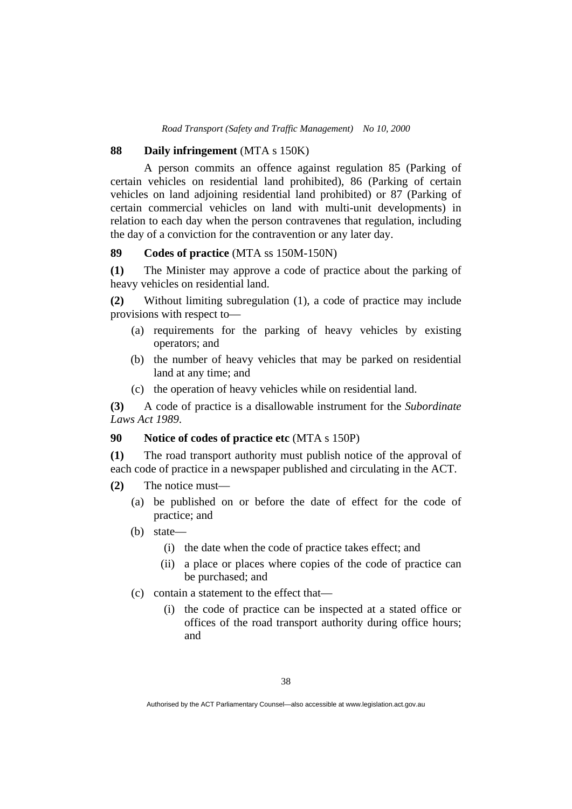#### **88 Daily infringement** (MTA s 150K)

 A person commits an offence against regulation 85 (Parking of certain vehicles on residential land prohibited), 86 (Parking of certain vehicles on land adjoining residential land prohibited) or 87 (Parking of certain commercial vehicles on land with multi-unit developments) in relation to each day when the person contravenes that regulation, including the day of a conviction for the contravention or any later day.

#### **89 Codes of practice** (MTA ss 150M-150N)

**(1)** The Minister may approve a code of practice about the parking of heavy vehicles on residential land.

**(2)** Without limiting subregulation (1), a code of practice may include provisions with respect to—

- (a) requirements for the parking of heavy vehicles by existing operators; and
- (b) the number of heavy vehicles that may be parked on residential land at any time; and
- (c) the operation of heavy vehicles while on residential land.

**(3)** A code of practice is a disallowable instrument for the *Subordinate Laws Act 1989*.

### **90 Notice of codes of practice etc** (MTA s 150P)

**(1)** The road transport authority must publish notice of the approval of each code of practice in a newspaper published and circulating in the ACT.

- **(2)** The notice must—
	- (a) be published on or before the date of effect for the code of practice; and
	- (b) state—
		- (i) the date when the code of practice takes effect; and
		- (ii) a place or places where copies of the code of practice can be purchased; and
	- (c) contain a statement to the effect that—
		- (i) the code of practice can be inspected at a stated office or offices of the road transport authority during office hours; and

Authorised by the ACT Parliamentary Counsel—also accessible at www.legislation.act.gov.au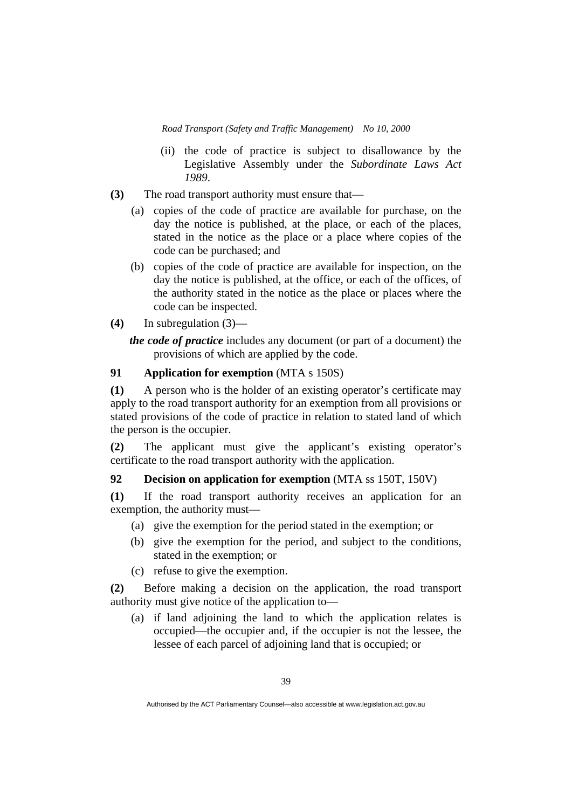- (ii) the code of practice is subject to disallowance by the Legislative Assembly under the *Subordinate Laws Act 1989*.
- **(3)** The road transport authority must ensure that—
	- (a) copies of the code of practice are available for purchase, on the day the notice is published, at the place, or each of the places, stated in the notice as the place or a place where copies of the code can be purchased; and
	- (b) copies of the code of practice are available for inspection, on the day the notice is published, at the office, or each of the offices, of the authority stated in the notice as the place or places where the code can be inspected.
- **(4)** In subregulation (3)—

*the code of practice* includes any document (or part of a document) the provisions of which are applied by the code.

## **91 Application for exemption** (MTA s 150S)

**(1)** A person who is the holder of an existing operator's certificate may apply to the road transport authority for an exemption from all provisions or stated provisions of the code of practice in relation to stated land of which the person is the occupier.

**(2)** The applicant must give the applicant's existing operator's certificate to the road transport authority with the application.

## **92 Decision on application for exemption** (MTA ss 150T, 150V)

**(1)** If the road transport authority receives an application for an exemption, the authority must—

- (a) give the exemption for the period stated in the exemption; or
- (b) give the exemption for the period, and subject to the conditions, stated in the exemption; or
- (c) refuse to give the exemption.

**(2)** Before making a decision on the application, the road transport authority must give notice of the application to—

 (a) if land adjoining the land to which the application relates is occupied—the occupier and, if the occupier is not the lessee, the lessee of each parcel of adjoining land that is occupied; or

Authorised by the ACT Parliamentary Counsel—also accessible at www.legislation.act.gov.au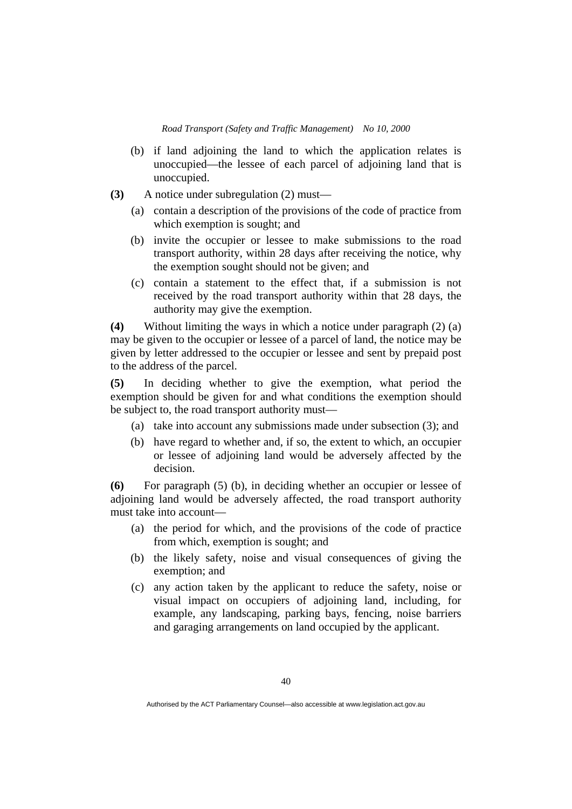- (b) if land adjoining the land to which the application relates is unoccupied—the lessee of each parcel of adjoining land that is unoccupied.
- **(3)** A notice under subregulation (2) must—
	- (a) contain a description of the provisions of the code of practice from which exemption is sought; and
	- (b) invite the occupier or lessee to make submissions to the road transport authority, within 28 days after receiving the notice, why the exemption sought should not be given; and
	- (c) contain a statement to the effect that, if a submission is not received by the road transport authority within that 28 days, the authority may give the exemption.

**(4)** Without limiting the ways in which a notice under paragraph (2) (a) may be given to the occupier or lessee of a parcel of land, the notice may be given by letter addressed to the occupier or lessee and sent by prepaid post to the address of the parcel.

**(5)** In deciding whether to give the exemption, what period the exemption should be given for and what conditions the exemption should be subject to, the road transport authority must—

- (a) take into account any submissions made under subsection (3); and
- (b) have regard to whether and, if so, the extent to which, an occupier or lessee of adjoining land would be adversely affected by the decision.

**(6)** For paragraph (5) (b), in deciding whether an occupier or lessee of adjoining land would be adversely affected, the road transport authority must take into account—

- (a) the period for which, and the provisions of the code of practice from which, exemption is sought; and
- (b) the likely safety, noise and visual consequences of giving the exemption; and
- (c) any action taken by the applicant to reduce the safety, noise or visual impact on occupiers of adjoining land, including, for example, any landscaping, parking bays, fencing, noise barriers and garaging arrangements on land occupied by the applicant.

Authorised by the ACT Parliamentary Counsel—also accessible at www.legislation.act.gov.au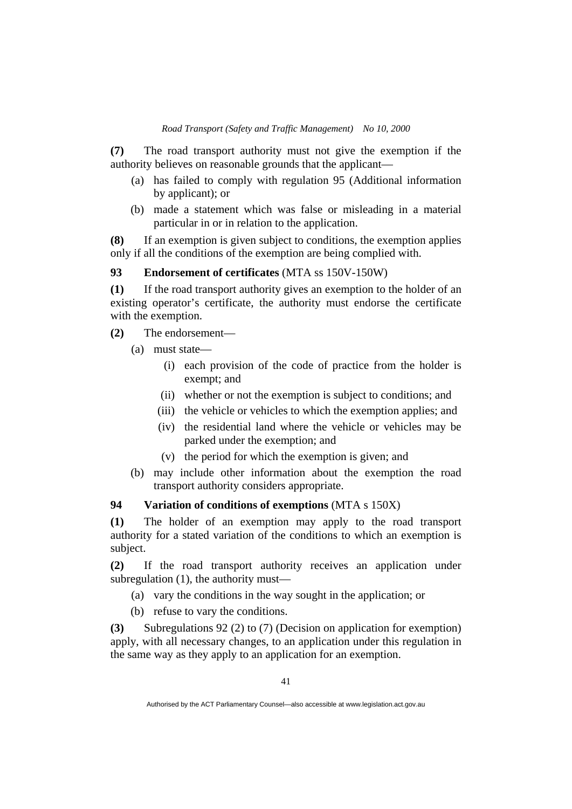**(7)** The road transport authority must not give the exemption if the authority believes on reasonable grounds that the applicant—

- (a) has failed to comply with regulation 95 (Additional information by applicant); or
- (b) made a statement which was false or misleading in a material particular in or in relation to the application.

**(8)** If an exemption is given subject to conditions, the exemption applies only if all the conditions of the exemption are being complied with.

#### **93 Endorsement of certificates** (MTA ss 150V-150W)

**(1)** If the road transport authority gives an exemption to the holder of an existing operator's certificate, the authority must endorse the certificate with the exemption.

- **(2)** The endorsement—
	- (a) must state—
		- (i) each provision of the code of practice from the holder is exempt; and
		- (ii) whether or not the exemption is subject to conditions; and
		- (iii) the vehicle or vehicles to which the exemption applies; and
		- (iv) the residential land where the vehicle or vehicles may be parked under the exemption; and
		- (v) the period for which the exemption is given; and
	- (b) may include other information about the exemption the road transport authority considers appropriate.

### **94 Variation of conditions of exemptions** (MTA s 150X)

**(1)** The holder of an exemption may apply to the road transport authority for a stated variation of the conditions to which an exemption is subject.

**(2)** If the road transport authority receives an application under subregulation (1), the authority must—

(a) vary the conditions in the way sought in the application; or

(b) refuse to vary the conditions.

**(3)** Subregulations 92 (2) to (7) (Decision on application for exemption) apply, with all necessary changes, to an application under this regulation in the same way as they apply to an application for an exemption.

Authorised by the ACT Parliamentary Counsel—also accessible at www.legislation.act.gov.au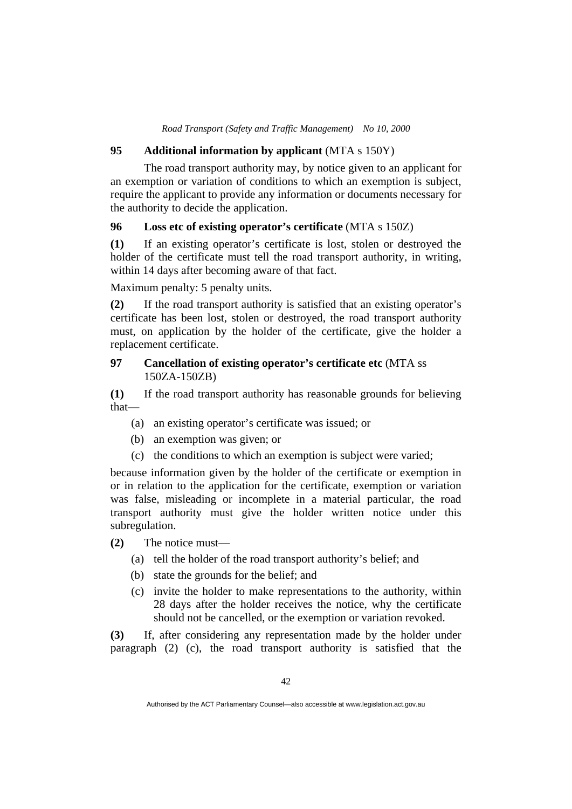#### **95 Additional information by applicant** (MTA s 150Y)

 The road transport authority may, by notice given to an applicant for an exemption or variation of conditions to which an exemption is subject, require the applicant to provide any information or documents necessary for the authority to decide the application.

#### **96 Loss etc of existing operator's certificate** (MTA s 150Z)

**(1)** If an existing operator's certificate is lost, stolen or destroyed the holder of the certificate must tell the road transport authority, in writing, within 14 days after becoming aware of that fact.

Maximum penalty: 5 penalty units.

**(2)** If the road transport authority is satisfied that an existing operator's certificate has been lost, stolen or destroyed, the road transport authority must, on application by the holder of the certificate, give the holder a replacement certificate.

## **97 Cancellation of existing operator's certificate etc** (MTA ss 150ZA-150ZB)

**(1)** If the road transport authority has reasonable grounds for believing that—

- (a) an existing operator's certificate was issued; or
- (b) an exemption was given; or
- (c) the conditions to which an exemption is subject were varied;

because information given by the holder of the certificate or exemption in or in relation to the application for the certificate, exemption or variation was false, misleading or incomplete in a material particular, the road transport authority must give the holder written notice under this subregulation.

**(2)** The notice must—

- (a) tell the holder of the road transport authority's belief; and
- (b) state the grounds for the belief; and
- (c) invite the holder to make representations to the authority, within 28 days after the holder receives the notice, why the certificate should not be cancelled, or the exemption or variation revoked.

**(3)** If, after considering any representation made by the holder under paragraph (2) (c), the road transport authority is satisfied that the

Authorised by the ACT Parliamentary Counsel—also accessible at www.legislation.act.gov.au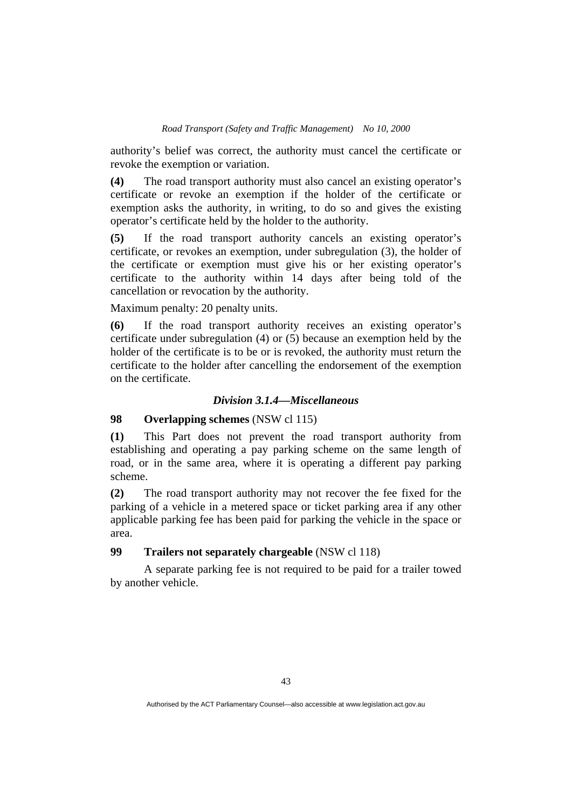authority's belief was correct, the authority must cancel the certificate or revoke the exemption or variation.

**(4)** The road transport authority must also cancel an existing operator's certificate or revoke an exemption if the holder of the certificate or exemption asks the authority, in writing, to do so and gives the existing operator's certificate held by the holder to the authority.

**(5)** If the road transport authority cancels an existing operator's certificate, or revokes an exemption, under subregulation (3), the holder of the certificate or exemption must give his or her existing operator's certificate to the authority within 14 days after being told of the cancellation or revocation by the authority.

Maximum penalty: 20 penalty units.

**(6)** If the road transport authority receives an existing operator's certificate under subregulation (4) or (5) because an exemption held by the holder of the certificate is to be or is revoked, the authority must return the certificate to the holder after cancelling the endorsement of the exemption on the certificate.

## *Division 3.1.4—Miscellaneous*

### **98 Overlapping schemes** (NSW cl 115)

**(1)** This Part does not prevent the road transport authority from establishing and operating a pay parking scheme on the same length of road, or in the same area, where it is operating a different pay parking scheme.

**(2)** The road transport authority may not recover the fee fixed for the parking of a vehicle in a metered space or ticket parking area if any other applicable parking fee has been paid for parking the vehicle in the space or area.

## **99 Trailers not separately chargeable** (NSW cl 118)

 A separate parking fee is not required to be paid for a trailer towed by another vehicle.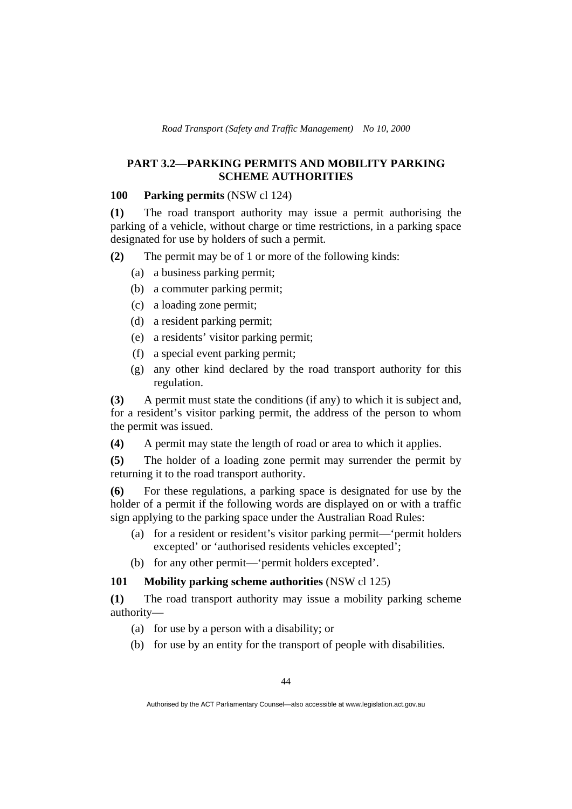## **PART 3.2—PARKING PERMITS AND MOBILITY PARKING SCHEME AUTHORITIES**

## **100 Parking permits** (NSW cl 124)

**(1)** The road transport authority may issue a permit authorising the parking of a vehicle, without charge or time restrictions, in a parking space designated for use by holders of such a permit.

**(2)** The permit may be of 1 or more of the following kinds:

- (a) a business parking permit;
- (b) a commuter parking permit;
- (c) a loading zone permit;
- (d) a resident parking permit;
- (e) a residents' visitor parking permit;
- (f) a special event parking permit;
- (g) any other kind declared by the road transport authority for this regulation.

**(3)** A permit must state the conditions (if any) to which it is subject and, for a resident's visitor parking permit, the address of the person to whom the permit was issued.

**(4)** A permit may state the length of road or area to which it applies.

**(5)** The holder of a loading zone permit may surrender the permit by returning it to the road transport authority.

**(6)** For these regulations, a parking space is designated for use by the holder of a permit if the following words are displayed on or with a traffic sign applying to the parking space under the Australian Road Rules:

- (a) for a resident or resident's visitor parking permit—'permit holders excepted' or 'authorised residents vehicles excepted';
- (b) for any other permit—'permit holders excepted'.

## **101 Mobility parking scheme authorities** (NSW cl 125)

**(1)** The road transport authority may issue a mobility parking scheme authority—

- (a) for use by a person with a disability; or
- (b) for use by an entity for the transport of people with disabilities.

Authorised by the ACT Parliamentary Counsel—also accessible at www.legislation.act.gov.au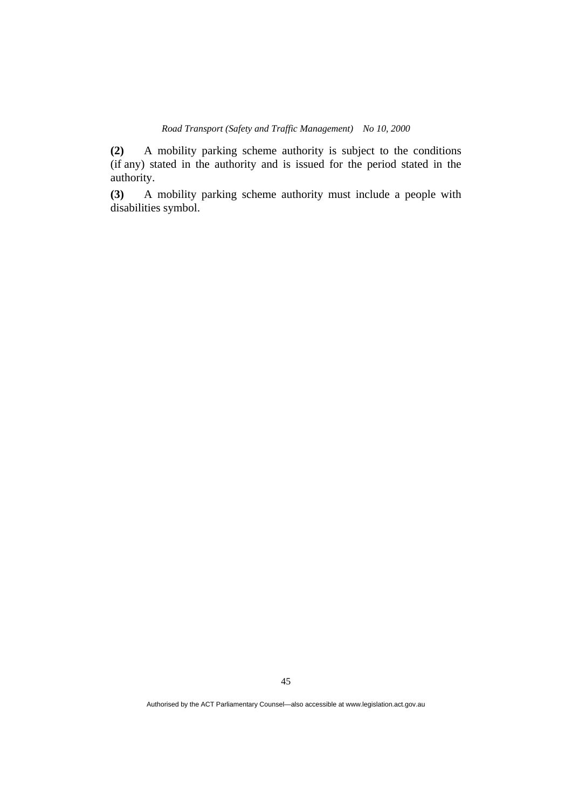**(2)** A mobility parking scheme authority is subject to the conditions (if any) stated in the authority and is issued for the period stated in the authority.

**(3)** A mobility parking scheme authority must include a people with disabilities symbol.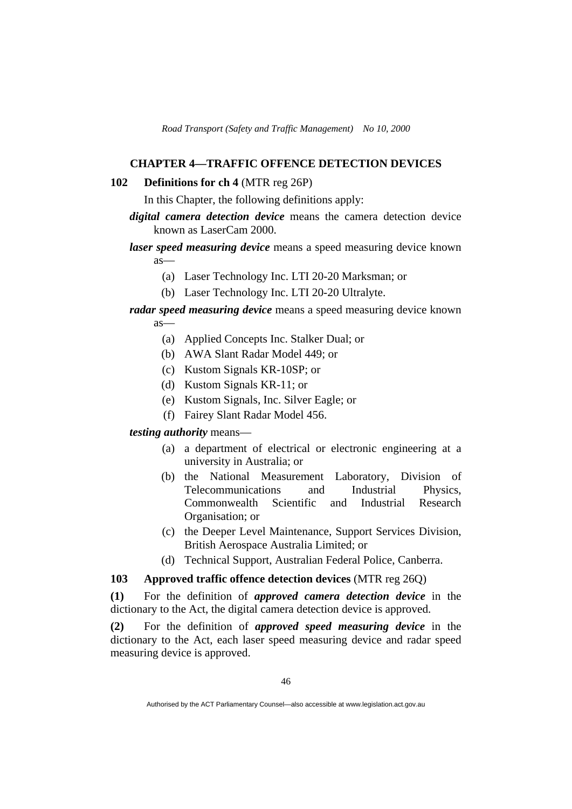### **CHAPTER 4—TRAFFIC OFFENCE DETECTION DEVICES**

#### **102 Definitions for ch 4** (MTR reg 26P)

In this Chapter, the following definitions apply:

- *digital camera detection device* means the camera detection device known as LaserCam 2000.
- *laser speed measuring device* means a speed measuring device known as—
	- (a) Laser Technology Inc. LTI 20-20 Marksman; or
	- (b) Laser Technology Inc. LTI 20-20 Ultralyte.
- *radar speed measuring device* means a speed measuring device known as—
	- (a) Applied Concepts Inc. Stalker Dual; or
	- (b) AWA Slant Radar Model 449; or
	- (c) Kustom Signals KR-10SP; or
	- (d) Kustom Signals KR-11; or
	- (e) Kustom Signals, Inc. Silver Eagle; or
	- (f) Fairey Slant Radar Model 456.

### *testing authority* means—

- (a) a department of electrical or electronic engineering at a university in Australia; or
- (b) the National Measurement Laboratory, Division of Telecommunications and Industrial Physics, Commonwealth Scientific and Industrial Research Organisation; or
- (c) the Deeper Level Maintenance, Support Services Division, British Aerospace Australia Limited; or
- (d) Technical Support, Australian Federal Police, Canberra.

### **103 Approved traffic offence detection devices** (MTR reg 26Q)

**(1)** For the definition of *approved camera detection device* in the dictionary to the Act, the digital camera detection device is approved.

**(2)** For the definition of *approved speed measuring device* in the dictionary to the Act, each laser speed measuring device and radar speed measuring device is approved.

Authorised by the ACT Parliamentary Counsel—also accessible at www.legislation.act.gov.au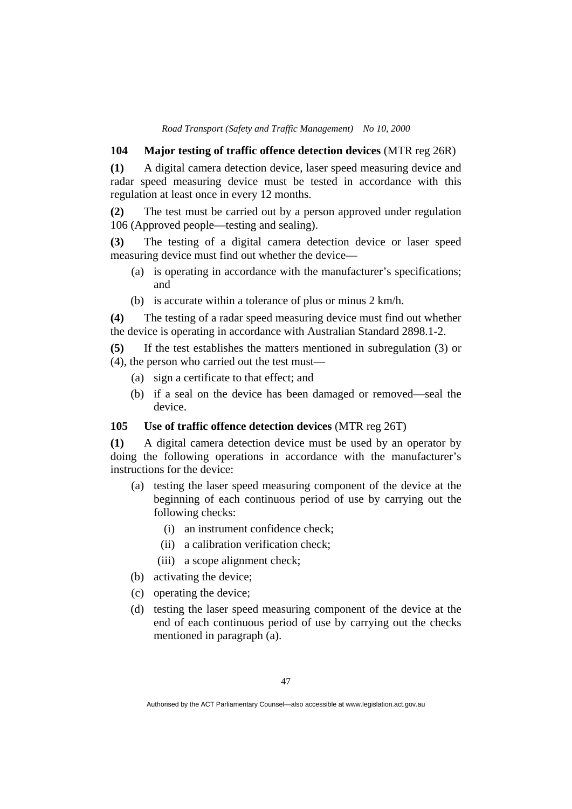### **104 Major testing of traffic offence detection devices** (MTR reg 26R)

**(1)** A digital camera detection device, laser speed measuring device and radar speed measuring device must be tested in accordance with this regulation at least once in every 12 months.

**(2)** The test must be carried out by a person approved under regulation 106 (Approved people—testing and sealing).

**(3)** The testing of a digital camera detection device or laser speed measuring device must find out whether the device—

- (a) is operating in accordance with the manufacturer's specifications; and
- (b) is accurate within a tolerance of plus or minus 2 km/h.

**(4)** The testing of a radar speed measuring device must find out whether the device is operating in accordance with Australian Standard 2898.1-2.

**(5)** If the test establishes the matters mentioned in subregulation (3) or (4), the person who carried out the test must—

- (a) sign a certificate to that effect; and
- (b) if a seal on the device has been damaged or removed—seal the device.

#### **105 Use of traffic offence detection devices** (MTR reg 26T)

**(1)** A digital camera detection device must be used by an operator by doing the following operations in accordance with the manufacturer's instructions for the device:

- (a) testing the laser speed measuring component of the device at the beginning of each continuous period of use by carrying out the following checks:
	- (i) an instrument confidence check;
	- (ii) a calibration verification check;
	- (iii) a scope alignment check;
- (b) activating the device;
- (c) operating the device;
- (d) testing the laser speed measuring component of the device at the end of each continuous period of use by carrying out the checks mentioned in paragraph (a).

Authorised by the ACT Parliamentary Counsel—also accessible at www.legislation.act.gov.au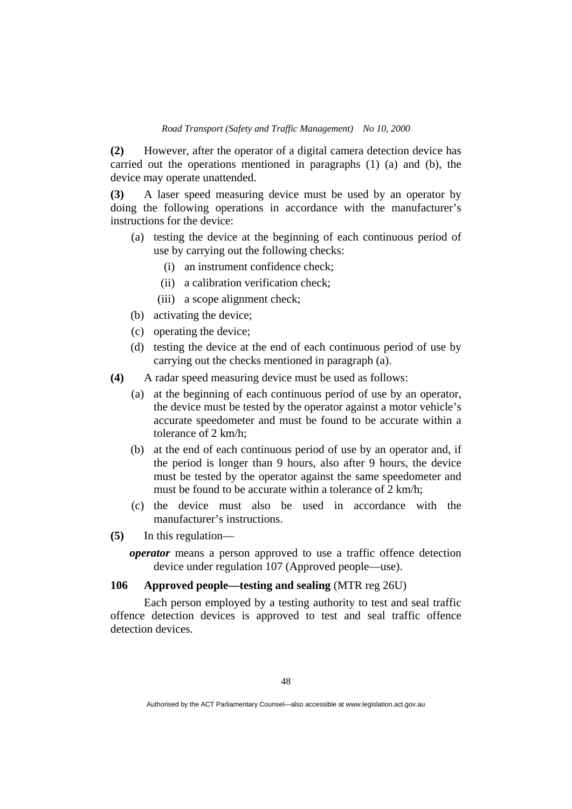**(2)** However, after the operator of a digital camera detection device has carried out the operations mentioned in paragraphs (1) (a) and (b), the device may operate unattended.

**(3)** A laser speed measuring device must be used by an operator by doing the following operations in accordance with the manufacturer's instructions for the device:

- (a) testing the device at the beginning of each continuous period of use by carrying out the following checks:
	- (i) an instrument confidence check;
	- (ii) a calibration verification check;
	- (iii) a scope alignment check;
- (b) activating the device;
- (c) operating the device;
- (d) testing the device at the end of each continuous period of use by carrying out the checks mentioned in paragraph (a).
- **(4)** A radar speed measuring device must be used as follows:
	- (a) at the beginning of each continuous period of use by an operator, the device must be tested by the operator against a motor vehicle's accurate speedometer and must be found to be accurate within a tolerance of 2 km/h;
	- (b) at the end of each continuous period of use by an operator and, if the period is longer than 9 hours, also after 9 hours, the device must be tested by the operator against the same speedometer and must be found to be accurate within a tolerance of 2 km/h;
	- (c) the device must also be used in accordance with the manufacturer's instructions.
- **(5)** In this regulation
	- *operator* means a person approved to use a traffic offence detection device under regulation 107 (Approved people—use).

## **106 Approved people—testing and sealing** (MTR reg 26U)

 Each person employed by a testing authority to test and seal traffic offence detection devices is approved to test and seal traffic offence detection devices

Authorised by the ACT Parliamentary Counsel—also accessible at www.legislation.act.gov.au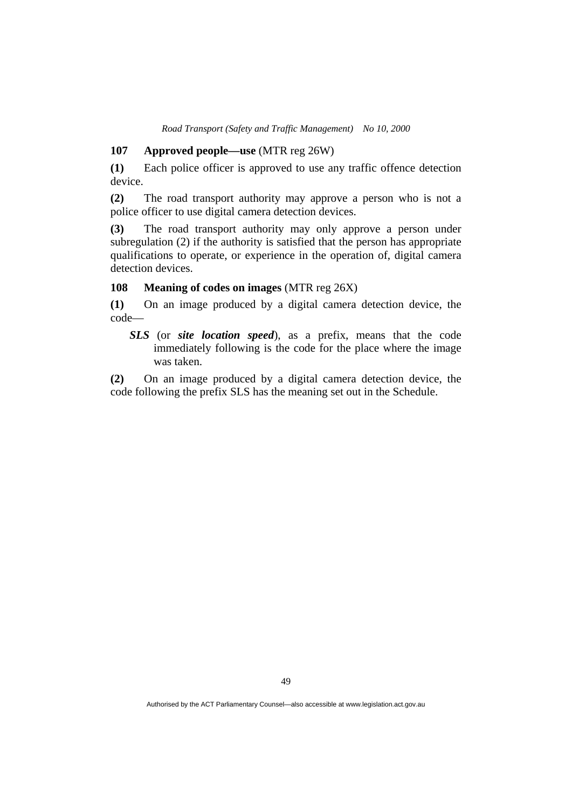#### **107 Approved people—use** (MTR reg 26W)

**(1)** Each police officer is approved to use any traffic offence detection device.

**(2)** The road transport authority may approve a person who is not a police officer to use digital camera detection devices.

**(3)** The road transport authority may only approve a person under subregulation (2) if the authority is satisfied that the person has appropriate qualifications to operate, or experience in the operation of, digital camera detection devices.

#### **108 Meaning of codes on images** (MTR reg 26X)

**(1)** On an image produced by a digital camera detection device, the code—

*SLS* (or *site location speed*), as a prefix, means that the code immediately following is the code for the place where the image was taken.

**(2)** On an image produced by a digital camera detection device, the code following the prefix SLS has the meaning set out in the Schedule.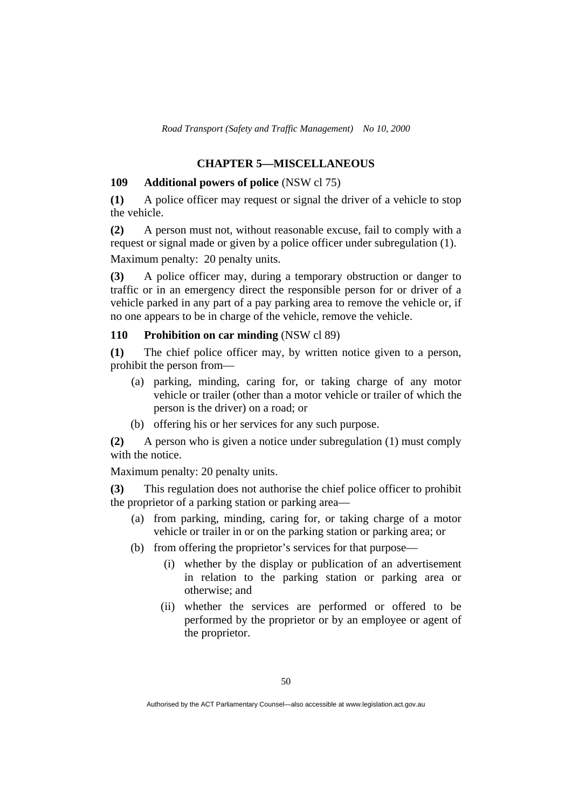## **CHAPTER 5—MISCELLANEOUS**

#### **109 Additional powers of police** (NSW cl 75)

**(1)** A police officer may request or signal the driver of a vehicle to stop the vehicle.

**(2)** A person must not, without reasonable excuse, fail to comply with a request or signal made or given by a police officer under subregulation (1). Maximum penalty: 20 penalty units.

**(3)** A police officer may, during a temporary obstruction or danger to traffic or in an emergency direct the responsible person for or driver of a vehicle parked in any part of a pay parking area to remove the vehicle or, if no one appears to be in charge of the vehicle, remove the vehicle.

#### **110 Prohibition on car minding** (NSW cl 89)

**(1)** The chief police officer may, by written notice given to a person, prohibit the person from—

- (a) parking, minding, caring for, or taking charge of any motor vehicle or trailer (other than a motor vehicle or trailer of which the person is the driver) on a road; or
- (b) offering his or her services for any such purpose.

**(2)** A person who is given a notice under subregulation (1) must comply with the notice.

Maximum penalty: 20 penalty units.

**(3)** This regulation does not authorise the chief police officer to prohibit the proprietor of a parking station or parking area—

- (a) from parking, minding, caring for, or taking charge of a motor vehicle or trailer in or on the parking station or parking area; or
- (b) from offering the proprietor's services for that purpose—
	- (i) whether by the display or publication of an advertisement in relation to the parking station or parking area or otherwise; and
	- (ii) whether the services are performed or offered to be performed by the proprietor or by an employee or agent of the proprietor.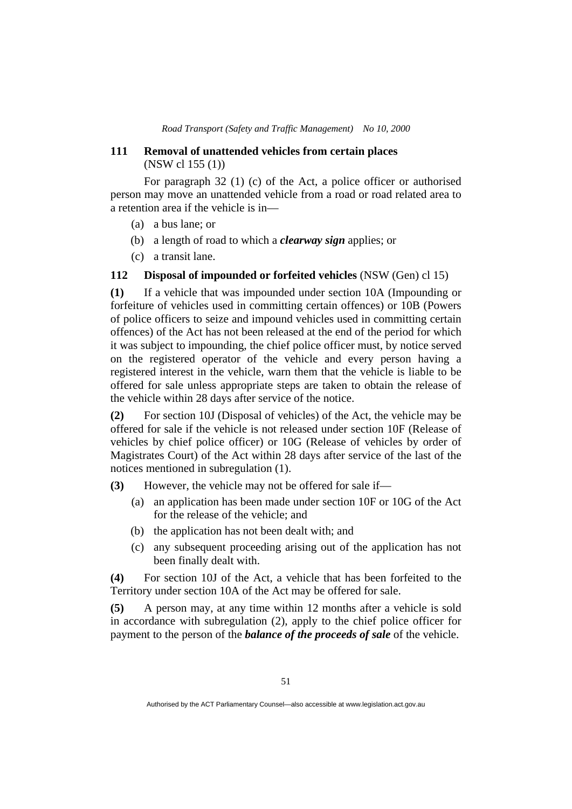### **111 Removal of unattended vehicles from certain places**  (NSW cl 155 (1))

 For paragraph 32 (1) (c) of the Act, a police officer or authorised person may move an unattended vehicle from a road or road related area to a retention area if the vehicle is in—

- (a) a bus lane; or
- (b) a length of road to which a *clearway sign* applies; or
- (c) a transit lane.

### **112 Disposal of impounded or forfeited vehicles** (NSW (Gen) cl 15)

**(1)** If a vehicle that was impounded under section 10A (Impounding or forfeiture of vehicles used in committing certain offences) or 10B (Powers of police officers to seize and impound vehicles used in committing certain offences) of the Act has not been released at the end of the period for which it was subject to impounding, the chief police officer must, by notice served on the registered operator of the vehicle and every person having a registered interest in the vehicle, warn them that the vehicle is liable to be offered for sale unless appropriate steps are taken to obtain the release of the vehicle within 28 days after service of the notice.

**(2)** For section 10J (Disposal of vehicles) of the Act, the vehicle may be offered for sale if the vehicle is not released under section 10F (Release of vehicles by chief police officer) or 10G (Release of vehicles by order of Magistrates Court) of the Act within 28 days after service of the last of the notices mentioned in subregulation (1).

**(3)** However, the vehicle may not be offered for sale if—

- (a) an application has been made under section 10F or 10G of the Act for the release of the vehicle; and
- (b) the application has not been dealt with; and
- (c) any subsequent proceeding arising out of the application has not been finally dealt with.

**(4)** For section 10J of the Act, a vehicle that has been forfeited to the Territory under section 10A of the Act may be offered for sale.

**(5)** A person may, at any time within 12 months after a vehicle is sold in accordance with subregulation (2), apply to the chief police officer for payment to the person of the *balance of the proceeds of sale* of the vehicle.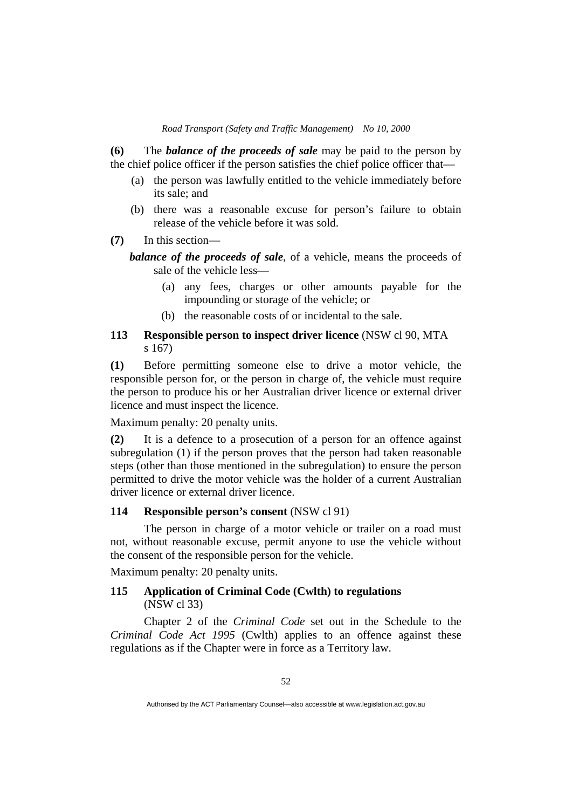**(6)** The *balance of the proceeds of sale* may be paid to the person by the chief police officer if the person satisfies the chief police officer that—

- (a) the person was lawfully entitled to the vehicle immediately before its sale; and
- (b) there was a reasonable excuse for person's failure to obtain release of the vehicle before it was sold.
- **(7)** In this section—

*balance of the proceeds of sale*, of a vehicle, means the proceeds of sale of the vehicle less—

- (a) any fees, charges or other amounts payable for the impounding or storage of the vehicle; or
- (b) the reasonable costs of or incidental to the sale.

## **113 Responsible person to inspect driver licence** (NSW cl 90, MTA s 167)

**(1)** Before permitting someone else to drive a motor vehicle, the responsible person for, or the person in charge of, the vehicle must require the person to produce his or her Australian driver licence or external driver licence and must inspect the licence.

Maximum penalty: 20 penalty units.

**(2)** It is a defence to a prosecution of a person for an offence against subregulation (1) if the person proves that the person had taken reasonable steps (other than those mentioned in the subregulation) to ensure the person permitted to drive the motor vehicle was the holder of a current Australian driver licence or external driver licence.

## **114 Responsible person's consent** (NSW cl 91)

 The person in charge of a motor vehicle or trailer on a road must not, without reasonable excuse, permit anyone to use the vehicle without the consent of the responsible person for the vehicle.

Maximum penalty: 20 penalty units.

### **115 Application of Criminal Code (Cwlth) to regulations**  (NSW cl 33)

 Chapter 2 of the *Criminal Code* set out in the Schedule to the *Criminal Code Act 1995* (Cwlth) applies to an offence against these regulations as if the Chapter were in force as a Territory law.

Authorised by the ACT Parliamentary Counsel—also accessible at www.legislation.act.gov.au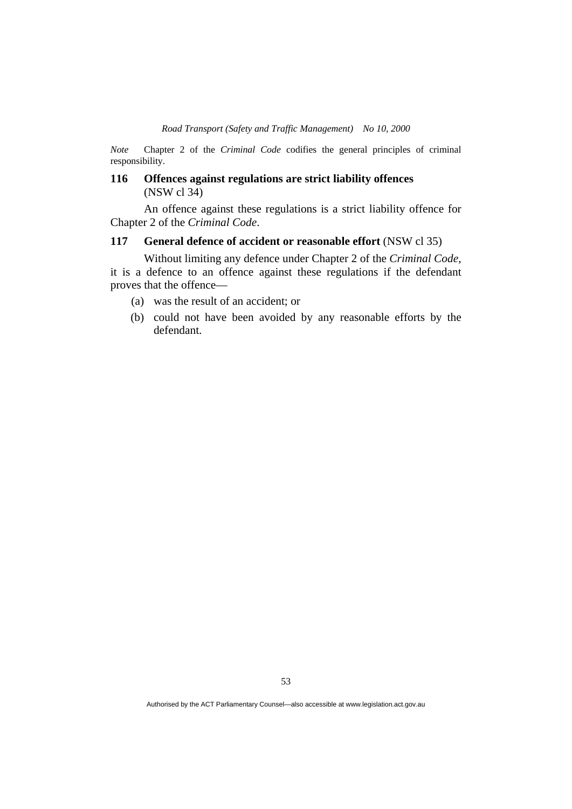*Note* Chapter 2 of the *Criminal Code* codifies the general principles of criminal responsibility.

### **116 Offences against regulations are strict liability offences**  (NSW cl 34)

 An offence against these regulations is a strict liability offence for Chapter 2 of the *Criminal Code*.

## **117 General defence of accident or reasonable effort** (NSW cl 35)

 Without limiting any defence under Chapter 2 of the *Criminal Code*, it is a defence to an offence against these regulations if the defendant proves that the offence—

- (a) was the result of an accident; or
- (b) could not have been avoided by any reasonable efforts by the defendant.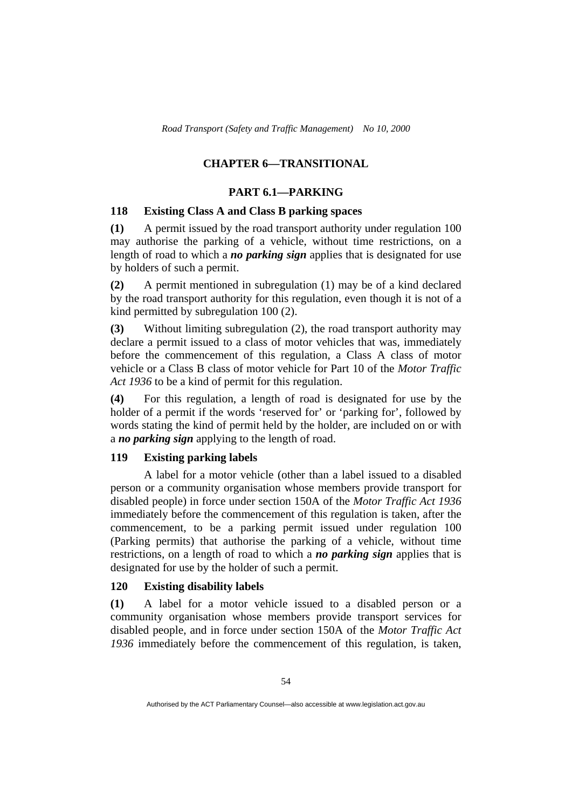## **CHAPTER 6—TRANSITIONAL**

### **PART 6.1—PARKING**

## **118 Existing Class A and Class B parking spaces**

**(1)** A permit issued by the road transport authority under regulation 100 may authorise the parking of a vehicle, without time restrictions, on a length of road to which a *no parking sign* applies that is designated for use by holders of such a permit.

**(2)** A permit mentioned in subregulation (1) may be of a kind declared by the road transport authority for this regulation, even though it is not of a kind permitted by subregulation 100 (2).

**(3)** Without limiting subregulation (2), the road transport authority may declare a permit issued to a class of motor vehicles that was, immediately before the commencement of this regulation, a Class A class of motor vehicle or a Class B class of motor vehicle for Part 10 of the *Motor Traffic Act 1936* to be a kind of permit for this regulation.

**(4)** For this regulation, a length of road is designated for use by the holder of a permit if the words 'reserved for' or 'parking for', followed by words stating the kind of permit held by the holder, are included on or with a *no parking sign* applying to the length of road.

#### **119 Existing parking labels**

A label for a motor vehicle (other than a label issued to a disabled person or a community organisation whose members provide transport for disabled people) in force under section 150A of the *Motor Traffic Act 1936* immediately before the commencement of this regulation is taken, after the commencement, to be a parking permit issued under regulation 100 (Parking permits) that authorise the parking of a vehicle, without time restrictions, on a length of road to which a *no parking sign* applies that is designated for use by the holder of such a permit.

### **120 Existing disability labels**

**(1)** A label for a motor vehicle issued to a disabled person or a community organisation whose members provide transport services for disabled people, and in force under section 150A of the *Motor Traffic Act 1936* immediately before the commencement of this regulation, is taken,

Authorised by the ACT Parliamentary Counsel—also accessible at www.legislation.act.gov.au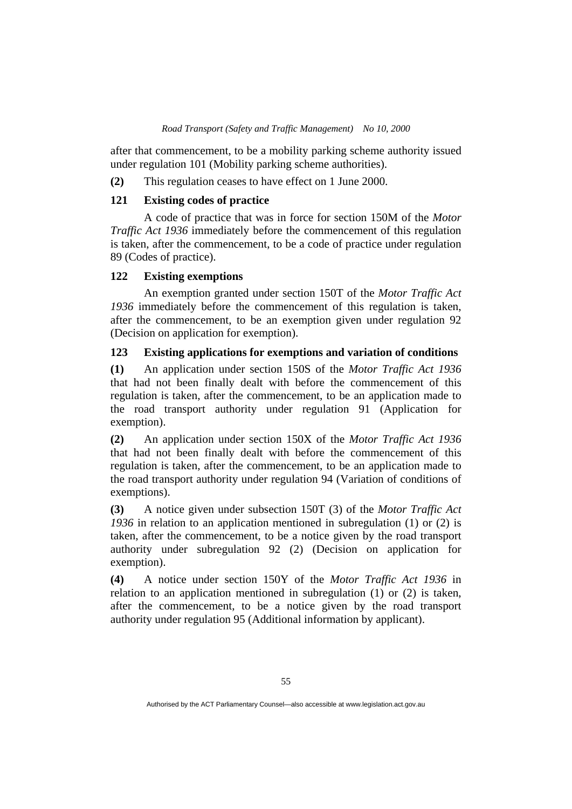after that commencement, to be a mobility parking scheme authority issued under regulation 101 (Mobility parking scheme authorities).

**(2)** This regulation ceases to have effect on 1 June 2000.

#### **121 Existing codes of practice**

 A code of practice that was in force for section 150M of the *Motor Traffic Act 1936* immediately before the commencement of this regulation is taken, after the commencement, to be a code of practice under regulation 89 (Codes of practice).

### **122 Existing exemptions**

 An exemption granted under section 150T of the *Motor Traffic Act 1936* immediately before the commencement of this regulation is taken, after the commencement, to be an exemption given under regulation 92 (Decision on application for exemption).

## **123 Existing applications for exemptions and variation of conditions**

**(1)** An application under section 150S of the *Motor Traffic Act 1936* that had not been finally dealt with before the commencement of this regulation is taken, after the commencement, to be an application made to the road transport authority under regulation 91 (Application for exemption).

**(2)** An application under section 150X of the *Motor Traffic Act 1936* that had not been finally dealt with before the commencement of this regulation is taken, after the commencement, to be an application made to the road transport authority under regulation 94 (Variation of conditions of exemptions).

**(3)** A notice given under subsection 150T (3) of the *Motor Traffic Act 1936* in relation to an application mentioned in subregulation (1) or (2) is taken, after the commencement, to be a notice given by the road transport authority under subregulation 92 (2) (Decision on application for exemption).

**(4)** A notice under section 150Y of the *Motor Traffic Act 1936* in relation to an application mentioned in subregulation (1) or (2) is taken, after the commencement, to be a notice given by the road transport authority under regulation 95 (Additional information by applicant).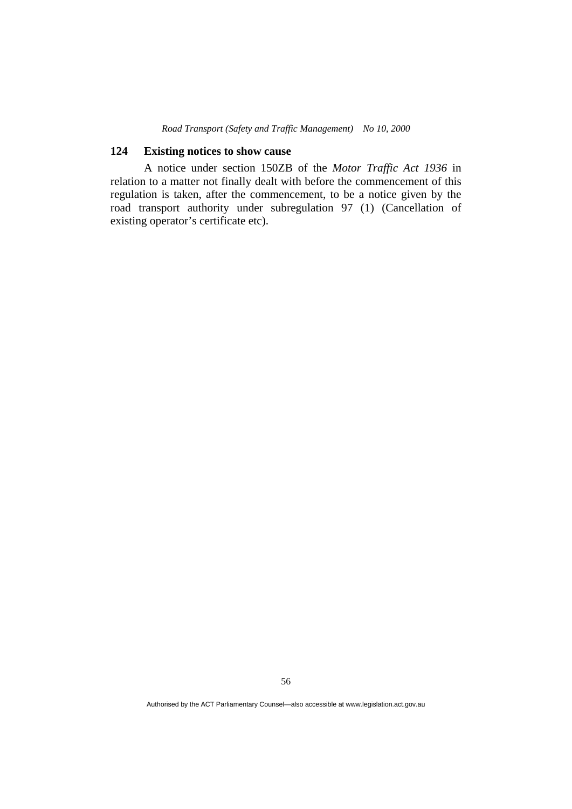### **124 Existing notices to show cause**

 A notice under section 150ZB of the *Motor Traffic Act 1936* in relation to a matter not finally dealt with before the commencement of this regulation is taken, after the commencement, to be a notice given by the road transport authority under subregulation 97 (1) (Cancellation of existing operator's certificate etc).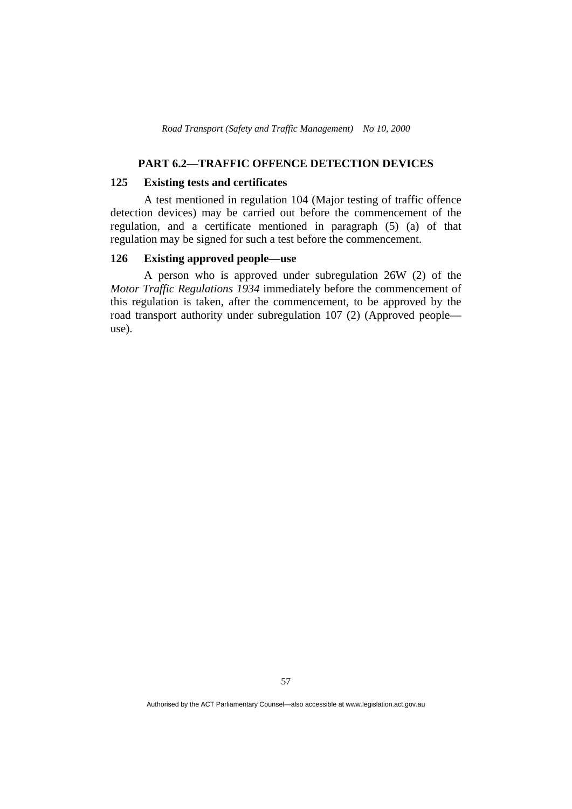## **PART 6.2—TRAFFIC OFFENCE DETECTION DEVICES**

#### **125 Existing tests and certificates**

 A test mentioned in regulation 104 (Major testing of traffic offence detection devices) may be carried out before the commencement of the regulation, and a certificate mentioned in paragraph (5) (a) of that regulation may be signed for such a test before the commencement.

### **126 Existing approved people—use**

 A person who is approved under subregulation 26W (2) of the *Motor Traffic Regulations 1934* immediately before the commencement of this regulation is taken, after the commencement, to be approved by the road transport authority under subregulation 107 (2) (Approved people use).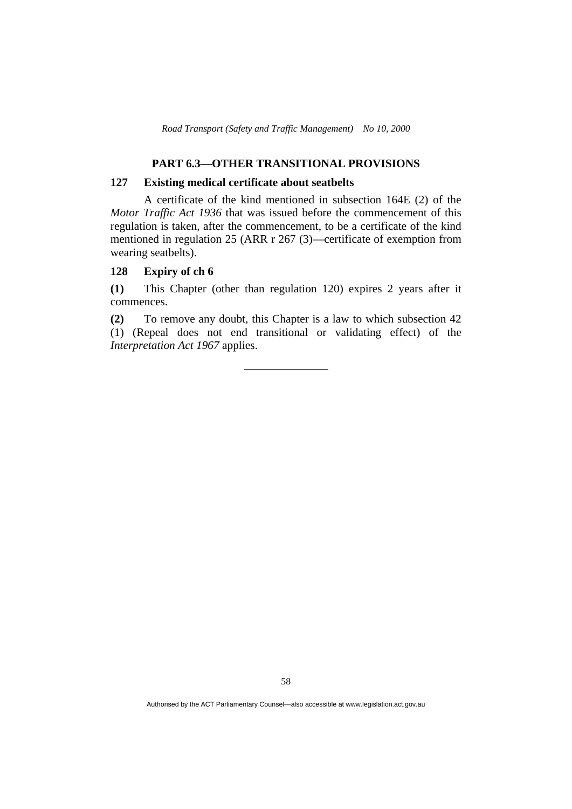## **PART 6.3—OTHER TRANSITIONAL PROVISIONS**

#### **127 Existing medical certificate about seatbelts**

 A certificate of the kind mentioned in subsection 164E (2) of the *Motor Traffic Act 1936* that was issued before the commencement of this regulation is taken, after the commencement, to be a certificate of the kind mentioned in regulation 25 (ARR r 267 (3)—certificate of exemption from wearing seatbelts).

### **128 Expiry of ch 6**

**(1)** This Chapter (other than regulation 120) expires 2 years after it commences.

**(2)** To remove any doubt, this Chapter is a law to which subsection 42 (1) (Repeal does not end transitional or validating effect) of the *Interpretation Act 1967* applies.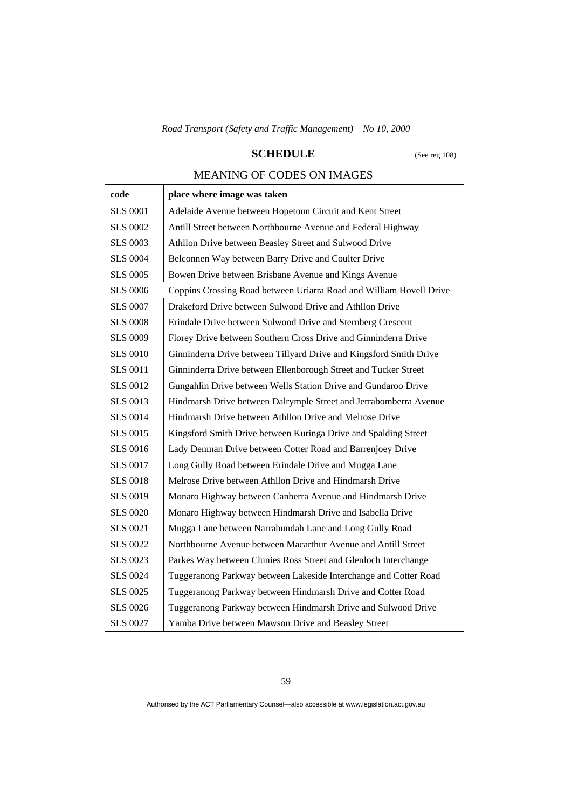# **SCHEDULE** (See reg 108)

# MEANING OF CODES ON IMAGES

| code            | place where image was taken                                         |
|-----------------|---------------------------------------------------------------------|
| <b>SLS 0001</b> | Adelaide Avenue between Hopetoun Circuit and Kent Street            |
| <b>SLS 0002</b> | Antill Street between Northbourne Avenue and Federal Highway        |
| <b>SLS 0003</b> | Athllon Drive between Beasley Street and Sulwood Drive              |
| <b>SLS 0004</b> | Belconnen Way between Barry Drive and Coulter Drive                 |
| <b>SLS 0005</b> | Bowen Drive between Brisbane Avenue and Kings Avenue                |
| <b>SLS 0006</b> | Coppins Crossing Road between Uriarra Road and William Hovell Drive |
| <b>SLS 0007</b> | Drakeford Drive between Sulwood Drive and Athllon Drive             |
| <b>SLS 0008</b> | Erindale Drive between Sulwood Drive and Sternberg Crescent         |
| <b>SLS 0009</b> | Florey Drive between Southern Cross Drive and Ginninderra Drive     |
| <b>SLS 0010</b> | Ginninderra Drive between Tillyard Drive and Kingsford Smith Drive  |
| <b>SLS 0011</b> | Ginninderra Drive between Ellenborough Street and Tucker Street     |
| <b>SLS 0012</b> | Gungahlin Drive between Wells Station Drive and Gundaroo Drive      |
| <b>SLS 0013</b> | Hindmarsh Drive between Dalrymple Street and Jerrabomberra Avenue   |
| <b>SLS 0014</b> | Hindmarsh Drive between Athllon Drive and Melrose Drive             |
| <b>SLS 0015</b> | Kingsford Smith Drive between Kuringa Drive and Spalding Street     |
| <b>SLS 0016</b> | Lady Denman Drive between Cotter Road and Barrenjoey Drive          |
| <b>SLS 0017</b> | Long Gully Road between Erindale Drive and Mugga Lane               |
| <b>SLS 0018</b> | Melrose Drive between Athllon Drive and Hindmarsh Drive             |
| <b>SLS 0019</b> | Monaro Highway between Canberra Avenue and Hindmarsh Drive          |
| <b>SLS 0020</b> | Monaro Highway between Hindmarsh Drive and Isabella Drive           |
| <b>SLS 0021</b> | Mugga Lane between Narrabundah Lane and Long Gully Road             |
| <b>SLS 0022</b> | Northbourne Avenue between Macarthur Avenue and Antill Street       |
| <b>SLS 0023</b> | Parkes Way between Clunies Ross Street and Glenloch Interchange     |
| <b>SLS 0024</b> | Tuggeranong Parkway between Lakeside Interchange and Cotter Road    |
| <b>SLS 0025</b> | Tuggeranong Parkway between Hindmarsh Drive and Cotter Road         |
| <b>SLS 0026</b> | Tuggeranong Parkway between Hindmarsh Drive and Sulwood Drive       |
| <b>SLS 0027</b> | Yamba Drive between Mawson Drive and Beasley Street                 |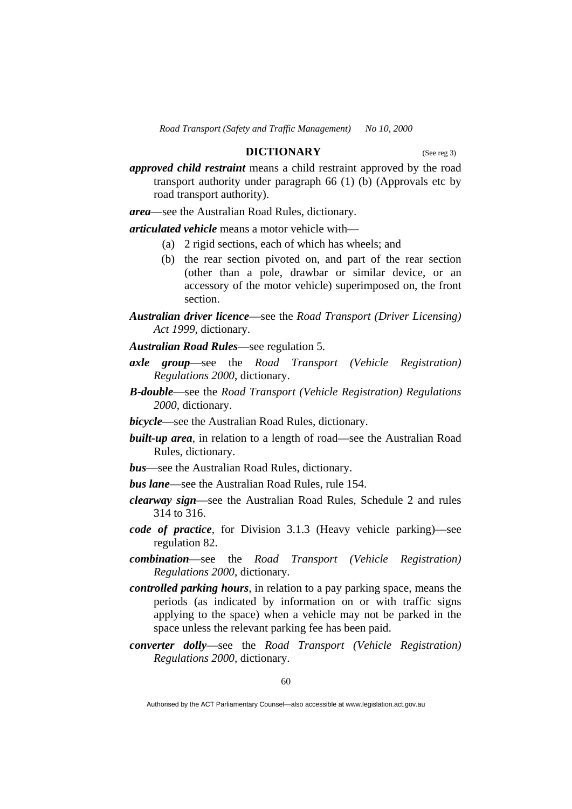### **DICTIONARY** (See reg 3)

*approved child restraint* means a child restraint approved by the road transport authority under paragraph 66 (1) (b) (Approvals etc by road transport authority).

*area*—see the Australian Road Rules, dictionary.

*articulated vehicle* means a motor vehicle with—

- (a) 2 rigid sections, each of which has wheels; and
- (b) the rear section pivoted on, and part of the rear section (other than a pole, drawbar or similar device, or an accessory of the motor vehicle) superimposed on, the front section.
- *Australian driver licence*—see the *Road Transport (Driver Licensing) Act 1999*, dictionary.
- *Australian Road Rules*—see regulation 5.
- *axle group*—see the *Road Transport (Vehicle Registration) Regulations 2000*, dictionary.
- *B-double*—see the *Road Transport (Vehicle Registration) Regulations 2000*, dictionary.
- *bicycle*—see the Australian Road Rules, dictionary.
- *built-up area*, in relation to a length of road—see the Australian Road Rules, dictionary.
- *bus*—see the Australian Road Rules, dictionary.
- *bus lane*—see the Australian Road Rules, rule 154.
- *clearway sign*—see the Australian Road Rules, Schedule 2 and rules 314 to 316.
- *code of practice*, for Division 3.1.3 (Heavy vehicle parking)—see regulation 82.
- *combination*—see the *Road Transport (Vehicle Registration) Regulations 2000*, dictionary.
- *controlled parking hours*, in relation to a pay parking space, means the periods (as indicated by information on or with traffic signs applying to the space) when a vehicle may not be parked in the space unless the relevant parking fee has been paid.
- *converter dolly*—see the *Road Transport (Vehicle Registration) Regulations 2000*, dictionary.

Authorised by the ACT Parliamentary Counsel—also accessible at www.legislation.act.gov.au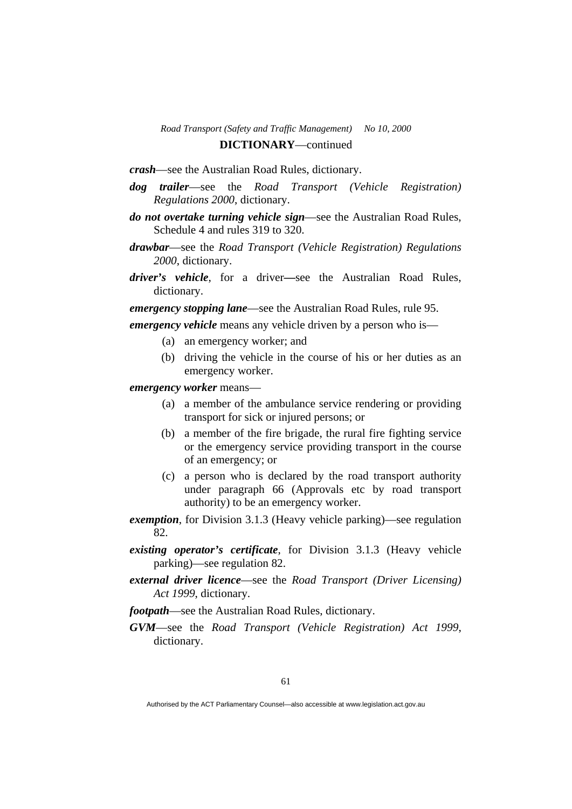*crash*—see the Australian Road Rules, dictionary.

- *dog trailer*—see the *Road Transport (Vehicle Registration) Regulations 2000*, dictionary.
- *do not overtake turning vehicle sign*—see the Australian Road Rules, Schedule 4 and rules 319 to 320.
- *drawbar*—see the *Road Transport (Vehicle Registration) Regulations 2000*, dictionary.
- *driver's vehicle*, for a driver*—*see the Australian Road Rules, dictionary.

*emergency stopping lane*—see the Australian Road Rules, rule 95.

*emergency vehicle* means any vehicle driven by a person who is—

- (a) an emergency worker; and
- (b) driving the vehicle in the course of his or her duties as an emergency worker.

*emergency worker* means—

- (a) a member of the ambulance service rendering or providing transport for sick or injured persons; or
- (b) a member of the fire brigade, the rural fire fighting service or the emergency service providing transport in the course of an emergency; or
- (c) a person who is declared by the road transport authority under paragraph 66 (Approvals etc by road transport authority) to be an emergency worker.
- *exemption*, for Division 3.1.3 (Heavy vehicle parking)—see regulation 82.
- *existing operator's certificate*, for Division 3.1.3 (Heavy vehicle parking)—see regulation 82.
- *external driver licence*—see the *Road Transport (Driver Licensing) Act 1999*, dictionary.
- *footpath*—see the Australian Road Rules, dictionary.
- *GVM*—see the *Road Transport (Vehicle Registration) Act 1999*, dictionary.

Authorised by the ACT Parliamentary Counsel—also accessible at www.legislation.act.gov.au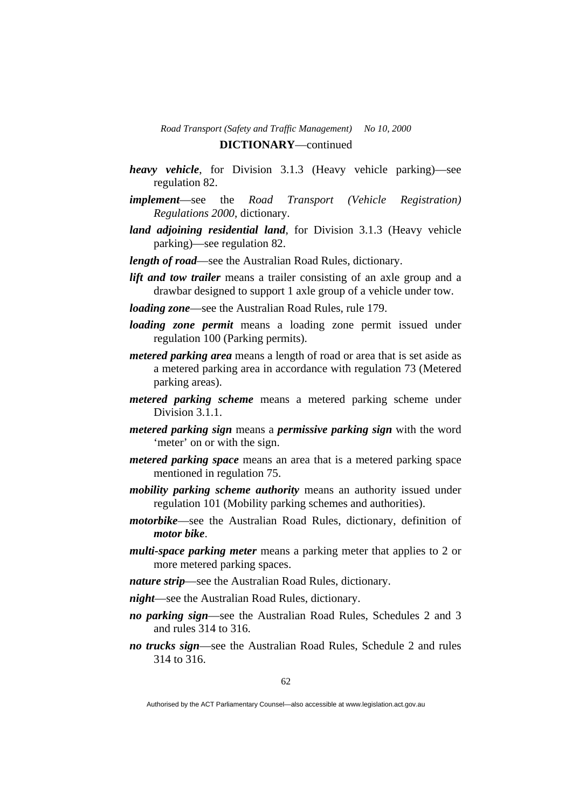- *heavy vehicle*, for Division 3.1.3 (Heavy vehicle parking)—see regulation 82.
- *implement*—see the *Road Transport (Vehicle Registration) Regulations 2000*, dictionary.
- *land adjoining residential land*, for Division 3.1.3 (Heavy vehicle parking)—see regulation 82.
- *length of road*—see the Australian Road Rules, dictionary.
- *lift and tow trailer* means a trailer consisting of an axle group and a drawbar designed to support 1 axle group of a vehicle under tow.
- *loading zone*—see the Australian Road Rules, rule 179.
- *loading zone permit* means a loading zone permit issued under regulation 100 (Parking permits).
- *metered parking area* means a length of road or area that is set aside as a metered parking area in accordance with regulation 73 (Metered parking areas).
- *metered parking scheme* means a metered parking scheme under Division 3.1.1.
- *metered parking sign* means a *permissive parking sign* with the word 'meter' on or with the sign.
- *metered parking space* means an area that is a metered parking space mentioned in regulation 75.
- *mobility parking scheme authority* means an authority issued under regulation 101 (Mobility parking schemes and authorities).
- *motorbike*—see the Australian Road Rules, dictionary, definition of *motor bike*.
- *multi-space parking meter* means a parking meter that applies to 2 or more metered parking spaces.
- *nature strip*—see the Australian Road Rules, dictionary.
- *night*—see the Australian Road Rules, dictionary.
- *no parking sign*—see the Australian Road Rules, Schedules 2 and 3 and rules 314 to 316.
- *no trucks sign*—see the Australian Road Rules, Schedule 2 and rules 314 to 316.

Authorised by the ACT Parliamentary Counsel—also accessible at www.legislation.act.gov.au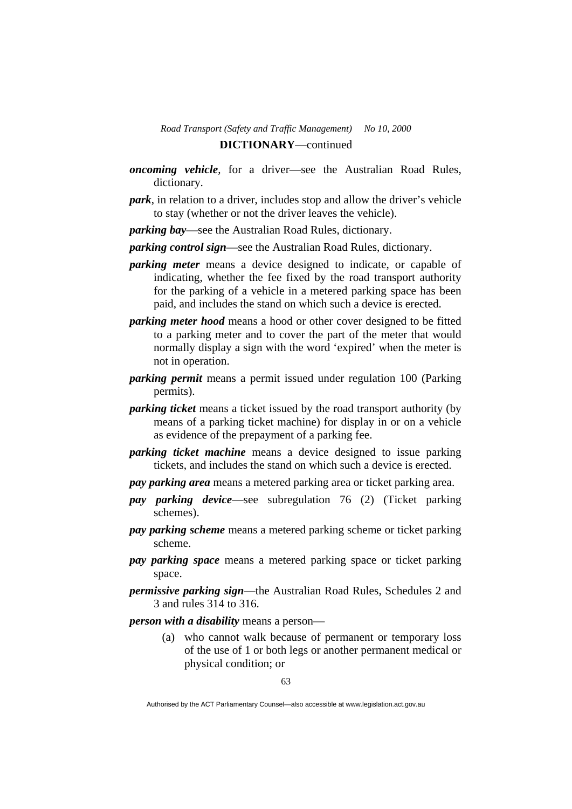- *oncoming vehicle*, for a driver—see the Australian Road Rules, dictionary.
- *park*, in relation to a driver, includes stop and allow the driver's vehicle to stay (whether or not the driver leaves the vehicle).

*parking bay*—see the Australian Road Rules, dictionary.

*parking control sign*—see the Australian Road Rules, dictionary.

- *parking meter* means a device designed to indicate, or capable of indicating, whether the fee fixed by the road transport authority for the parking of a vehicle in a metered parking space has been paid, and includes the stand on which such a device is erected.
- *parking meter hood* means a hood or other cover designed to be fitted to a parking meter and to cover the part of the meter that would normally display a sign with the word 'expired' when the meter is not in operation.
- *parking permit* means a permit issued under regulation 100 (Parking permits).
- *parking ticket* means a ticket issued by the road transport authority (by means of a parking ticket machine) for display in or on a vehicle as evidence of the prepayment of a parking fee.
- *parking ticket machine* means a device designed to issue parking tickets, and includes the stand on which such a device is erected.
- *pay parking area* means a metered parking area or ticket parking area.
- *pay parking device*—see subregulation 76 (2) (Ticket parking schemes).
- *pay parking scheme* means a metered parking scheme or ticket parking scheme.
- *pay parking space* means a metered parking space or ticket parking space.
- *permissive parking sign*—the Australian Road Rules, Schedules 2 and 3 and rules 314 to 316.

*person with a disability* means a person—

 (a) who cannot walk because of permanent or temporary loss of the use of 1 or both legs or another permanent medical or physical condition; or

Authorised by the ACT Parliamentary Counsel—also accessible at www.legislation.act.gov.au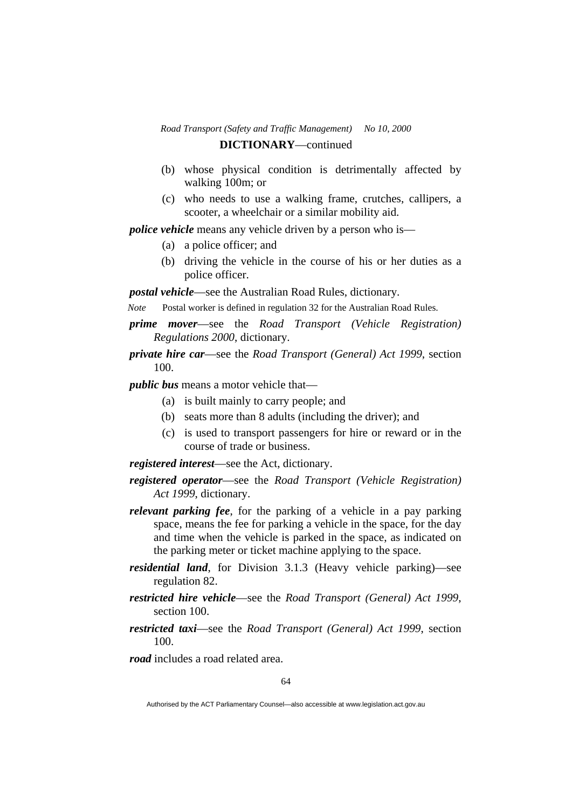- (b) whose physical condition is detrimentally affected by walking 100m; or
- (c) who needs to use a walking frame, crutches, callipers, a scooter, a wheelchair or a similar mobility aid.

*police vehicle* means any vehicle driven by a person who is—

- (a) a police officer; and
- (b) driving the vehicle in the course of his or her duties as a police officer.

*postal vehicle*—see the Australian Road Rules, dictionary.

*Note* Postal worker is defined in regulation 32 for the Australian Road Rules.

*prime mover*—see the *Road Transport (Vehicle Registration) Regulations 2000*, dictionary.

*private hire car*—see the *Road Transport (General) Act 1999*, section 100.

*public bus* means a motor vehicle that—

- (a) is built mainly to carry people; and
- (b) seats more than 8 adults (including the driver); and
- (c) is used to transport passengers for hire or reward or in the course of trade or business.

*registered interest*—see the Act, dictionary.

- *registered operator*—see the *Road Transport (Vehicle Registration) Act 1999*, dictionary.
- *relevant parking fee*, for the parking of a vehicle in a pay parking space, means the fee for parking a vehicle in the space, for the day and time when the vehicle is parked in the space, as indicated on the parking meter or ticket machine applying to the space.
- *residential land*, for Division 3.1.3 (Heavy vehicle parking)—see regulation 82.
- *restricted hire vehicle*—see the *Road Transport (General) Act 1999*, section 100.
- *restricted taxi*—see the *Road Transport (General) Act 1999*, section 100.

*road* includes a road related area.

Authorised by the ACT Parliamentary Counsel—also accessible at www.legislation.act.gov.au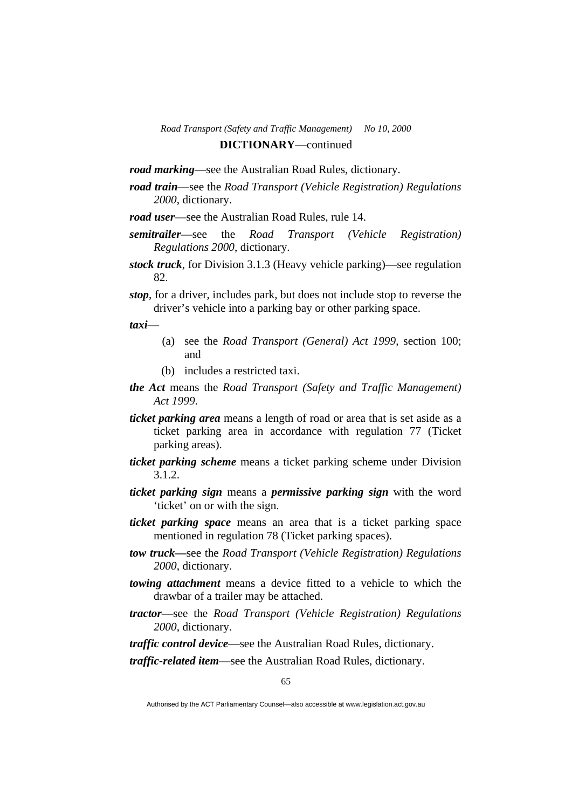*road marking*—see the Australian Road Rules, dictionary.

*road train*—see the *Road Transport (Vehicle Registration) Regulations 2000*, dictionary.

*road user*—see the Australian Road Rules, rule 14.

- *semitrailer*—see the *Road Transport (Vehicle Registration) Regulations 2000*, dictionary.
- *stock truck*, for Division 3.1.3 (Heavy vehicle parking)—see regulation 82.
- *stop*, for a driver, includes park, but does not include stop to reverse the driver's vehicle into a parking bay or other parking space.

*taxi*—

- (a) see the *Road Transport (General) Act 1999*, section 100; and
- (b) includes a restricted taxi.
- *the Act* means the *Road Transport (Safety and Traffic Management) Act 1999*.
- *ticket parking area* means a length of road or area that is set aside as a ticket parking area in accordance with regulation 77 (Ticket parking areas).
- *ticket parking scheme* means a ticket parking scheme under Division 3.1.2.
- *ticket parking sign* means a *permissive parking sign* with the word 'ticket' on or with the sign.
- *ticket parking space* means an area that is a ticket parking space mentioned in regulation 78 (Ticket parking spaces).
- *tow truck—*see the *Road Transport (Vehicle Registration) Regulations 2000*, dictionary.
- *towing attachment* means a device fitted to a vehicle to which the drawbar of a trailer may be attached.
- *tractor*—see the *Road Transport (Vehicle Registration) Regulations 2000*, dictionary.
- *traffic control device*—see the Australian Road Rules, dictionary.

*traffic-related item*—see the Australian Road Rules, dictionary.

Authorised by the ACT Parliamentary Counsel—also accessible at www.legislation.act.gov.au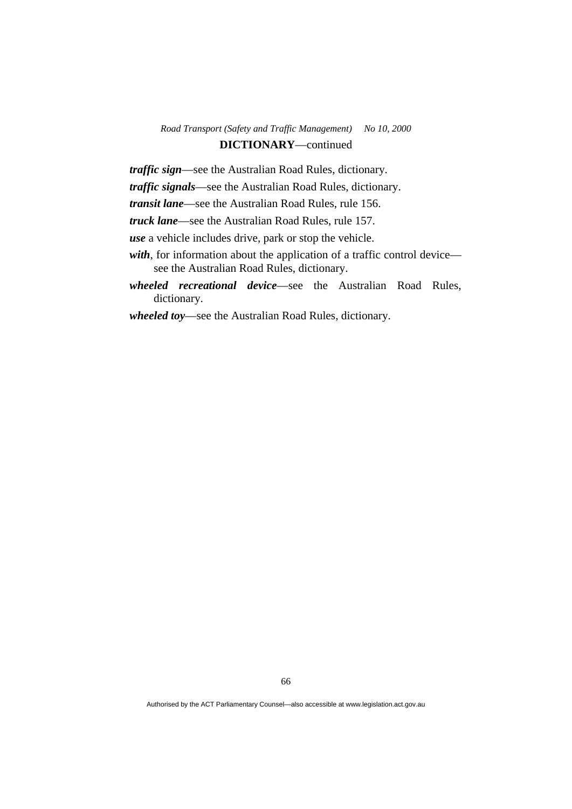## *Road Transport (Safety and Traffic Management) No 10, 2000*  **DICTIONARY**—continued

*traffic sign*—see the Australian Road Rules, dictionary.

*traffic signals*—see the Australian Road Rules, dictionary.

*transit lane*—see the Australian Road Rules, rule 156.

*truck lane*—see the Australian Road Rules, rule 157.

*use* a vehicle includes drive, park or stop the vehicle.

- *with*, for information about the application of a traffic control device see the Australian Road Rules, dictionary.
- *wheeled recreational device*—see the Australian Road Rules, dictionary.

*wheeled toy*—see the Australian Road Rules, dictionary.

Authorised by the ACT Parliamentary Counsel—also accessible at www.legislation.act.gov.au